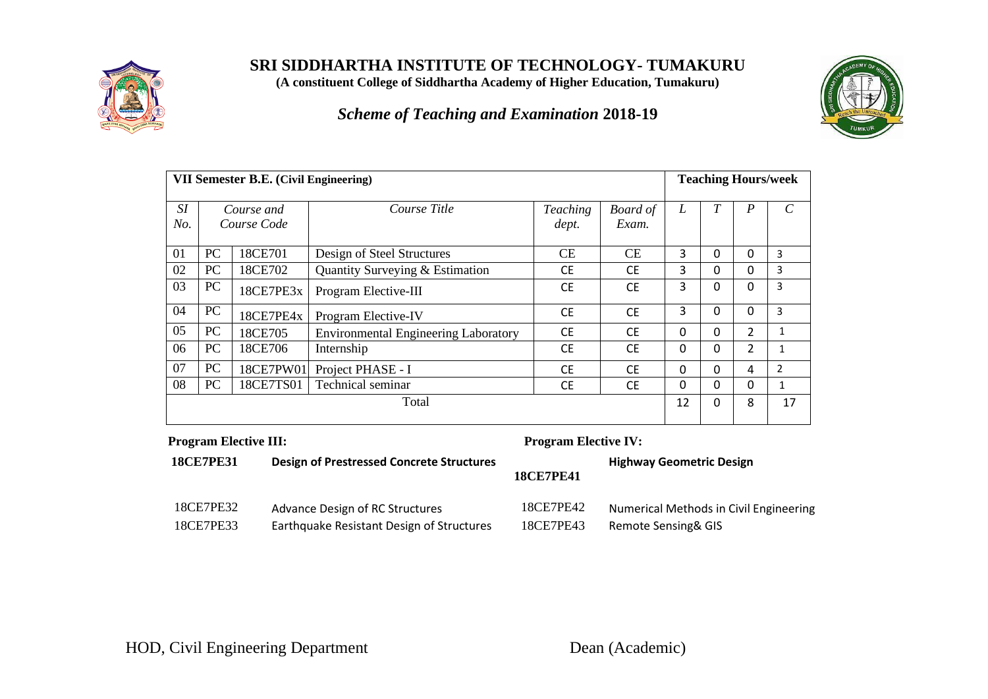

**SRI SIDDHARTHA INSTITUTE OF TECHNOLOGY- TUMAKURU**

**(A constituent College of Siddhartha Academy of Higher Education, Tumakuru)**

*Scheme of Teaching and Examination* **2018-19**



|                  | VII Semester B.E. (Civil Engineering) |                           |                                             |                          |                          |              | <b>Teaching Hours/week</b> |                  |                         |
|------------------|---------------------------------------|---------------------------|---------------------------------------------|--------------------------|--------------------------|--------------|----------------------------|------------------|-------------------------|
| <i>SI</i><br>No. |                                       | Course and<br>Course Code | Course Title                                | <b>Teaching</b><br>dept. | <b>Board</b> of<br>Exam. | L            | T                          | $\boldsymbol{P}$ | $\mathcal{C}_{0}^{(n)}$ |
| 01               | PC                                    | 18CE701                   | Design of Steel Structures                  | CE                       | <b>CE</b>                | 3            | 0                          | 0                | 3                       |
| 02               | PC                                    | 18CE702                   | Quantity Surveying & Estimation             | <b>CE</b>                | <b>CE</b>                | 3            | 0                          | 0                | 3                       |
| 03               | PC                                    | 18CE7PE3x                 | Program Elective-III                        | <b>CE</b>                | <b>CE</b>                | 3            | 0                          | $\Omega$         | 3                       |
| 04               | PC                                    | 18CE7PE4x                 | Program Elective-IV                         | <b>CE</b>                | <b>CE</b>                | 3            | 0                          | 0                | 3                       |
| 05               | PC                                    | 18CE705                   | <b>Environmental Engineering Laboratory</b> | <b>CE</b>                | <b>CE</b>                | $\mathbf{0}$ | 0                          | $\overline{2}$   |                         |
| 06               | PC                                    | 18CE706                   | Internship                                  | <b>CE</b>                | <b>CE</b>                | $\Omega$     | 0                          | $\overline{2}$   |                         |
| 07               | PC                                    | 18CE7PW01                 | Project PHASE - I                           | <b>CE</b>                | <b>CE</b>                | $\Omega$     | 0                          | 4                | $\overline{2}$          |
| 08               | PC                                    | 18CE7TS01                 | Technical seminar                           | <b>CE</b>                | <b>CE</b>                | $\mathbf{0}$ | 0                          | 0                | 1                       |
|                  | Total                                 |                           |                                             |                          |                          | 12           | $\Omega$                   | 8                | 17                      |

### **Program Elective III: Program Elective IV:**

| <b>18CE7PE31</b> | Design of Prestressed Concrete Structures | <b>18CE7PE41</b> | <b>Highway Geometric Design</b>        |
|------------------|-------------------------------------------|------------------|----------------------------------------|
| 18CE7PE32        | Advance Design of RC Structures           | 18CE7PE42        | Numerical Methods in Civil Engineering |
| 18CE7PE33        | Earthquake Resistant Design of Structures | 18CE7PE43        | Remote Sensing& GIS                    |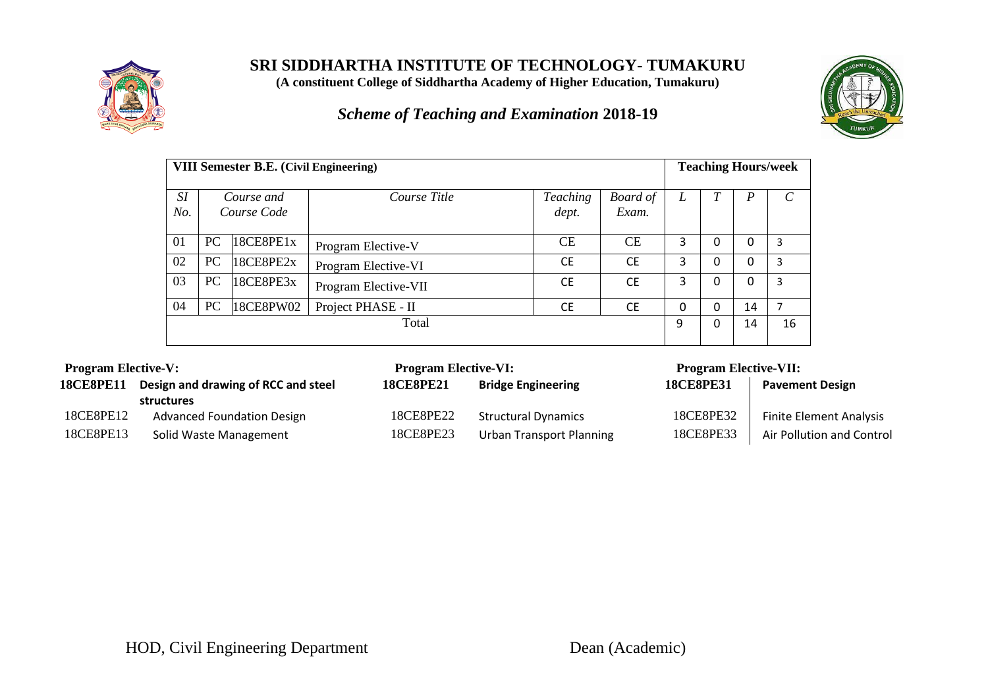

**SRI SIDDHARTHA INSTITUTE OF TECHNOLOGY- TUMAKURU**

**(A constituent College of Siddhartha Academy of Higher Education, Tumakuru)**

*Scheme of Teaching and Examination* **2018-19**



|           | <b>VIII Semester B.E.</b> (Civil Engineering) |                      |                          |                          |   | <b>Teaching Hours/week</b> |    |    |
|-----------|-----------------------------------------------|----------------------|--------------------------|--------------------------|---|----------------------------|----|----|
| SI<br>No. | Course and<br>Course Code                     | Course Title         | <b>Teaching</b><br>dept. | <b>Board</b> of<br>Exam. | L |                            | P  |    |
| 01        | 18CEBPE1x<br><b>PC</b>                        | Program Elective-V   | СE                       | <b>CE</b>                | 3 | 0                          | 0  | 3  |
| 02        | PC<br>18CE8PE2x                               | Program Elective-VI  | <b>CE</b>                | <b>CE</b>                | 3 | 0                          | 0  | 3  |
| 03        | PC<br>18CE8PE3x                               | Program Elective-VII | <b>CE</b>                | <b>CE</b>                | 3 | 0                          | 0  | 3  |
| 04        | PC<br>18CE8PW02                               | Project PHASE - II   | <b>CE</b>                | <b>CE</b>                | 0 | 0                          | 14 |    |
|           | Total                                         |                      |                          |                          |   |                            | 14 | 16 |

| <b>Program Elective-V:</b>                              |                                   | <b>Program Elective-VI:</b> |                                 | <b>Program Elective-VII:</b> |                                |
|---------------------------------------------------------|-----------------------------------|-----------------------------|---------------------------------|------------------------------|--------------------------------|
| Design and drawing of RCC and steel<br><b>18CE8PE11</b> |                                   | <b>18CE8PE21</b>            | <b>Bridge Engineering</b>       | <b>18CE8PE31</b>             | <b>Pavement Design</b>         |
|                                                         | structures                        |                             |                                 |                              |                                |
| 18CE8PE12                                               | <b>Advanced Foundation Design</b> | 18CE8PE22                   | <b>Structural Dynamics</b>      | 18CE8PE32                    | <b>Finite Element Analysis</b> |
| 18CE8PE13                                               | Solid Waste Management            | 18CE8PE23                   | <b>Urban Transport Planning</b> | 18CE8PE33                    | Air Pollution and Control      |
|                                                         |                                   |                             |                                 |                              |                                |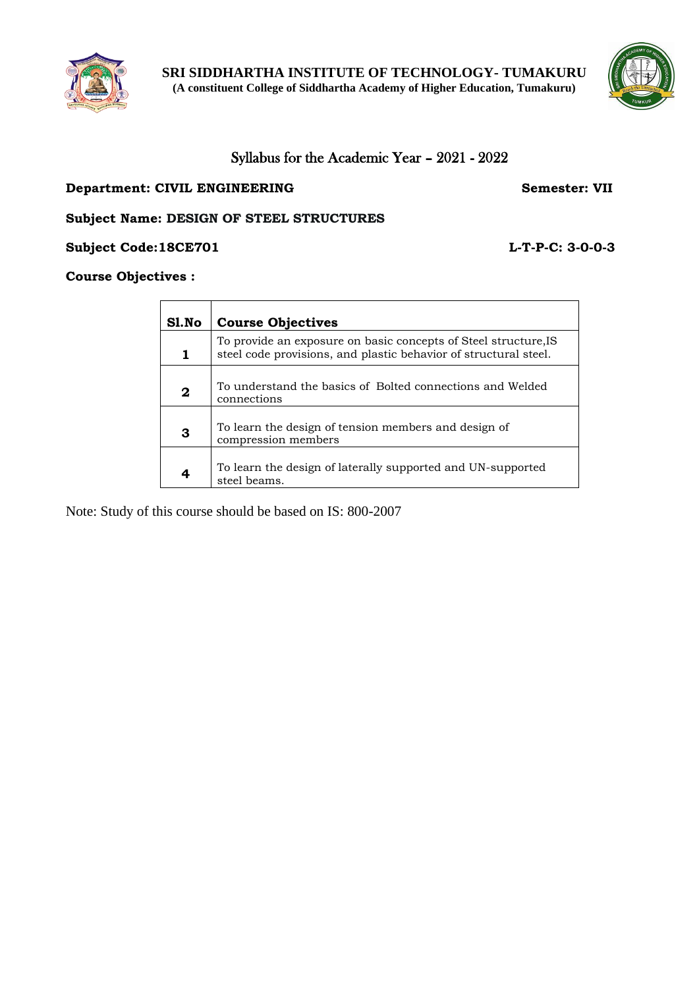



## Syllabus for the Academic Year – 2021 - 2022

#### **Department: CIVIL ENGINEERING Semester: VII**

#### **Subject Name: DESIGN OF STEEL STRUCTURES**

**Subject Code:18CE701 L-T-P-C: 3-0-0-3**

#### **Course Objectives :**

| Sl.No | <b>Course Objectives</b>                                                                                                            |
|-------|-------------------------------------------------------------------------------------------------------------------------------------|
| 1     | To provide an exposure on basic concepts of Steel structure, IS<br>steel code provisions, and plastic behavior of structural steel. |
| 2     | To understand the basics of Bolted connections and Welded<br>connections                                                            |
| 3     | To learn the design of tension members and design of<br>compression members                                                         |
| 4     | To learn the design of laterally supported and UN-supported<br>steel beams.                                                         |

Note: Study of this course should be based on IS: 800-2007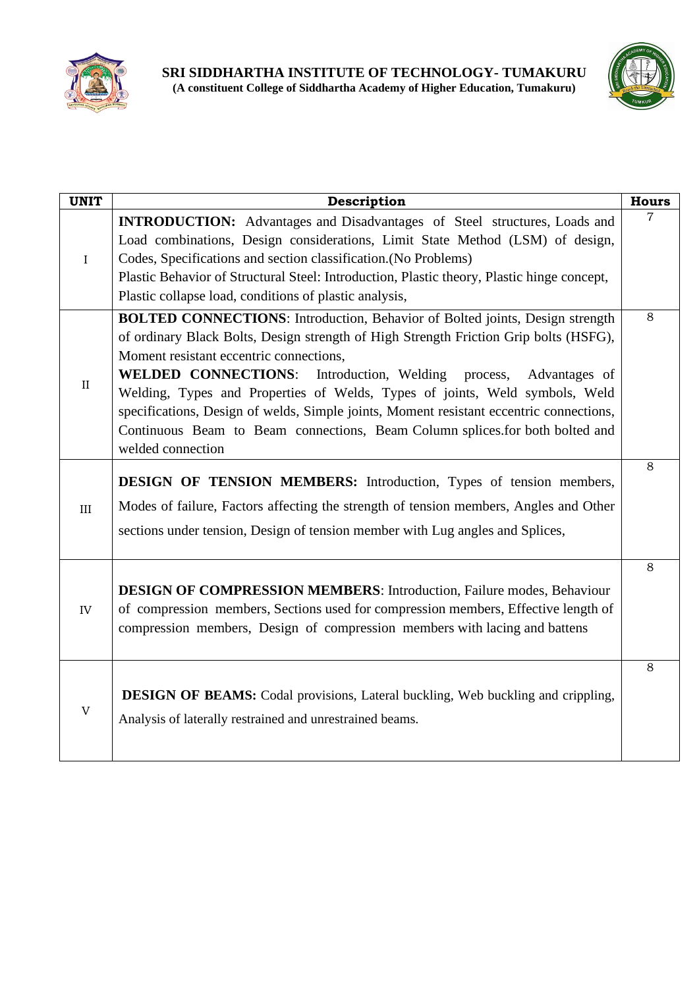



| <b>UNIT</b> | Description                                                                                                                                                                                                                                                                                                                                                                                                                                                                                                                                                                                | <b>Hours</b> |
|-------------|--------------------------------------------------------------------------------------------------------------------------------------------------------------------------------------------------------------------------------------------------------------------------------------------------------------------------------------------------------------------------------------------------------------------------------------------------------------------------------------------------------------------------------------------------------------------------------------------|--------------|
| $\rm I$     | <b>INTRODUCTION:</b> Advantages and Disadvantages of Steel structures, Loads and<br>Load combinations, Design considerations, Limit State Method (LSM) of design,<br>Codes, Specifications and section classification. (No Problems)<br>Plastic Behavior of Structural Steel: Introduction, Plastic theory, Plastic hinge concept,<br>Plastic collapse load, conditions of plastic analysis,                                                                                                                                                                                               | 7            |
| $\rm II$    | <b>BOLTED CONNECTIONS:</b> Introduction, Behavior of Bolted joints, Design strength<br>of ordinary Black Bolts, Design strength of High Strength Friction Grip bolts (HSFG),<br>Moment resistant eccentric connections,<br><b>WELDED CONNECTIONS:</b><br>Introduction, Welding<br>process,<br>Advantages of<br>Welding, Types and Properties of Welds, Types of joints, Weld symbols, Weld<br>specifications, Design of welds, Simple joints, Moment resistant eccentric connections,<br>Continuous Beam to Beam connections, Beam Column splices for both bolted and<br>welded connection | 8            |
| III         | <b>DESIGN OF TENSION MEMBERS:</b> Introduction, Types of tension members,<br>Modes of failure, Factors affecting the strength of tension members, Angles and Other<br>sections under tension, Design of tension member with Lug angles and Splices,                                                                                                                                                                                                                                                                                                                                        | 8            |
| IV          | <b>DESIGN OF COMPRESSION MEMBERS:</b> Introduction, Failure modes, Behaviour<br>of compression members, Sections used for compression members, Effective length of<br>compression members, Design of compression members with lacing and battens                                                                                                                                                                                                                                                                                                                                           | 8            |
| $\mathbf V$ | DESIGN OF BEAMS: Codal provisions, Lateral buckling, Web buckling and crippling,<br>Analysis of laterally restrained and unrestrained beams.                                                                                                                                                                                                                                                                                                                                                                                                                                               | 8            |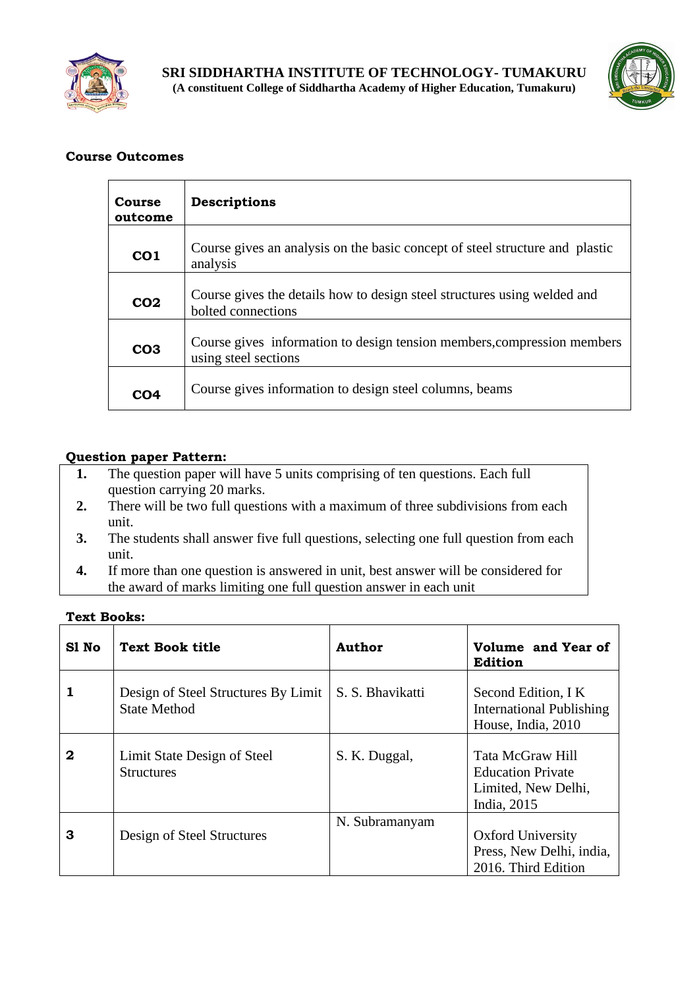



| Course<br>outcome | <b>Descriptions</b>                                                                             |
|-------------------|-------------------------------------------------------------------------------------------------|
| CO <sub>1</sub>   | Course gives an analysis on the basic concept of steel structure and plastic<br>analysis        |
| CO <sub>2</sub>   | Course gives the details how to design steel structures using welded and<br>bolted connections  |
| CO <sub>3</sub>   | Course gives information to design tension members, compression members<br>using steel sections |
| CO4               | Course gives information to design steel columns, beams                                         |

## **Question paper Pattern:**

- **1.** The question paper will have 5 units comprising of ten questions. Each full question carrying 20 marks.
- **2.** There will be two full questions with a maximum of three subdivisions from each unit.
- **3.** The students shall answer five full questions, selecting one full question from each unit.
- **4.** If more than one question is answered in unit, best answer will be considered for the award of marks limiting one full question answer in each unit

| S1 No | <b>Text Book title</b>                                     | Author           | Volume and Year of<br><b>Edition</b>                                               |
|-------|------------------------------------------------------------|------------------|------------------------------------------------------------------------------------|
|       | Design of Steel Structures By Limit<br><b>State Method</b> | S. S. Bhavikatti | Second Edition, I K<br><b>International Publishing</b><br>House, India, 2010       |
| 2     | Limit State Design of Steel<br><b>Structures</b>           | S. K. Duggal,    | Tata McGraw Hill<br><b>Education Private</b><br>Limited, New Delhi,<br>India, 2015 |
| 3     | Design of Steel Structures                                 | N. Subramanyam   | <b>Oxford University</b><br>Press, New Delhi, india,<br>2016. Third Edition        |

## **Text Books:**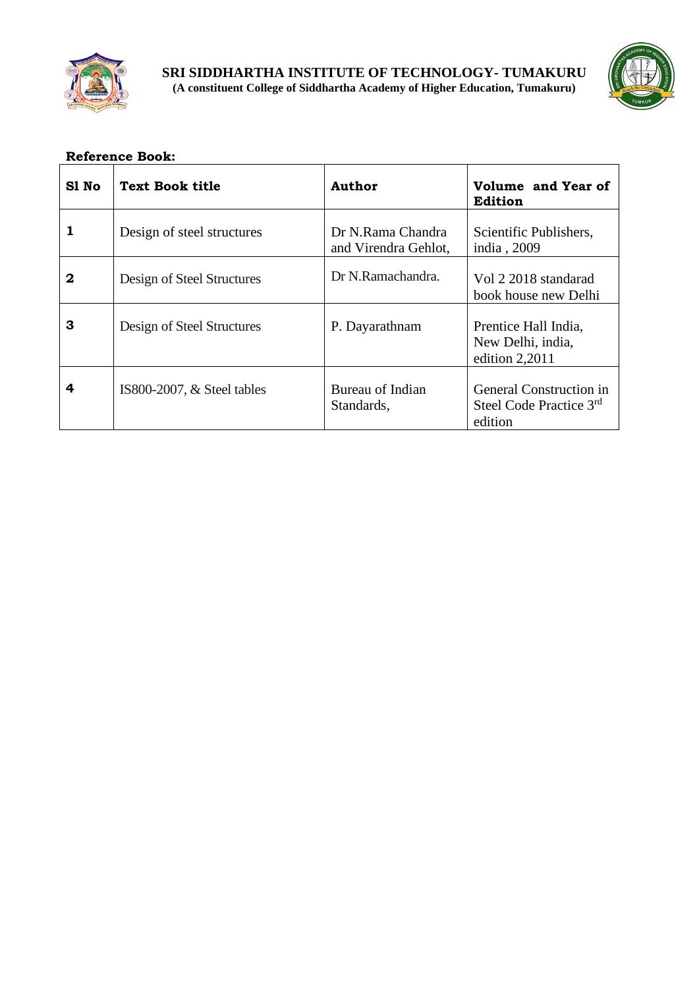



| S1 No | <b>Text Book title</b>       | Author                                    | Volume and Year of<br>Edition                                        |
|-------|------------------------------|-------------------------------------------|----------------------------------------------------------------------|
|       | Design of steel structures   | Dr N.Rama Chandra<br>and Virendra Gehlot, | Scientific Publishers,<br>india, 2009                                |
| 2     | Design of Steel Structures   | Dr N.Ramachandra.                         | Vol 2 2018 standarad<br>book house new Delhi                         |
| З     | Design of Steel Structures   | P. Dayarathnam                            | Prentice Hall India,<br>New Delhi, india,<br>edition $2,2011$        |
| 4     | IS800-2007, $&$ Steel tables | Bureau of Indian<br>Standards,            | <b>General Construction in</b><br>Steel Code Practice 3rd<br>edition |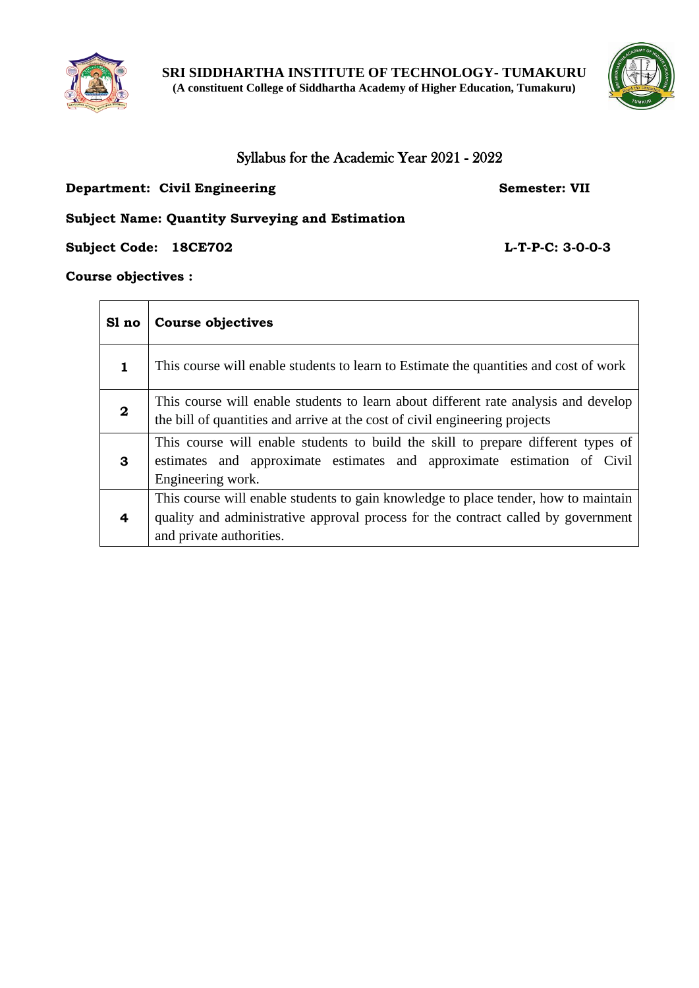



## Syllabus for the Academic Year 2021 - 2022

## **Department: Civil Engineering Semester: VII**

## **Subject Name: Quantity Surveying and Estimation**

**Subject Code: 18CE702 L-T-P-C: 3-0-0-3**

 $\overline{\phantom{a}}$ 

## **Course objectives :**

| Sl no            | Course objectives                                                                                                                                                                                    |
|------------------|------------------------------------------------------------------------------------------------------------------------------------------------------------------------------------------------------|
| 1                | This course will enable students to learn to Estimate the quantities and cost of work                                                                                                                |
| $\boldsymbol{2}$ | This course will enable students to learn about different rate analysis and develop<br>the bill of quantities and arrive at the cost of civil engineering projects                                   |
| 3                | This course will enable students to build the skill to prepare different types of<br>estimates and approximate estimates and approximate estimation of Civil<br>Engineering work.                    |
| 4                | This course will enable students to gain knowledge to place tender, how to maintain<br>quality and administrative approval process for the contract called by government<br>and private authorities. |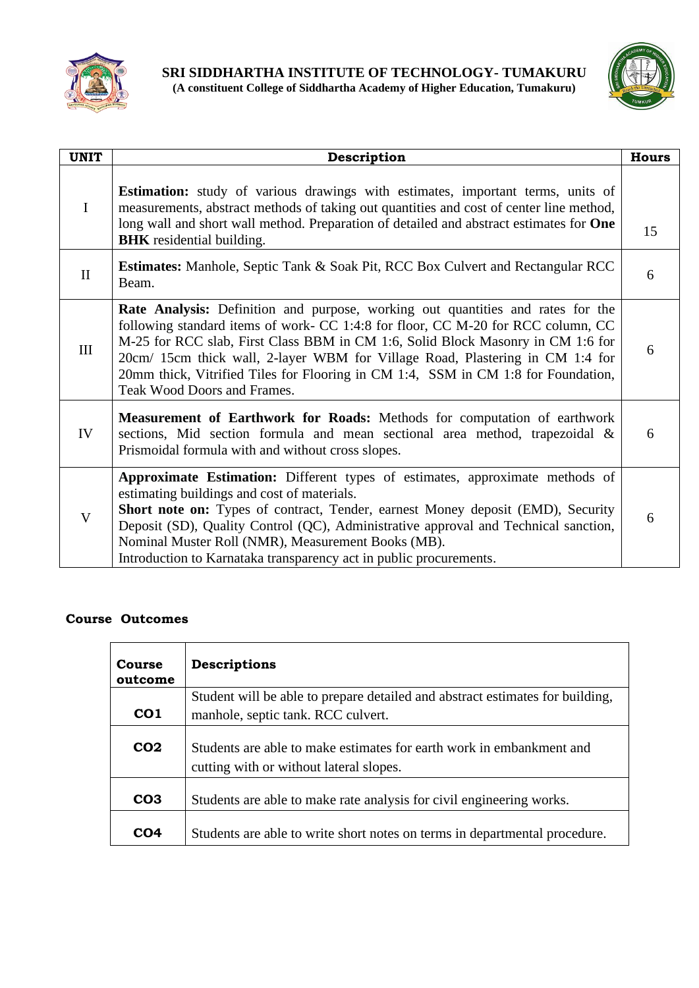



| <b>UNIT</b>             | Description                                                                                                                                                                                                                                                                                                                                                                                                                                                 | <b>Hours</b> |
|-------------------------|-------------------------------------------------------------------------------------------------------------------------------------------------------------------------------------------------------------------------------------------------------------------------------------------------------------------------------------------------------------------------------------------------------------------------------------------------------------|--------------|
| $\mathbf I$             | <b>Estimation:</b> study of various drawings with estimates, important terms, units of<br>measurements, abstract methods of taking out quantities and cost of center line method,<br>long wall and short wall method. Preparation of detailed and abstract estimates for One<br><b>BHK</b> residential building.                                                                                                                                            | 15           |
| $\mathbf{I}$            | <b>Estimates:</b> Manhole, Septic Tank & Soak Pit, RCC Box Culvert and Rectangular RCC<br>Beam.                                                                                                                                                                                                                                                                                                                                                             | 6            |
| III                     | Rate Analysis: Definition and purpose, working out quantities and rates for the<br>following standard items of work- CC 1:4:8 for floor, CC M-20 for RCC column, CC<br>M-25 for RCC slab, First Class BBM in CM 1:6, Solid Block Masonry in CM 1:6 for<br>20cm/ 15cm thick wall, 2-layer WBM for Village Road, Plastering in CM 1:4 for<br>20mm thick, Vitrified Tiles for Flooring in CM 1:4, SSM in CM 1:8 for Foundation,<br>Teak Wood Doors and Frames. | 6            |
| IV                      | Measurement of Earthwork for Roads: Methods for computation of earthwork<br>sections, Mid section formula and mean sectional area method, trapezoidal &<br>Prismoidal formula with and without cross slopes.                                                                                                                                                                                                                                                | 6            |
| $\overline{\mathsf{V}}$ | Approximate Estimation: Different types of estimates, approximate methods of<br>estimating buildings and cost of materials.<br>Short note on: Types of contract, Tender, earnest Money deposit (EMD), Security<br>Deposit (SD), Quality Control (QC), Administrative approval and Technical sanction,<br>Nominal Muster Roll (NMR), Measurement Books (MB).<br>Introduction to Karnataka transparency act in public procurements.                           | 6            |

| Course<br>outcome | Descriptions                                                                                                    |  |  |
|-------------------|-----------------------------------------------------------------------------------------------------------------|--|--|
|                   | Student will be able to prepare detailed and abstract estimates for building,                                   |  |  |
| CO <sub>1</sub>   | manhole, septic tank. RCC culvert.                                                                              |  |  |
| CO <sub>2</sub>   | Students are able to make estimates for earth work in embankment and<br>cutting with or without lateral slopes. |  |  |
| CO <sub>3</sub>   | Students are able to make rate analysis for civil engineering works.                                            |  |  |
| CO4               | Students are able to write short notes on terms in departmental procedure.                                      |  |  |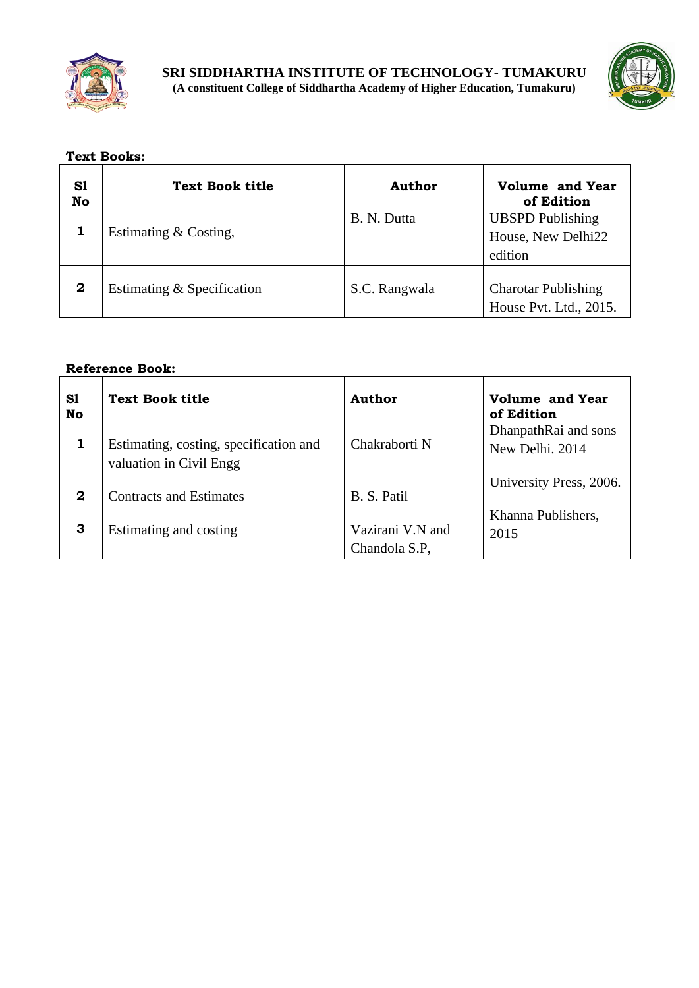



## **Text Books:**

| S1<br>No | <b>Text Book title</b>     | Author        | <b>Volume and Year</b><br>of Edition                     |
|----------|----------------------------|---------------|----------------------------------------------------------|
|          | Estimating & Costing,      | B. N. Dutta   | <b>UBSPD</b> Publishing<br>House, New Delhi22<br>edition |
| 2        | Estimating & Specification | S.C. Rangwala | <b>Charotar Publishing</b><br>House Pvt. Ltd., 2015.     |

| S1<br>No | <b>Text Book title</b>                                            | Author                            | Volume and Year<br>of Edition           |
|----------|-------------------------------------------------------------------|-----------------------------------|-----------------------------------------|
|          | Estimating, costing, specification and<br>valuation in Civil Engg | Chakraborti N                     | DhanpathRai and sons<br>New Delhi, 2014 |
| 2        | <b>Contracts and Estimates</b>                                    | B. S. Patil                       | University Press, 2006.                 |
| 3        | Estimating and costing                                            | Vazirani V.N and<br>Chandola S.P. | Khanna Publishers,<br>2015              |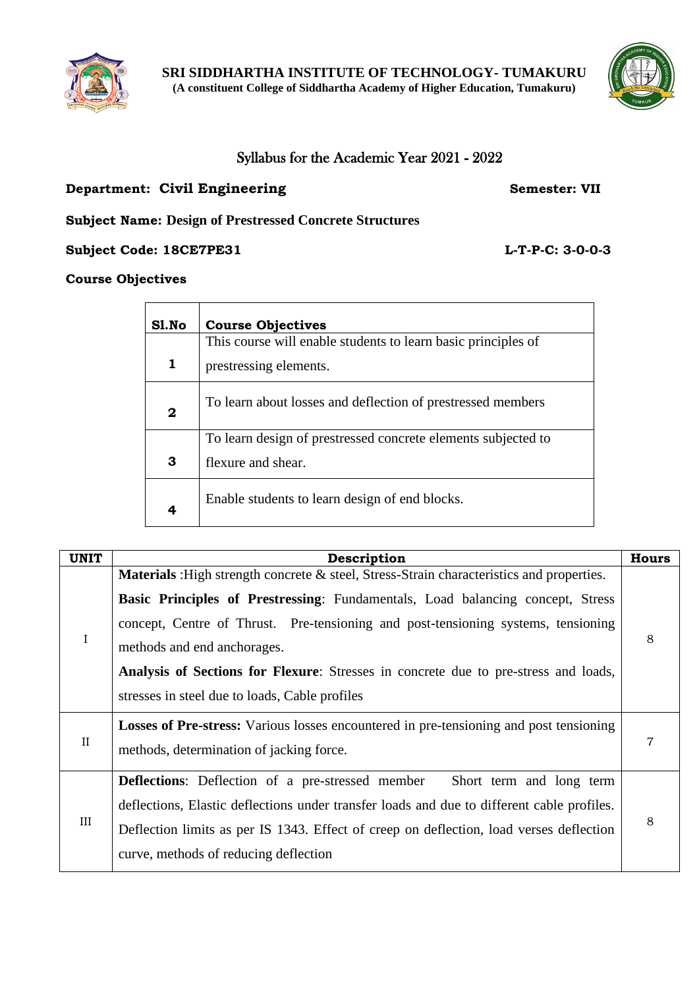



## Syllabus for the Academic Year 2021 - 2022

## **Department: Civil Engineering Semester: VII**

**Subject Name: Design of Prestressed Concrete Structures**

**Subject Code: 18CE7PE31 L-T-P-C: 3-0-0-3**

## **Course Objectives**

| Sl.No       | <b>Course Objectives</b>                                      |
|-------------|---------------------------------------------------------------|
|             | This course will enable students to learn basic principles of |
| 1           | prestressing elements.                                        |
| $\mathbf 2$ | To learn about losses and deflection of prestressed members   |
|             | To learn design of prestressed concrete elements subjected to |
| 3           | flexure and shear.                                            |
| 4           | Enable students to learn design of end blocks.                |

| <b>UNIT</b> | Description                                                                                                                                                                                                                                                                                                                                                                                                                                     | <b>Hours</b> |
|-------------|-------------------------------------------------------------------------------------------------------------------------------------------------------------------------------------------------------------------------------------------------------------------------------------------------------------------------------------------------------------------------------------------------------------------------------------------------|--------------|
| $\rm I$     | <b>Materials</b> : High strength concrete & steel, Stress-Strain characteristics and properties.<br>Basic Principles of Prestressing: Fundamentals, Load balancing concept, Stress<br>concept, Centre of Thrust. Pre-tensioning and post-tensioning systems, tensioning<br>methods and end anchorages.<br>Analysis of Sections for Flexure: Stresses in concrete due to pre-stress and loads,<br>stresses in steel due to loads, Cable profiles | 8            |
|             |                                                                                                                                                                                                                                                                                                                                                                                                                                                 |              |
| $\rm II$    | <b>Losses of Pre-stress:</b> Various losses encountered in pre-tensioning and post tensioning<br>methods, determination of jacking force.                                                                                                                                                                                                                                                                                                       | 7            |
| $\rm III$   | <b>Deflections:</b> Deflection of a pre-stressed member<br>Short term and long term<br>deflections, Elastic deflections under transfer loads and due to different cable profiles.<br>Deflection limits as per IS 1343. Effect of creep on deflection, load verses deflection<br>curve, methods of reducing deflection                                                                                                                           | 8            |

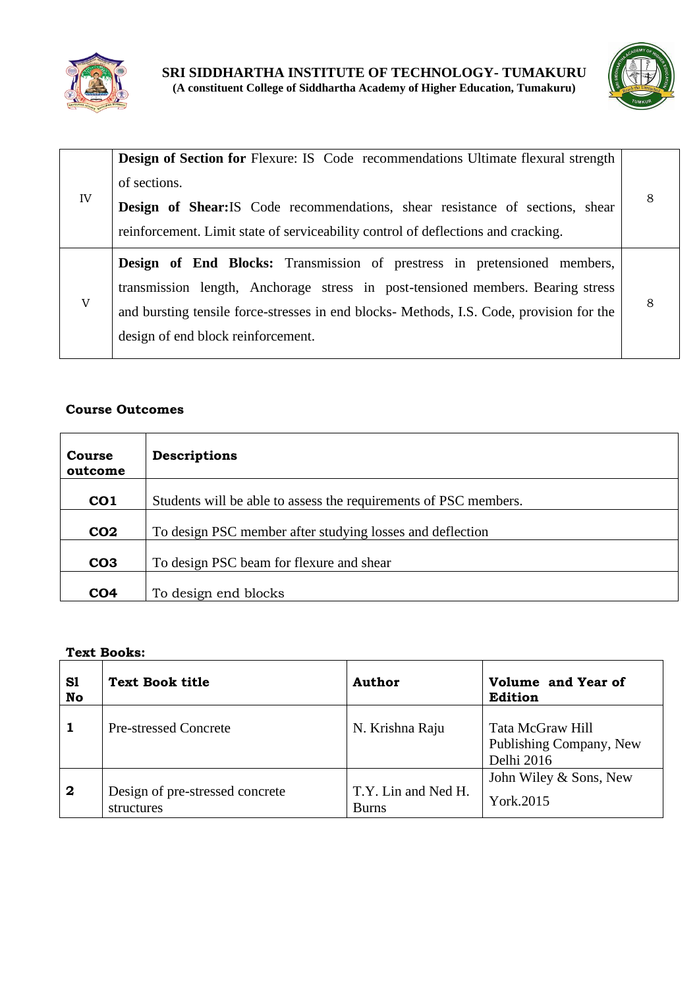



|    | <b>Design of Section for Flexure: IS Code recommendations Ultimate flexural strength</b><br>of sections.                                                                                                                                                                                             |   |
|----|------------------------------------------------------------------------------------------------------------------------------------------------------------------------------------------------------------------------------------------------------------------------------------------------------|---|
| IV | Design of Shear: IS Code recommendations, shear resistance of sections, shear<br>reinforcement. Limit state of serviceability control of deflections and cracking.                                                                                                                                   |   |
| V  | <b>Design of End Blocks:</b> Transmission of prestress in pretensioned members,<br>transmission length, Anchorage stress in post-tensioned members. Bearing stress<br>and bursting tensile force-stresses in end blocks- Methods, I.S. Code, provision for the<br>design of end block reinforcement. | 8 |

| <b>Course</b><br>outcome | <b>Descriptions</b>                                              |
|--------------------------|------------------------------------------------------------------|
| CO <sub>1</sub>          | Students will be able to assess the requirements of PSC members. |
| CO <sub>2</sub>          | To design PSC member after studying losses and deflection        |
| CO <sub>3</sub>          | To design PSC beam for flexure and shear                         |
| CO <sub>4</sub>          | To design end blocks                                             |

## **Text Books:**

| S1<br>No         | <b>Text Book title</b>                        | Author                              | Volume and Year of<br>Edition                             |
|------------------|-----------------------------------------------|-------------------------------------|-----------------------------------------------------------|
|                  | <b>Pre-stressed Concrete</b>                  | N. Krishna Raju                     | Tata McGraw Hill<br>Publishing Company, New<br>Delhi 2016 |
| $\boldsymbol{2}$ | Design of pre-stressed concrete<br>structures | T.Y. Lin and Ned H.<br><b>Burns</b> | John Wiley & Sons, New<br>York.2015                       |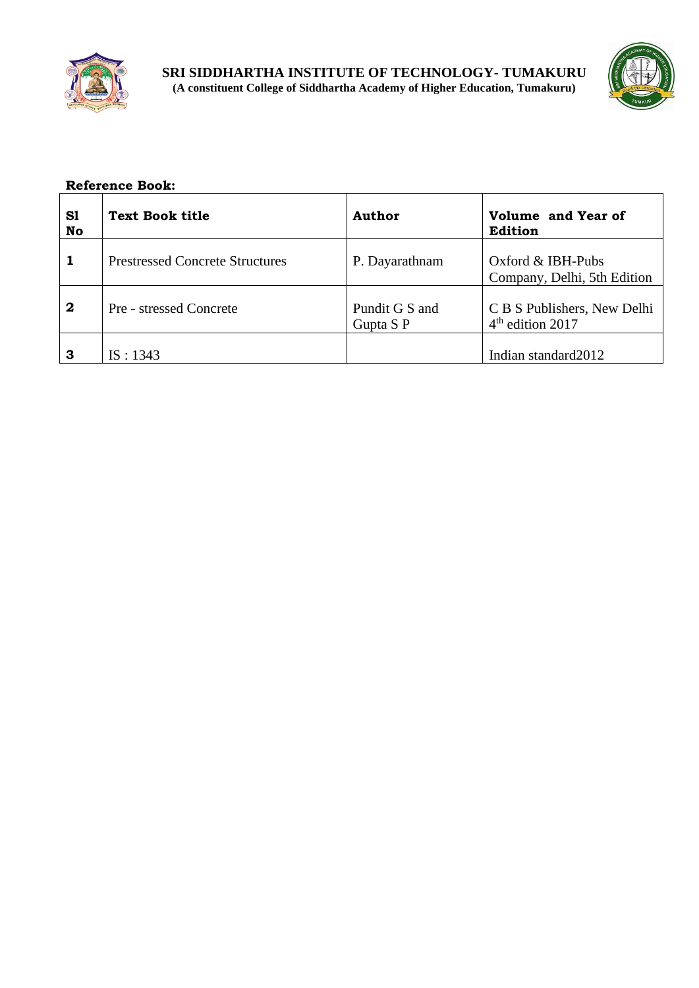



| S1<br>No         | <b>Text Book title</b>                 | Author                      | Volume and Year of<br>Edition                               |
|------------------|----------------------------------------|-----------------------------|-------------------------------------------------------------|
|                  | <b>Prestressed Concrete Structures</b> | P. Dayarathnam              | Oxford $&$ IBH-Pubs<br>Company, Delhi, 5th Edition          |
| $\boldsymbol{2}$ | Pre - stressed Concrete                | Pundit G S and<br>Gupta S P | C B S Publishers, New Delhi<br>4 <sup>th</sup> edition 2017 |
| 3                | IS: 1343                               |                             | Indian standard 2012                                        |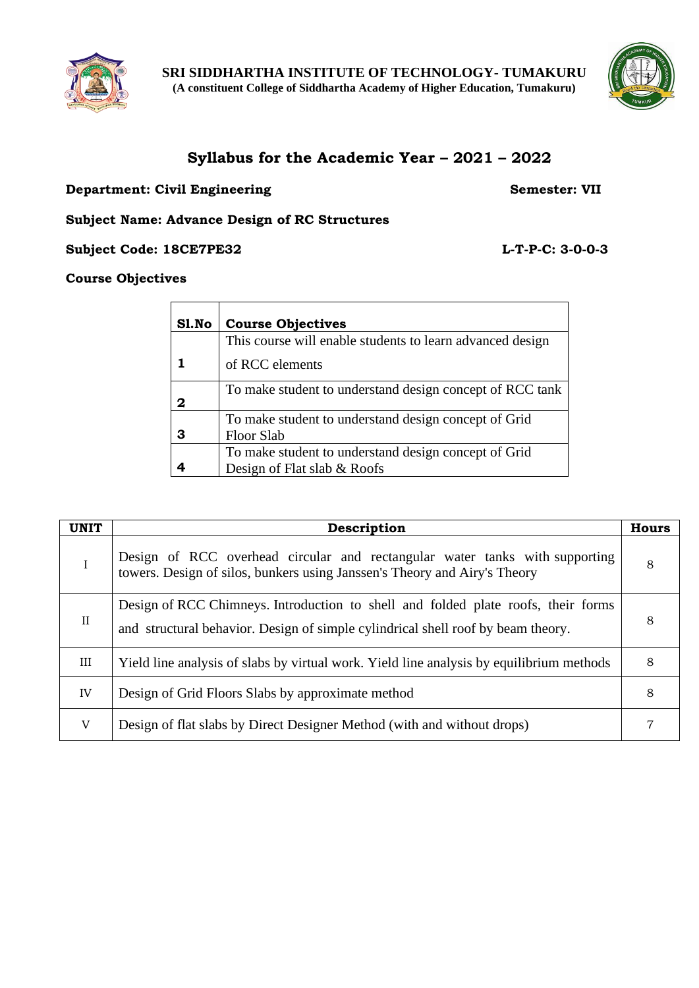



## **Syllabus for the Academic Year – 2021 – 2022**

## **Department: Civil Engineering Semester: VII**

**Subject Name: Advance Design of RC Structures**

**Subject Code: 18CE7PE32 L-T-P-C: 3-0-0-3**

## **Course Objectives**

| Sl.No | <b>Course Objectives</b>                                  |
|-------|-----------------------------------------------------------|
|       | This course will enable students to learn advanced design |
|       | of RCC elements                                           |
| 2     | To make student to understand design concept of RCC tank  |
|       | To make student to understand design concept of Grid      |
|       | Floor Slab                                                |
|       | To make student to understand design concept of Grid      |
|       | Design of Flat slab & Roofs                               |

| <b>UNIT</b> | Description                                                                                                                                                           |   |
|-------------|-----------------------------------------------------------------------------------------------------------------------------------------------------------------------|---|
| I           | Design of RCC overhead circular and rectangular water tanks with supporting<br>towers. Design of silos, bunkers using Janssen's Theory and Airy's Theory              | 8 |
| $_{\rm II}$ | Design of RCC Chimneys. Introduction to shell and folded plate roofs, their forms<br>and structural behavior. Design of simple cylindrical shell roof by beam theory. | 8 |
| III         | Yield line analysis of slabs by virtual work. Yield line analysis by equilibrium methods                                                                              | 8 |
| IV          | Design of Grid Floors Slabs by approximate method                                                                                                                     | 8 |
| V           | Design of flat slabs by Direct Designer Method (with and without drops)                                                                                               |   |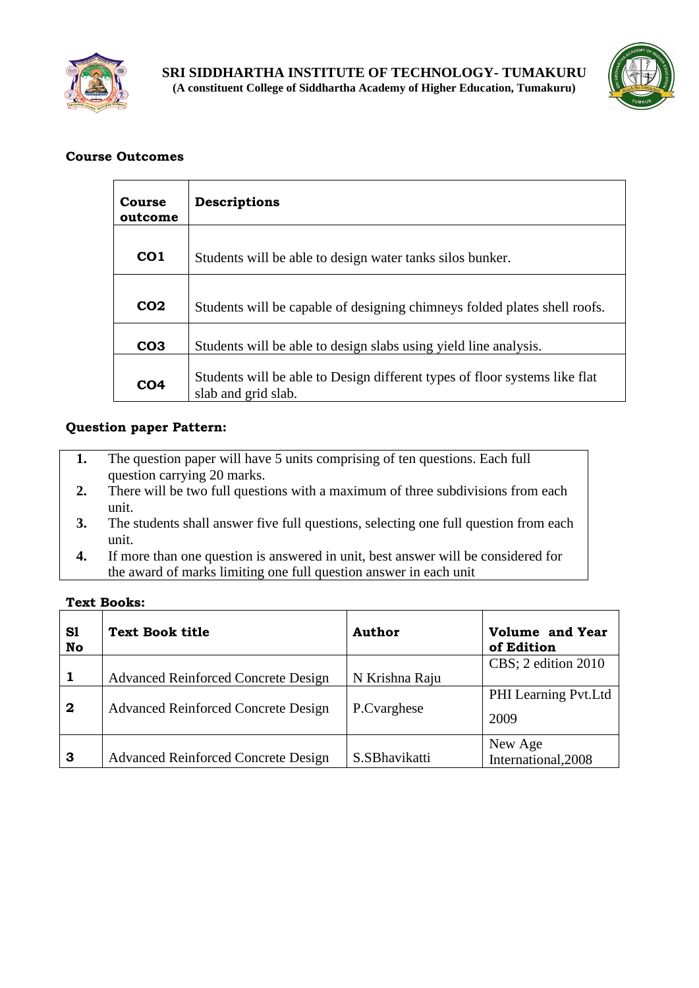



| Course<br>outcome | Descriptions                                                                                      |
|-------------------|---------------------------------------------------------------------------------------------------|
| CO <sub>1</sub>   | Students will be able to design water tanks silos bunker.                                         |
| CO <sub>2</sub>   | Students will be capable of designing chimneys folded plates shell roofs.                         |
| CO <sub>3</sub>   | Students will be able to design slabs using yield line analysis.                                  |
| CO <sub>4</sub>   | Students will be able to Design different types of floor systems like flat<br>slab and grid slab. |

## **Question paper Pattern:**

- **1.** The question paper will have 5 units comprising of ten questions. Each full question carrying 20 marks.
- **2.** There will be two full questions with a maximum of three subdivisions from each unit.
- **3.** The students shall answer five full questions, selecting one full question from each unit.
- **4.** If more than one question is answered in unit, best answer will be considered for the award of marks limiting one full question answer in each unit

**Text Books:**

| S1<br>No     | <b>Text Book title</b>                                                                   | Author                        | <b>Volume and Year</b><br>of Edition                |
|--------------|------------------------------------------------------------------------------------------|-------------------------------|-----------------------------------------------------|
| $\mathbf{2}$ | <b>Advanced Reinforced Concrete Design</b><br><b>Advanced Reinforced Concrete Design</b> | N Krishna Raju<br>P.Cvarghese | CBS; 2 edition 2010<br>PHI Learning Pvt.Ltd<br>2009 |
| 3            | <b>Advanced Reinforced Concrete Design</b>                                               | S.SBhavikatti                 | New Age<br>International, 2008                      |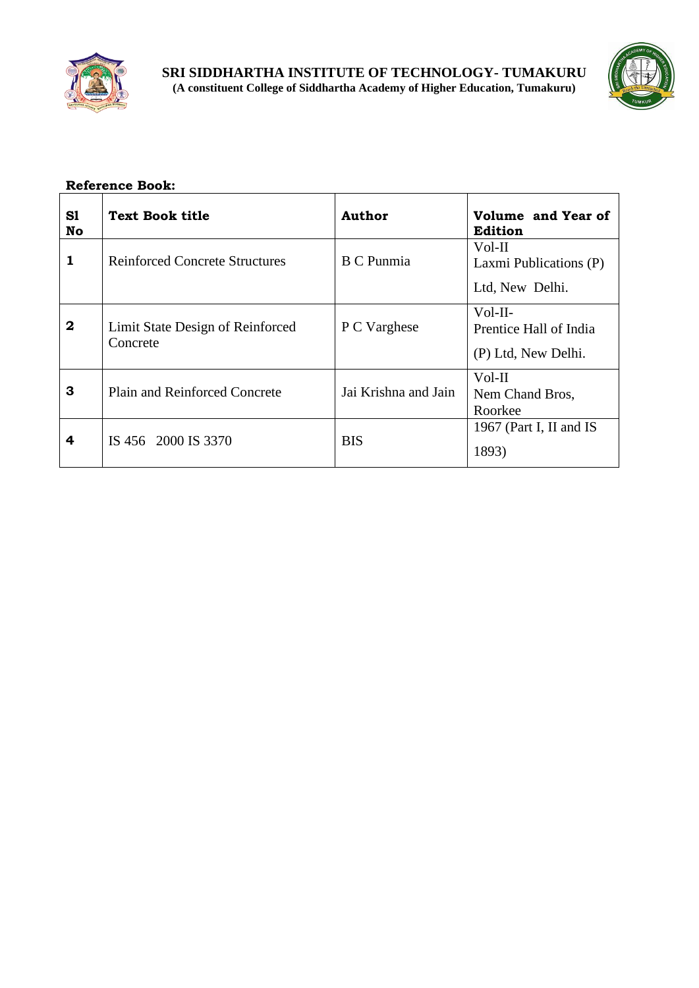



| S1<br>No | <b>Text Book title</b>                       | <b>Author</b>        | Volume and Year of<br><b>Edition</b>                       |
|----------|----------------------------------------------|----------------------|------------------------------------------------------------|
| 1        | <b>Reinforced Concrete Structures</b>        | <b>B</b> C Punmia    | Vol-II<br>Laxmi Publications (P)<br>Ltd, New Delhi.        |
| $\bf{2}$ | Limit State Design of Reinforced<br>Concrete | P C Varghese         | $Vol-II-$<br>Prentice Hall of India<br>(P) Ltd, New Delhi. |
| 3        | <b>Plain and Reinforced Concrete</b>         | Jai Krishna and Jain | Vol-II<br>Nem Chand Bros,<br>Roorkee                       |
| 4        | IS 456 2000 IS 3370                          | BIS                  | 1967 (Part I, II and IS<br>1893)                           |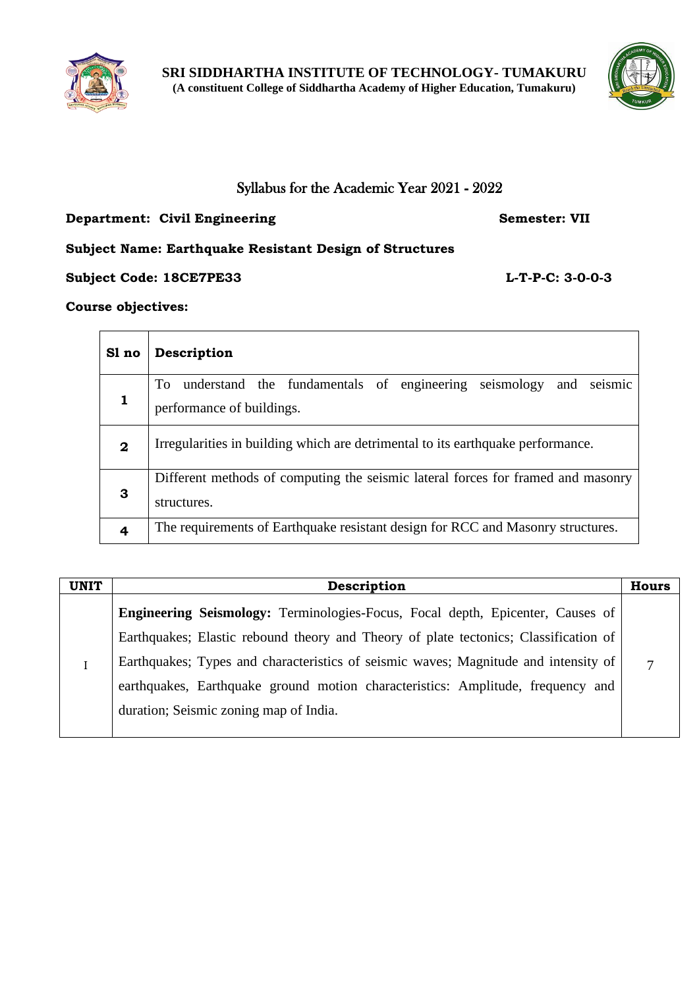



## Syllabus for the Academic Year 2021 - 2022

## **Department: Civil Engineering Semester: VII**

## **Subject Name: Earthquake Resistant Design of Structures**

## **Subject Code: 18CE7PE33 L-T-P-C: 3-0-0-3**

## **Course objectives:**

| Sl no            | Description                                                                                                    |  |  |
|------------------|----------------------------------------------------------------------------------------------------------------|--|--|
| 1                | understand the fundamentals of engineering<br>seismology<br>seismic<br>To.<br>and<br>performance of buildings. |  |  |
| $\boldsymbol{2}$ | Irregularities in building which are detrimental to its earthquake performance.                                |  |  |
| 3                | Different methods of computing the seismic lateral forces for framed and masonry<br>structures.                |  |  |
|                  | The requirements of Earthquake resistant design for RCC and Masonry structures.                                |  |  |

| <b>UNIT</b> | Description                                                                          |  |
|-------------|--------------------------------------------------------------------------------------|--|
|             | Engineering Seismology: Terminologies-Focus, Focal depth, Epicenter, Causes of       |  |
|             | Earthquakes; Elastic rebound theory and Theory of plate tectonics; Classification of |  |
|             | Earthquakes; Types and characteristics of seismic waves; Magnitude and intensity of  |  |
|             | earthquakes, Earthquake ground motion characteristics: Amplitude, frequency and      |  |
|             | duration; Seismic zoning map of India.                                               |  |
|             |                                                                                      |  |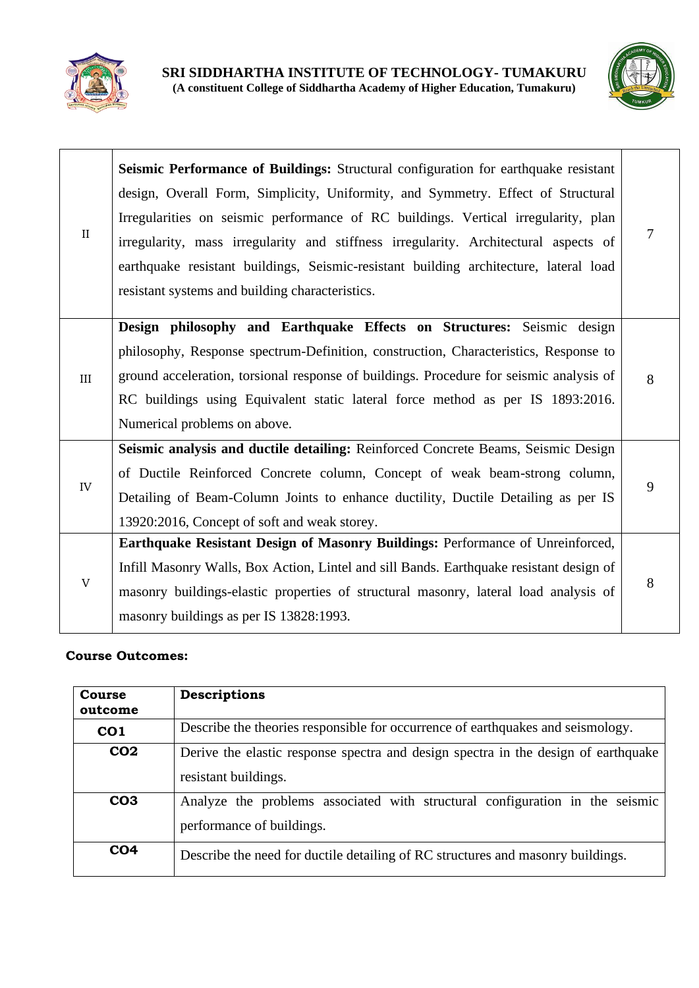



| $\mathbf{I}$ | Seismic Performance of Buildings: Structural configuration for earthquake resistant<br>design, Overall Form, Simplicity, Uniformity, and Symmetry. Effect of Structural<br>Irregularities on seismic performance of RC buildings. Vertical irregularity, plan<br>irregularity, mass irregularity and stiffness irregularity. Architectural aspects of<br>earthquake resistant buildings, Seismic-resistant building architecture, lateral load<br>resistant systems and building characteristics. | 7 |
|--------------|---------------------------------------------------------------------------------------------------------------------------------------------------------------------------------------------------------------------------------------------------------------------------------------------------------------------------------------------------------------------------------------------------------------------------------------------------------------------------------------------------|---|
| III          | Design philosophy and Earthquake Effects on Structures: Seismic design<br>philosophy, Response spectrum-Definition, construction, Characteristics, Response to<br>ground acceleration, torsional response of buildings. Procedure for seismic analysis of<br>RC buildings using Equivalent static lateral force method as per IS 1893:2016.<br>Numerical problems on above.                                                                                                                       | 8 |
| IV           | Seismic analysis and ductile detailing: Reinforced Concrete Beams, Seismic Design<br>of Ductile Reinforced Concrete column, Concept of weak beam-strong column,<br>Detailing of Beam-Column Joints to enhance ductility, Ductile Detailing as per IS<br>13920:2016, Concept of soft and weak storey.                                                                                                                                                                                              | 9 |
| V            | Earthquake Resistant Design of Masonry Buildings: Performance of Unreinforced,<br>Infill Masonry Walls, Box Action, Lintel and sill Bands. Earthquake resistant design of<br>masonry buildings-elastic properties of structural masonry, lateral load analysis of<br>masonry buildings as per IS 13828:1993.                                                                                                                                                                                      | 8 |

| Course<br>outcome | <b>Descriptions</b>                                                                                        |  |  |
|-------------------|------------------------------------------------------------------------------------------------------------|--|--|
| CO <sub>1</sub>   | Describe the theories responsible for occurrence of earthquakes and seismology.                            |  |  |
| CO <sub>2</sub>   | Derive the elastic response spectra and design spectra in the design of earthquake<br>resistant buildings. |  |  |
| CO <sub>3</sub>   | Analyze the problems associated with structural configuration in the seismic<br>performance of buildings.  |  |  |
| CO <sub>4</sub>   | Describe the need for ductile detailing of RC structures and masonry buildings.                            |  |  |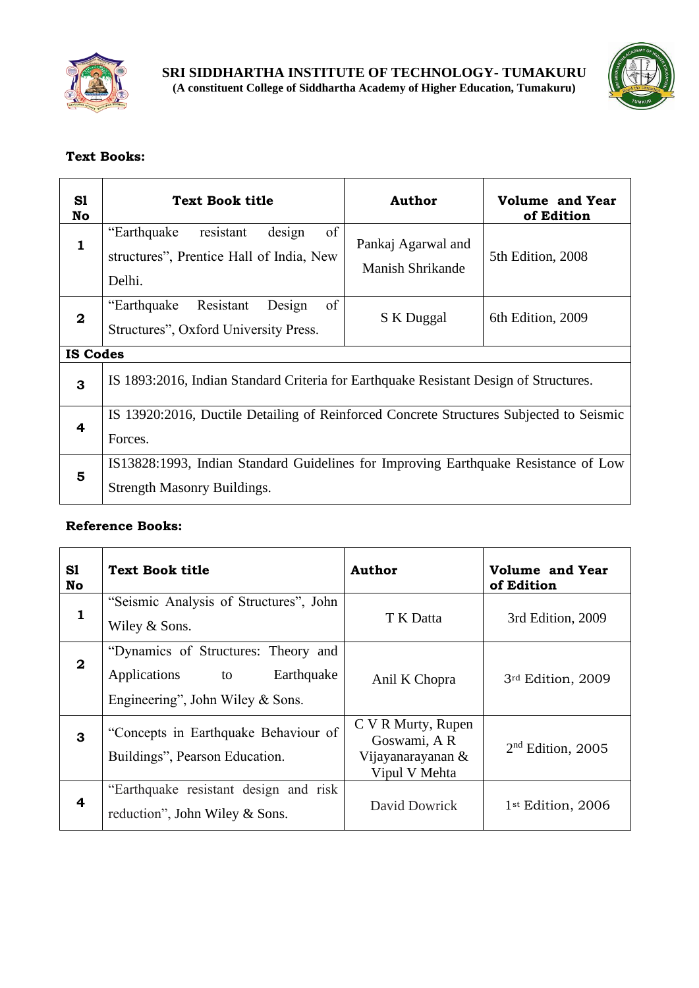



## **Text Books:**

| S1<br>No     | <b>Text Book title</b>                                                                          | <b>Author</b>                          | <b>Volume and Year</b><br>of Edition |  |  |
|--------------|-------------------------------------------------------------------------------------------------|----------------------------------------|--------------------------------------|--|--|
| $\mathbf{1}$ | of<br>design<br>"Earthquake"<br>resistant<br>structures", Prentice Hall of India, New<br>Delhi. | Pankaj Agarwal and<br>Manish Shrikande | 5th Edition, 2008                    |  |  |
| $\mathbf 2$  | of<br>Resistant<br>"Earthquake"<br>Design<br>Structures", Oxford University Press.              | S K Duggal                             | 6th Edition, 2009                    |  |  |
|              | <b>IS Codes</b>                                                                                 |                                        |                                      |  |  |
| 3            | IS 1893:2016, Indian Standard Criteria for Earthquake Resistant Design of Structures.           |                                        |                                      |  |  |
|              | IS 13920:2016, Ductile Detailing of Reinforced Concrete Structures Subjected to Seismic         |                                        |                                      |  |  |
| 4            | Forces.                                                                                         |                                        |                                      |  |  |
|              | IS13828:1993, Indian Standard Guidelines for Improving Earthquake Resistance of Low             |                                        |                                      |  |  |
| 5            | <b>Strength Masonry Buildings.</b>                                                              |                                        |                                      |  |  |

| S1<br>No           | <b>Text Book title</b>                                                                                      | <b>Author</b>                                                           | <b>Volume and Year</b><br>of Edition |
|--------------------|-------------------------------------------------------------------------------------------------------------|-------------------------------------------------------------------------|--------------------------------------|
| 1                  | "Seismic Analysis of Structures", John<br>Wiley & Sons.                                                     | T K Datta                                                               | 3rd Edition, 2009                    |
| $\bf{2}$           | "Dynamics of Structures: Theory and<br>Earthquake<br>Applications<br>to<br>Engineering", John Wiley & Sons. | Anil K Chopra                                                           | 3rd Edition, 2009                    |
| 3                  | "Concepts in Earthquake Behaviour of<br>Buildings", Pearson Education.                                      | C V R Murty, Rupen<br>Goswami, AR<br>Vijayanarayanan &<br>Vipul V Mehta | $2nd$ Edition, 2005                  |
| $\overline{\bf 4}$ | "Earthquake resistant design and risk<br>reduction", John Wiley & Sons.                                     | David Dowrick                                                           | 1 <sup>st</sup> Edition, 2006        |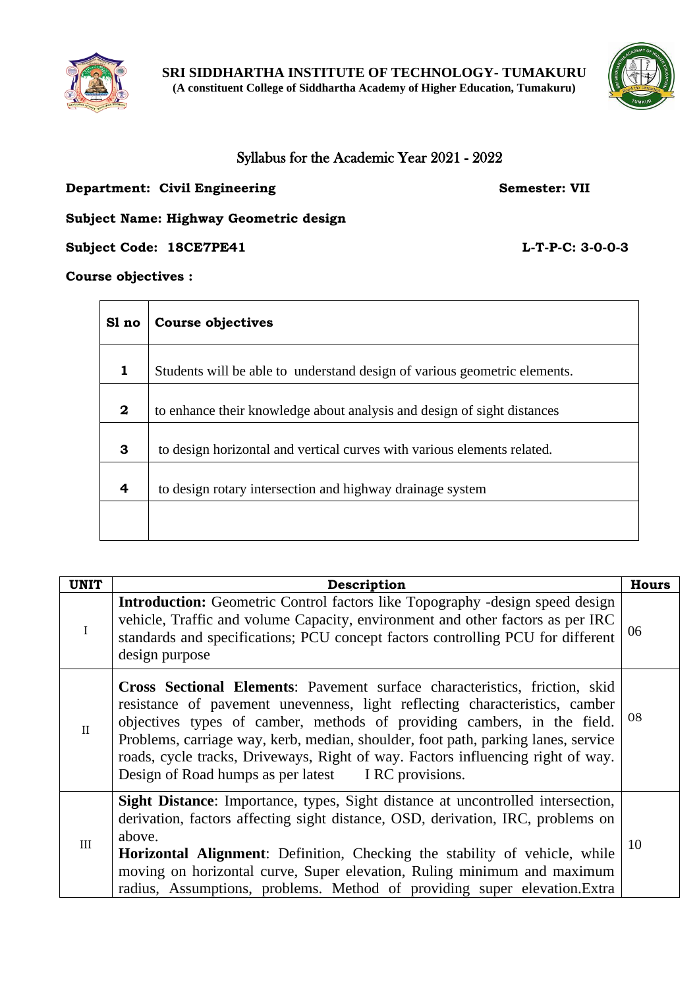



## Syllabus for the Academic Year 2021 - 2022

### **Department: Civil Engineering Semester: VII**

## **Subject Name: Highway Geometric design**

**Subject Code: 18CE7PE41 L-T-P-C: 3-0-0-3** 

**Course objectives :** 

| Sl no        | <b>Course objectives</b>                                                  |  |  |
|--------------|---------------------------------------------------------------------------|--|--|
| $\mathbf{1}$ | Students will be able to understand design of various geometric elements. |  |  |
| $\mathbf{2}$ | to enhance their knowledge about analysis and design of sight distances   |  |  |
| 3            | to design horizontal and vertical curves with various elements related.   |  |  |
| 4            | to design rotary intersection and highway drainage system                 |  |  |
|              |                                                                           |  |  |

| <b>UNIT</b>  | Description                                                                                                                                                                                                                                                                                                                                                                                                                                                               | <b>Hours</b> |
|--------------|---------------------------------------------------------------------------------------------------------------------------------------------------------------------------------------------------------------------------------------------------------------------------------------------------------------------------------------------------------------------------------------------------------------------------------------------------------------------------|--------------|
| $\rm I$      | <b>Introduction:</b> Geometric Control factors like Topography -design speed design<br>vehicle, Traffic and volume Capacity, environment and other factors as per IRC<br>standards and specifications; PCU concept factors controlling PCU for different<br>design purpose                                                                                                                                                                                                | 06           |
| $\mathbf{I}$ | <b>Cross Sectional Elements:</b> Pavement surface characteristics, friction, skid<br>resistance of pavement unevenness, light reflecting characteristics, camber<br>objectives types of camber, methods of providing cambers, in the field.<br>Problems, carriage way, kerb, median, shoulder, foot path, parking lanes, service<br>roads, cycle tracks, Driveways, Right of way. Factors influencing right of way.<br>Design of Road humps as per latest IRC provisions. | 08           |
| III          | Sight Distance: Importance, types, Sight distance at uncontrolled intersection,<br>derivation, factors affecting sight distance, OSD, derivation, IRC, problems on<br>above.<br>Horizontal Alignment: Definition, Checking the stability of vehicle, while<br>moving on horizontal curve, Super elevation, Ruling minimum and maximum<br>radius, Assumptions, problems. Method of providing super elevation. Extra                                                        | 10           |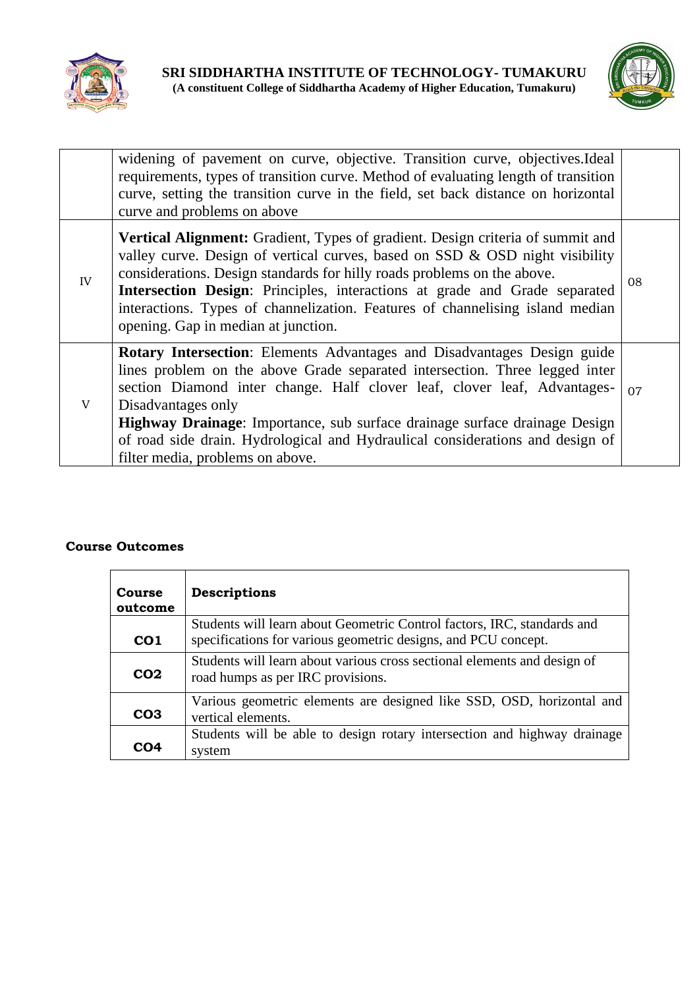



|    | widening of pavement on curve, objective. Transition curve, objectives. Ideal<br>requirements, types of transition curve. Method of evaluating length of transition<br>curve, setting the transition curve in the field, set back distance on horizontal<br>curve and problems on above                                                                                                                                                                            |    |
|----|--------------------------------------------------------------------------------------------------------------------------------------------------------------------------------------------------------------------------------------------------------------------------------------------------------------------------------------------------------------------------------------------------------------------------------------------------------------------|----|
| IV | <b>Vertical Alignment:</b> Gradient, Types of gradient. Design criteria of summit and<br>valley curve. Design of vertical curves, based on SSD & OSD night visibility<br>considerations. Design standards for hilly roads problems on the above.<br>Intersection Design: Principles, interactions at grade and Grade separated<br>interactions. Types of channelization. Features of channelising island median<br>opening. Gap in median at junction.             | 08 |
| V  | <b>Rotary Intersection:</b> Elements Advantages and Disadvantages Design guide<br>lines problem on the above Grade separated intersection. Three legged inter<br>section Diamond inter change. Half clover leaf, clover leaf, Advantages-<br>Disadvantages only<br>Highway Drainage: Importance, sub surface drainage surface drainage Design<br>of road side drain. Hydrological and Hydraulical considerations and design of<br>filter media, problems on above. | 07 |

| <b>Course</b><br>outcome | Descriptions                                                                                                                              |
|--------------------------|-------------------------------------------------------------------------------------------------------------------------------------------|
| CO <sub>1</sub>          | Students will learn about Geometric Control factors, IRC, standards and<br>specifications for various geometric designs, and PCU concept. |
| CO <sub>2</sub>          | Students will learn about various cross sectional elements and design of<br>road humps as per IRC provisions.                             |
| CO <sub>3</sub>          | Various geometric elements are designed like SSD, OSD, horizontal and<br>vertical elements.                                               |
| CO4                      | Students will be able to design rotary intersection and highway drainage<br>system                                                        |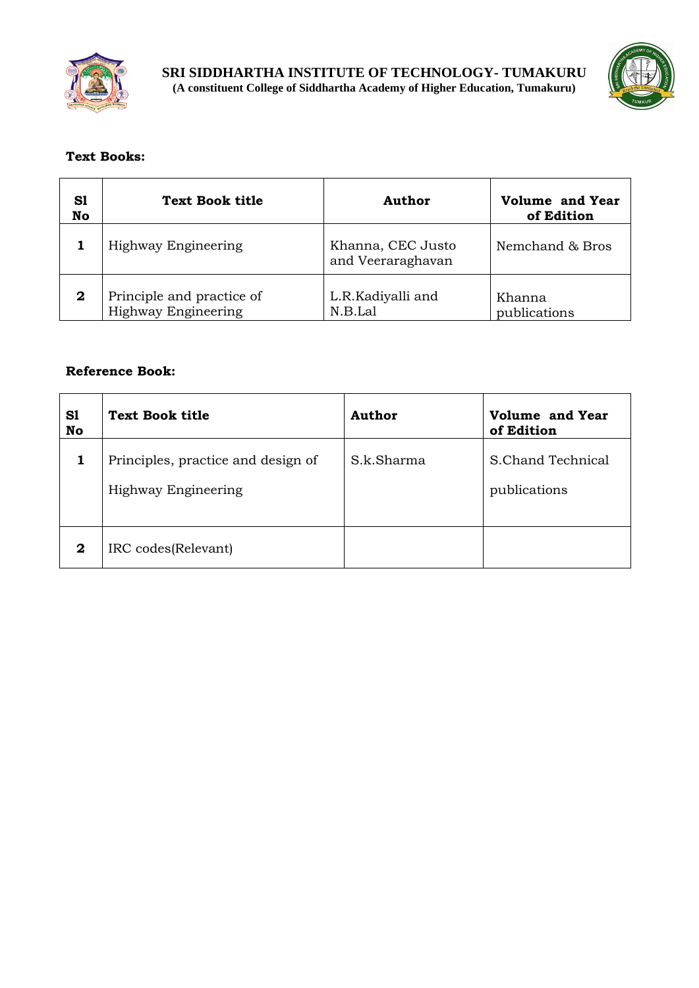



## **Text Books:**

| S1<br>No    | <b>Text Book title</b>                           | Author                                 | <b>Volume and Year</b><br>of Edition |
|-------------|--------------------------------------------------|----------------------------------------|--------------------------------------|
|             | Highway Engineering                              | Khanna, CEC Justo<br>and Veeraraghavan | Nemchand & Bros                      |
| $\mathbf 2$ | Principle and practice of<br>Highway Engineering | L.R.Kadiyalli and<br>N.B.Lal           | Khanna<br>publications               |

| S1<br>No    | <b>Text Book title</b>                                    | <b>Author</b> | <b>Volume and Year</b><br>of Edition |
|-------------|-----------------------------------------------------------|---------------|--------------------------------------|
|             | Principles, practice and design of<br>Highway Engineering | S.k.Sharma    | S.Chand Technical<br>publications    |
| $\mathbf 2$ | IRC codes(Relevant)                                       |               |                                      |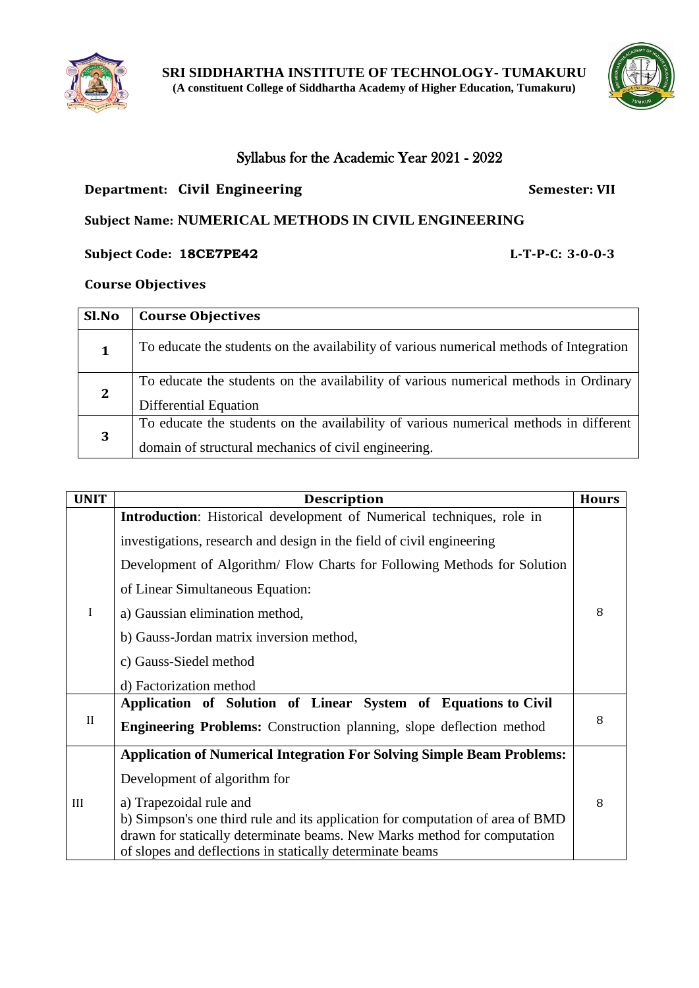



## Syllabus for the Academic Year 2021 - 2022

## **Department: Civil Engineering <b>Semester:** VII

# **Subject Name: NUMERICAL METHODS IN CIVIL ENGINEERING**

**Subject Code: 18CE7PE42 L-T-P-C: 3-0-0-3**

## **Course Objectives**

| Sl.No        | <b>Course Objectives</b>                                                                |
|--------------|-----------------------------------------------------------------------------------------|
| 1            | To educate the students on the availability of various numerical methods of Integration |
| $\mathbf{2}$ | To educate the students on the availability of various numerical methods in Ordinary    |
|              | Differential Equation                                                                   |
|              | To educate the students on the availability of various numerical methods in different   |
| 3            | domain of structural mechanics of civil engineering.                                    |

| <b>UNIT</b>  | <b>Description</b>                                                             | <b>Hours</b> |
|--------------|--------------------------------------------------------------------------------|--------------|
|              | Introduction: Historical development of Numerical techniques, role in          |              |
|              | investigations, research and design in the field of civil engineering          |              |
|              | Development of Algorithm/ Flow Charts for Following Methods for Solution       |              |
|              | of Linear Simultaneous Equation:                                               |              |
| $\mathbf I$  | a) Gaussian elimination method,                                                | 8            |
|              | b) Gauss-Jordan matrix inversion method,                                       |              |
|              | c) Gauss-Siedel method                                                         |              |
|              | d) Factorization method                                                        |              |
|              | Application of Solution of Linear System of Equations to Civil                 |              |
| $\mathbf{I}$ | <b>Engineering Problems:</b> Construction planning, slope deflection method    | 8            |
|              | <b>Application of Numerical Integration For Solving Simple Beam Problems:</b>  |              |
|              | Development of algorithm for                                                   |              |
| III          | a) Trapezoidal rule and                                                        | 8            |
|              | b) Simpson's one third rule and its application for computation of area of BMD |              |
|              | drawn for statically determinate beams. New Marks method for computation       |              |
|              | of slopes and deflections in statically determinate beams                      |              |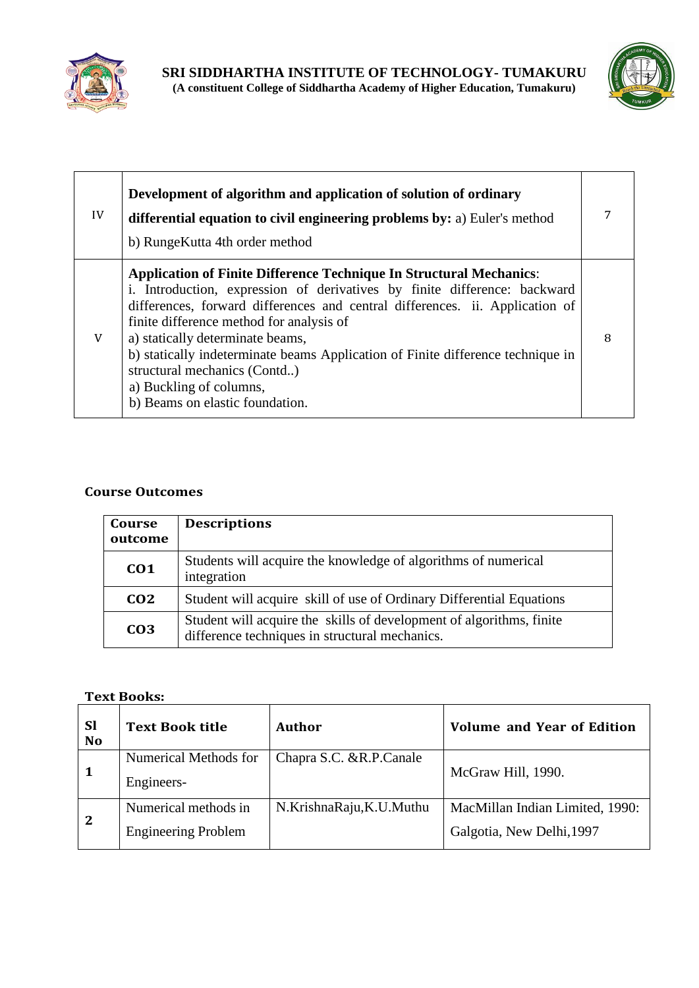



| IV | Development of algorithm and application of solution of ordinary<br>differential equation to civil engineering problems by: a) Euler's method<br>b) RungeKutta 4th order method                                                                                                                                                                                                                                                                                                                          |   |
|----|----------------------------------------------------------------------------------------------------------------------------------------------------------------------------------------------------------------------------------------------------------------------------------------------------------------------------------------------------------------------------------------------------------------------------------------------------------------------------------------------------------|---|
| V  | <b>Application of Finite Difference Technique In Structural Mechanics:</b><br>i. Introduction, expression of derivatives by finite difference: backward<br>differences, forward differences and central differences. ii. Application of<br>finite difference method for analysis of<br>a) statically determinate beams,<br>b) statically indeterminate beams Application of Finite difference technique in<br>structural mechanics (Contd)<br>a) Buckling of columns,<br>b) Beams on elastic foundation. | 8 |

| Course<br>outcome | <b>Descriptions</b>                                                                                                    |
|-------------------|------------------------------------------------------------------------------------------------------------------------|
| CO <sub>1</sub>   | Students will acquire the knowledge of algorithms of numerical<br>integration                                          |
| CO <sub>2</sub>   | Student will acquire skill of use of Ordinary Differential Equations                                                   |
| CO <sub>3</sub>   | Student will acquire the skills of development of algorithms, finite<br>difference techniques in structural mechanics. |

#### **Text Books:**

| <b>Sl</b><br><b>No</b> | <b>Text Book title</b>                             | Author                    | <b>Volume and Year of Edition</b>                            |
|------------------------|----------------------------------------------------|---------------------------|--------------------------------------------------------------|
| 1                      | Numerical Methods for<br>Engineers-                | Chapra S.C. & R.P. Canale | McGraw Hill, 1990.                                           |
| $\mathbf{2}$           | Numerical methods in<br><b>Engineering Problem</b> | N.KrishnaRaju,K.U.Muthu   | MacMillan Indian Limited, 1990:<br>Galgotia, New Delhi, 1997 |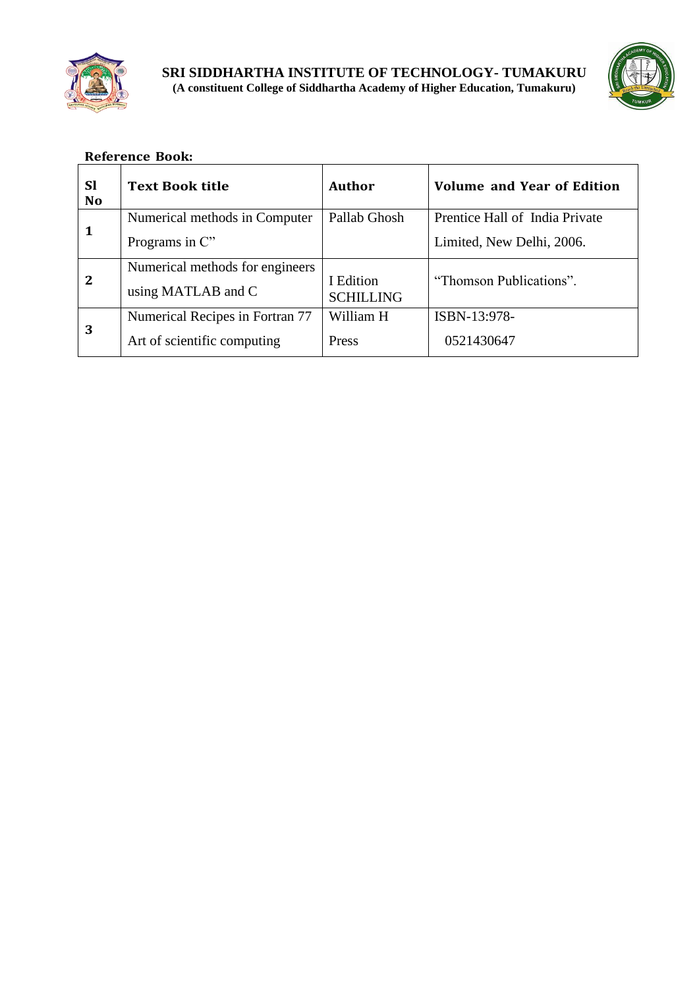



|              | <b>Sl</b><br><b>No</b> | <b>Text Book title</b>          | Author                  | <b>Volume and Year of Edition</b> |
|--------------|------------------------|---------------------------------|-------------------------|-----------------------------------|
|              |                        | Numerical methods in Computer   | Pallab Ghosh            | Prentice Hall of India Private    |
|              |                        | Programs in C"                  |                         | Limited, New Delhi, 2006.         |
|              |                        | Numerical methods for engineers |                         |                                   |
| $\mathbf{2}$ | using MATLAB and C     | I Edition<br><b>SCHILLING</b>   | "Thomson Publications". |                                   |
|              |                        | Numerical Recipes in Fortran 77 | William H               | ISBN-13:978-                      |
|              | 3                      | Art of scientific computing     | Press                   | 0521430647                        |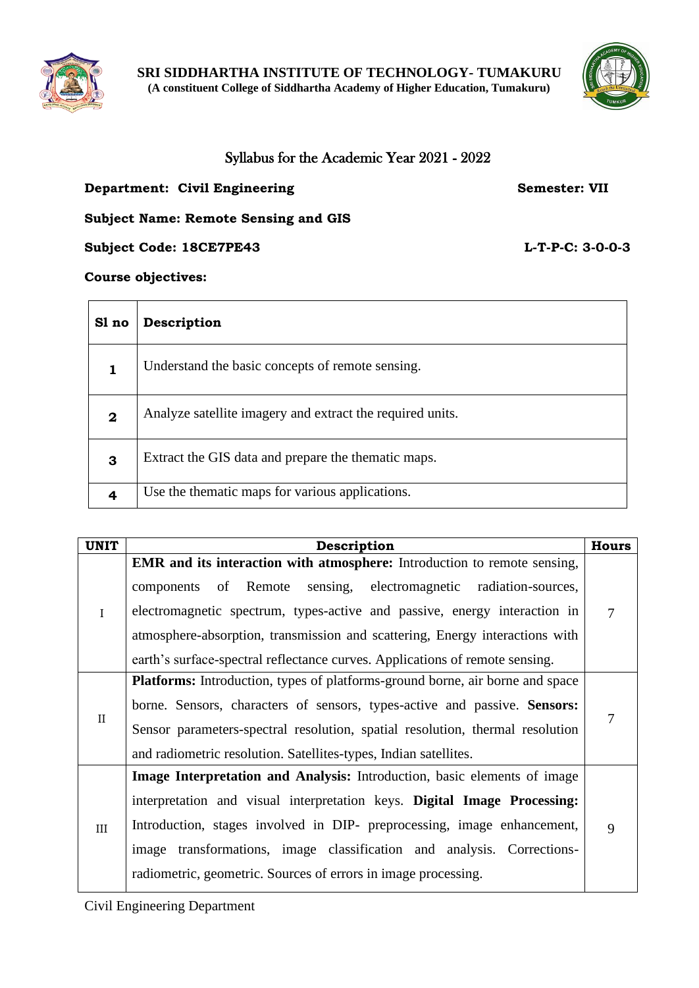



 $\overline{\phantom{0}}$ 

## Syllabus for the Academic Year 2021 - 2022

## **Department: Civil Engineering Semester: VII**

## **Subject Name: Remote Sensing and GIS**

**Subject Code: 18CE7PE43 L-T-P-C: 3-0-0-3**

#### **Course objectives:**

 $\overline{\phantom{a}}$ 

| Sl no       | Description                                               |
|-------------|-----------------------------------------------------------|
| 1           | Understand the basic concepts of remote sensing.          |
| $\mathbf 2$ | Analyze satellite imagery and extract the required units. |
| 3           | Extract the GIS data and prepare the thematic maps.       |
| 4           | Use the thematic maps for various applications.           |

| <b>UNIT</b>  | Description<br><b>Hours</b>                                                                                                                                                                                                                                                                                                                                                               |   |  |
|--------------|-------------------------------------------------------------------------------------------------------------------------------------------------------------------------------------------------------------------------------------------------------------------------------------------------------------------------------------------------------------------------------------------|---|--|
| $\mathbf{I}$ | EMR and its interaction with atmosphere: Introduction to remote sensing,<br>components of Remote sensing, electromagnetic radiation-sources,<br>electromagnetic spectrum, types-active and passive, energy interaction in<br>atmosphere-absorption, transmission and scattering, Energy interactions with<br>earth's surface-spectral reflectance curves. Applications of remote sensing. | 7 |  |
| $\mathbf{I}$ | <b>Platforms:</b> Introduction, types of platforms-ground borne, air borne and space<br>borne. Sensors, characters of sensors, types-active and passive. Sensors:<br>Sensor parameters-spectral resolution, spatial resolution, thermal resolution<br>and radiometric resolution. Satellites-types, Indian satellites.                                                                    |   |  |
| III          | Image Interpretation and Analysis: Introduction, basic elements of image<br>interpretation and visual interpretation keys. Digital Image Processing:<br>Introduction, stages involved in DIP- preprocessing, image enhancement,<br>image transformations, image classification and analysis. Corrections-<br>radiometric, geometric. Sources of errors in image processing.               | 9 |  |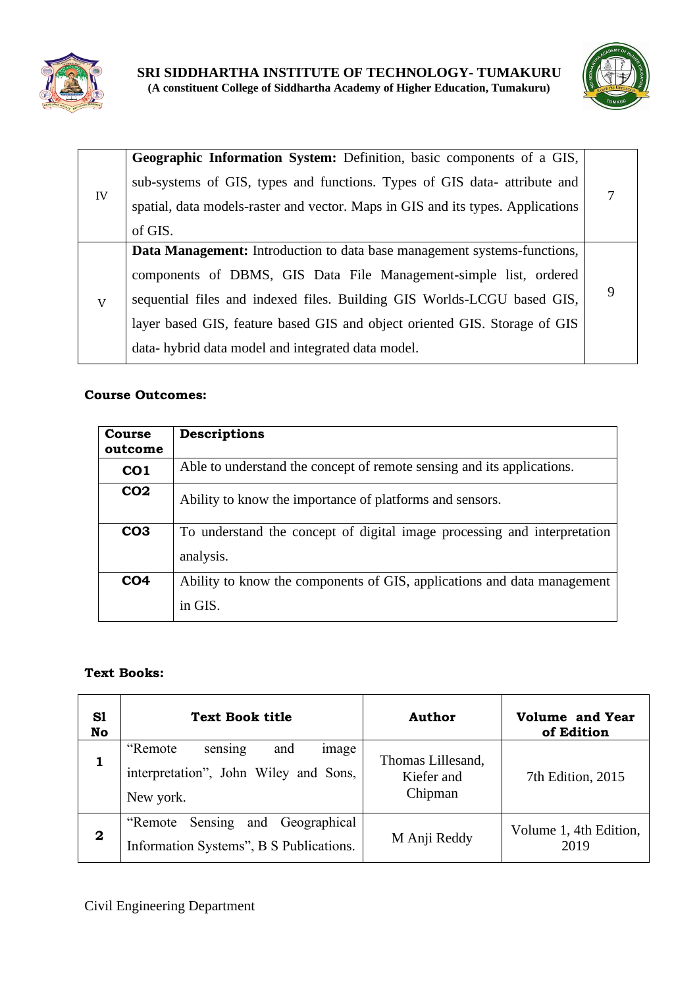



|             | Geographic Information System: Definition, basic components of a GIS,           |  |
|-------------|---------------------------------------------------------------------------------|--|
|             | sub-systems of GIS, types and functions. Types of GIS data- attribute and       |  |
| IV          | spatial, data models-raster and vector. Maps in GIS and its types. Applications |  |
|             | of GIS.                                                                         |  |
|             | <b>Data Management:</b> Introduction to data base management systems-functions, |  |
| $\mathbf V$ | components of DBMS, GIS Data File Management-simple list, ordered               |  |
|             | sequential files and indexed files. Building GIS Worlds-LCGU based GIS,         |  |
|             | layer based GIS, feature based GIS and object oriented GIS. Storage of GIS      |  |
|             | data-hybrid data model and integrated data model.                               |  |

| <b>Course</b><br>outcome | <b>Descriptions</b>                                                      |
|--------------------------|--------------------------------------------------------------------------|
| CO <sub>1</sub>          | Able to understand the concept of remote sensing and its applications.   |
| CO <sub>2</sub>          | Ability to know the importance of platforms and sensors.                 |
| CO <sub>3</sub>          | To understand the concept of digital image processing and interpretation |
|                          | analysis.                                                                |
| CO <sub>4</sub>          | Ability to know the components of GIS, applications and data management  |
|                          | in GIS.                                                                  |

## **Text Books:**

| S1<br>No     | <b>Text Book title</b>                                                                    | Author                                     | <b>Volume and Year</b><br>of Edition |
|--------------|-------------------------------------------------------------------------------------------|--------------------------------------------|--------------------------------------|
|              | "Remote"<br>and<br>sensing<br>image<br>interpretation", John Wiley and Sons,<br>New york. | Thomas Lillesand,<br>Kiefer and<br>Chipman | 7th Edition, 2015                    |
| $\mathbf{2}$ | Sensing<br>and Geographical<br>"Remote<br>Information Systems", B S Publications.         | M Anji Reddy                               | Volume 1, 4th Edition,<br>2019       |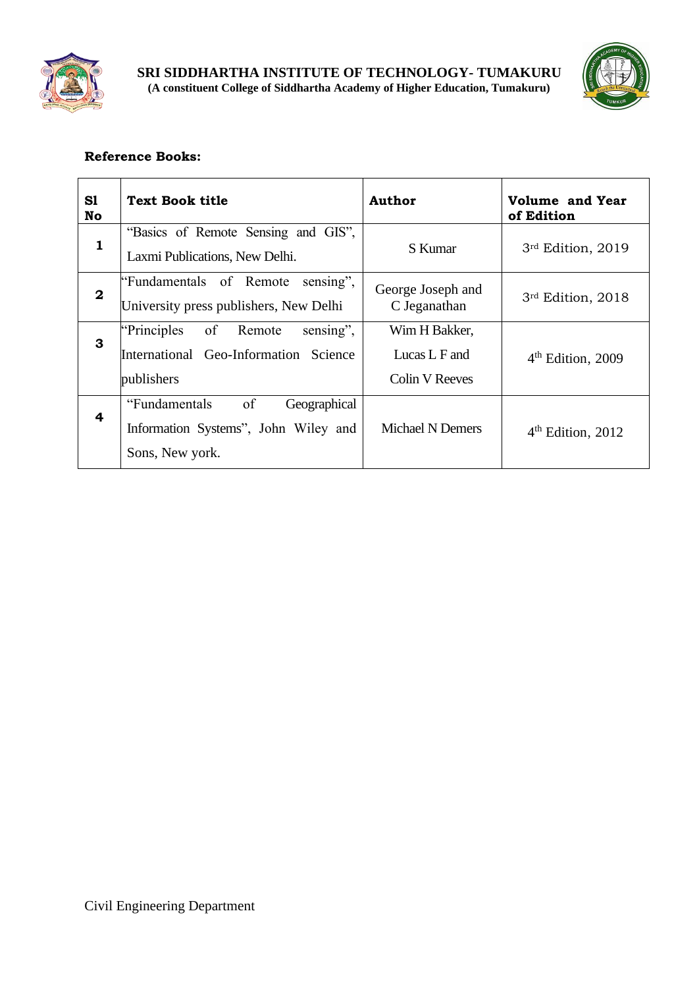



| S1<br>No         | <b>Text Book title</b>                                                                          | <b>Author</b>                                    | Volume and Year<br>of Edition |
|------------------|-------------------------------------------------------------------------------------------------|--------------------------------------------------|-------------------------------|
| $\mathbf{1}$     | "Basics of Remote Sensing and GIS",<br>Laxmi Publications, New Delhi.                           | S Kumar                                          | 3rd Edition, 2019             |
| $\boldsymbol{2}$ | "Fundamentals of Remote"<br>sensing",<br>University press publishers, New Delhi                 | George Joseph and<br>C Jeganathan                | 3rd Edition, 2018             |
| 3                | of Remote<br>sensing",<br>"Principles"<br>International Geo-Information Science<br>publishers   | Wim H Bakker,<br>Lucas L F and<br>Colin V Reeves | $4th$ Edition, 2009           |
| 4                | of<br>"Fundamentals"<br>Geographical<br>Information Systems", John Wiley and<br>Sons, New york. | <b>Michael N Demers</b>                          | $4th$ Edition, 2012           |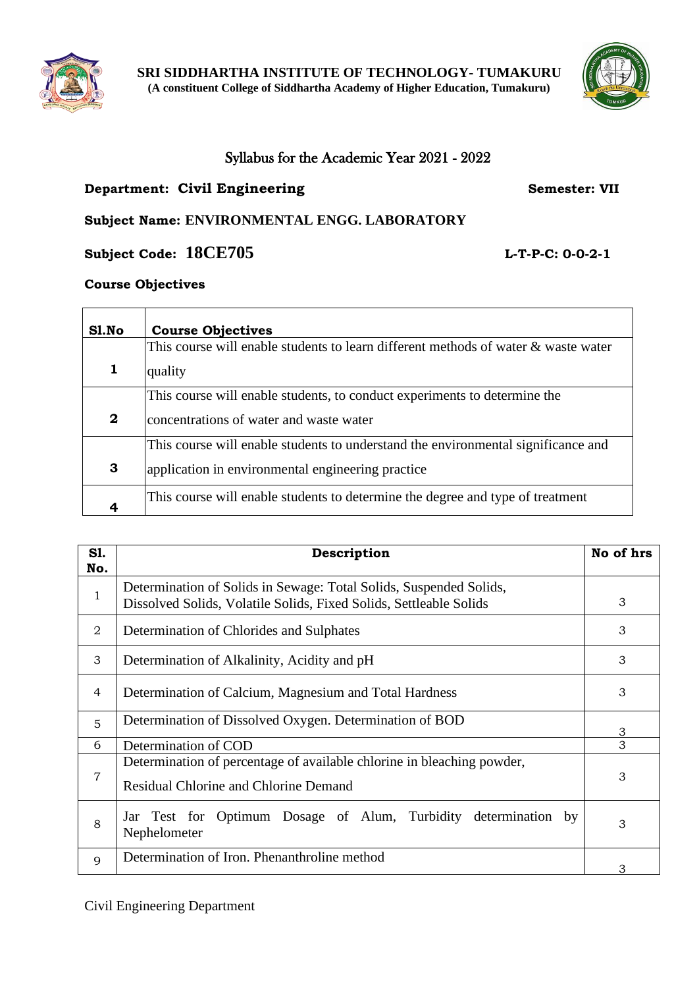

## Syllabus for the Academic Year 2021 - 2022

## **Department: Civil Engineering Semester: VII**

## **Subject Name: ENVIRONMENTAL ENGG. LABORATORY**

**Subject Code: 18CE705 L-T-P-C: 0-0-2-1**

## **Course Objectives**

| Sl.No            | <b>Course Objectives</b>                                                           |
|------------------|------------------------------------------------------------------------------------|
|                  | This course will enable students to learn different methods of water & waste water |
| 1                | quality                                                                            |
|                  | This course will enable students, to conduct experiments to determine the          |
| $\boldsymbol{2}$ | concentrations of water and waste water                                            |
|                  | This course will enable students to understand the environmental significance and  |
| 3                | application in environmental engineering practice                                  |
|                  | This course will enable students to determine the degree and type of treatment     |

| <b>S1.</b><br>No. | Description                                                                                                                              | No of hrs |
|-------------------|------------------------------------------------------------------------------------------------------------------------------------------|-----------|
| $\mathbf{1}$      | Determination of Solids in Sewage: Total Solids, Suspended Solids,<br>Dissolved Solids, Volatile Solids, Fixed Solids, Settleable Solids | 3         |
| 2                 | Determination of Chlorides and Sulphates                                                                                                 | 3         |
| 3                 | Determination of Alkalinity, Acidity and pH                                                                                              | 3         |
| 4                 | Determination of Calcium, Magnesium and Total Hardness                                                                                   | 3         |
| 5                 | Determination of Dissolved Oxygen. Determination of BOD                                                                                  | 3         |
| 6                 | Determination of COD                                                                                                                     | 3         |
| $\overline{7}$    | Determination of percentage of available chlorine in bleaching powder,<br><b>Residual Chlorine and Chlorine Demand</b>                   | 3         |
| 8                 | Jar Test for Optimum Dosage of Alum, Turbidity determination<br>by<br>Nephelometer                                                       | 3         |
| $\mathbf Q$       | Determination of Iron. Phenanthroline method                                                                                             | З         |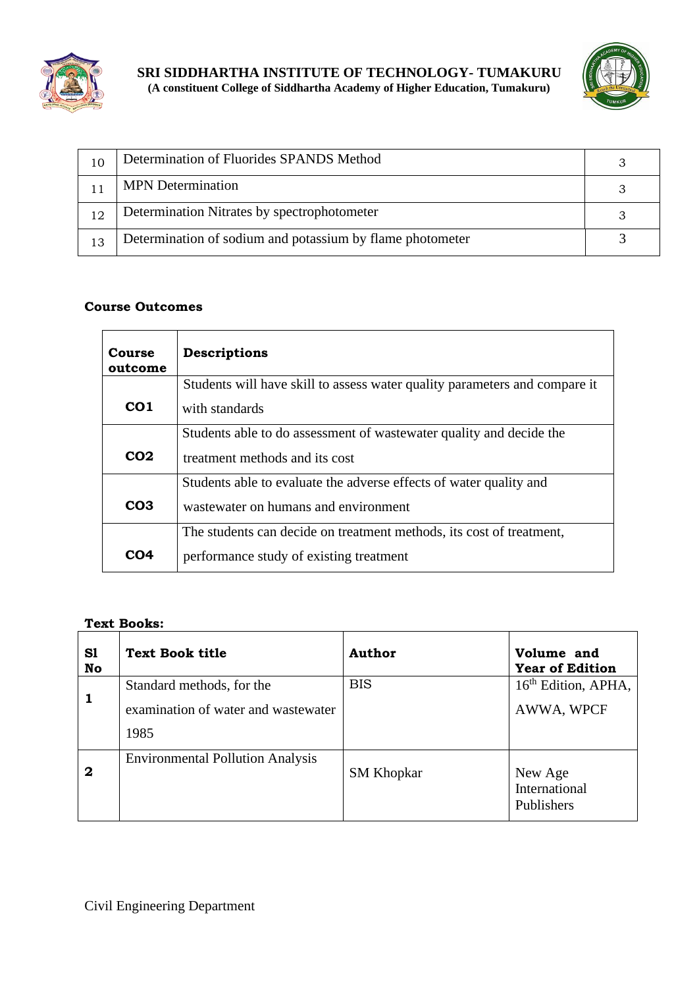



| 10 | Determination of Fluorides SPANDS Method                  |  |
|----|-----------------------------------------------------------|--|
|    | <b>MPN</b> Determination                                  |  |
| 12 | Determination Nitrates by spectrophotometer               |  |
| 13 | Determination of sodium and potassium by flame photometer |  |

| Course<br>outcome | <b>Descriptions</b>                                                        |
|-------------------|----------------------------------------------------------------------------|
|                   | Students will have skill to assess water quality parameters and compare it |
| CO <sub>1</sub>   | with standards                                                             |
|                   | Students able to do assessment of wastewater quality and decide the        |
| CO <sub>2</sub>   | treatment methods and its cost                                             |
|                   | Students able to evaluate the adverse effects of water quality and         |
| CO <sub>3</sub>   | wastewater on humans and environment                                       |
|                   | The students can decide on treatment methods, its cost of treatment,       |
| CO4               | performance study of existing treatment                                    |

#### **Text Books:**

| S1<br>No | <b>Text Book title</b>                                                   | <b>Author</b>     | Volume and<br><b>Year of Edition</b>          |
|----------|--------------------------------------------------------------------------|-------------------|-----------------------------------------------|
| 1        | Standard methods, for the<br>examination of water and wastewater<br>1985 | <b>BIS</b>        | 16 <sup>th</sup> Edition, APHA,<br>AWWA, WPCF |
| 2        | <b>Environmental Pollution Analysis</b>                                  | <b>SM Khopkar</b> | New Age<br>International<br>Publishers        |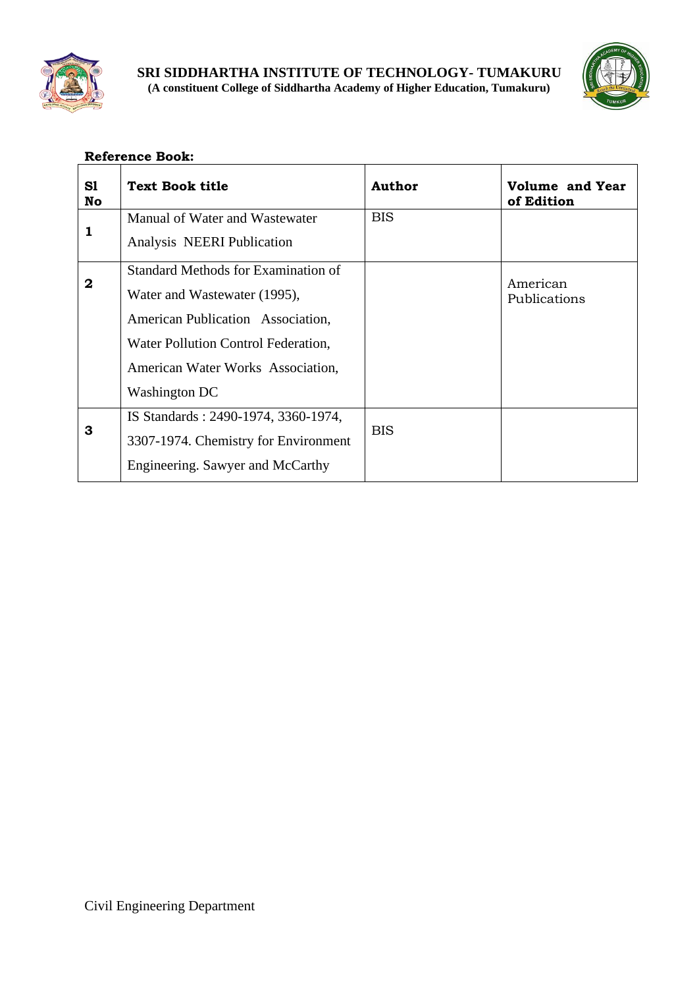



| S1<br>No     | <b>Text Book title</b>                                                                                                                                                                                       | <b>Author</b> | <b>Volume and Year</b><br>of Edition |
|--------------|--------------------------------------------------------------------------------------------------------------------------------------------------------------------------------------------------------------|---------------|--------------------------------------|
| 1            | Manual of Water and Wastewater<br>Analysis NEERI Publication                                                                                                                                                 | <b>BIS</b>    |                                      |
| $\mathbf{2}$ | <b>Standard Methods for Examination of</b><br>Water and Wastewater (1995),<br>American Publication Association,<br>Water Pollution Control Federation,<br>American Water Works Association,<br>Washington DC |               | American<br>Publications             |
| 3            | IS Standards: 2490-1974, 3360-1974,<br>3307-1974. Chemistry for Environment<br>Engineering. Sawyer and McCarthy                                                                                              | <b>BIS</b>    |                                      |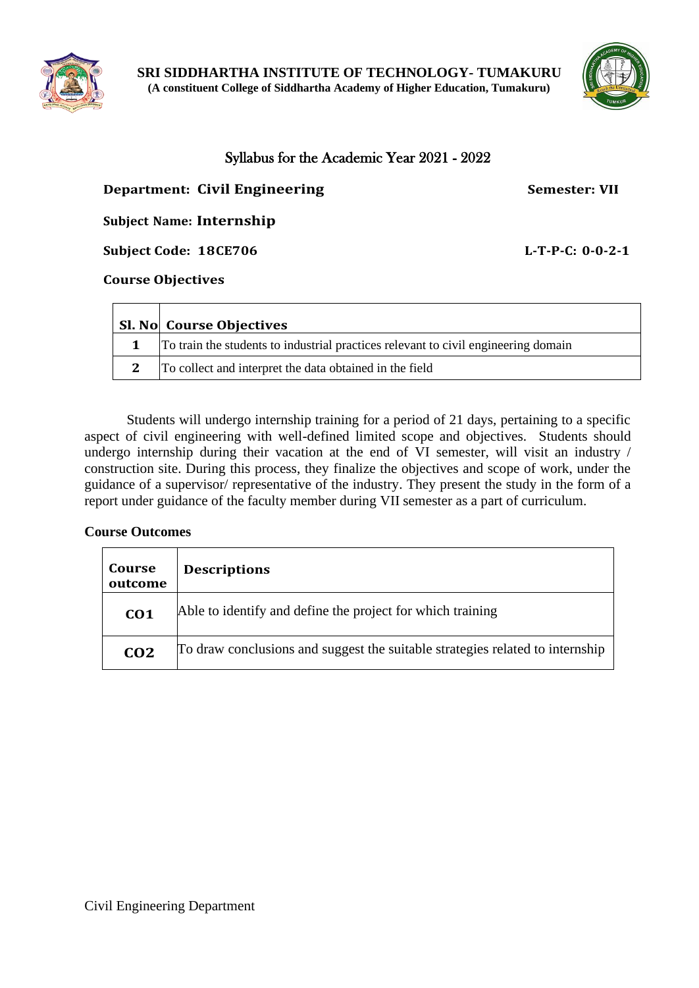



## Syllabus for the Academic Year 2021 - 2022

## **Department: Civil Engineering Semester: VII**

## **Subject Name: Internship**

**Subject Code: 18CE706 L-T-P-C: 0-0-2-1**

#### **Course Objectives**

 $\mathbf{r}$ 

 $\overline{ }$ 

|   | <b>Sl. No Course Objectives</b>                                                    |
|---|------------------------------------------------------------------------------------|
|   | To train the students to industrial practices relevant to civil engineering domain |
| 2 | To collect and interpret the data obtained in the field                            |

Students will undergo internship training for a period of 21 days, pertaining to a specific aspect of civil engineering with well-defined limited scope and objectives. Students should undergo internship during their vacation at the end of VI semester, will visit an industry / construction site. During this process, they finalize the objectives and scope of work, under the guidance of a supervisor/ representative of the industry. They present the study in the form of a report under guidance of the faculty member during VII semester as a part of curriculum.

## **Course Outcomes**

| Course<br>outcome | <b>Descriptions</b>                                                           |
|-------------------|-------------------------------------------------------------------------------|
| CO <sub>1</sub>   | Able to identify and define the project for which training                    |
| CO <sub>2</sub>   | To draw conclusions and suggest the suitable strategies related to internship |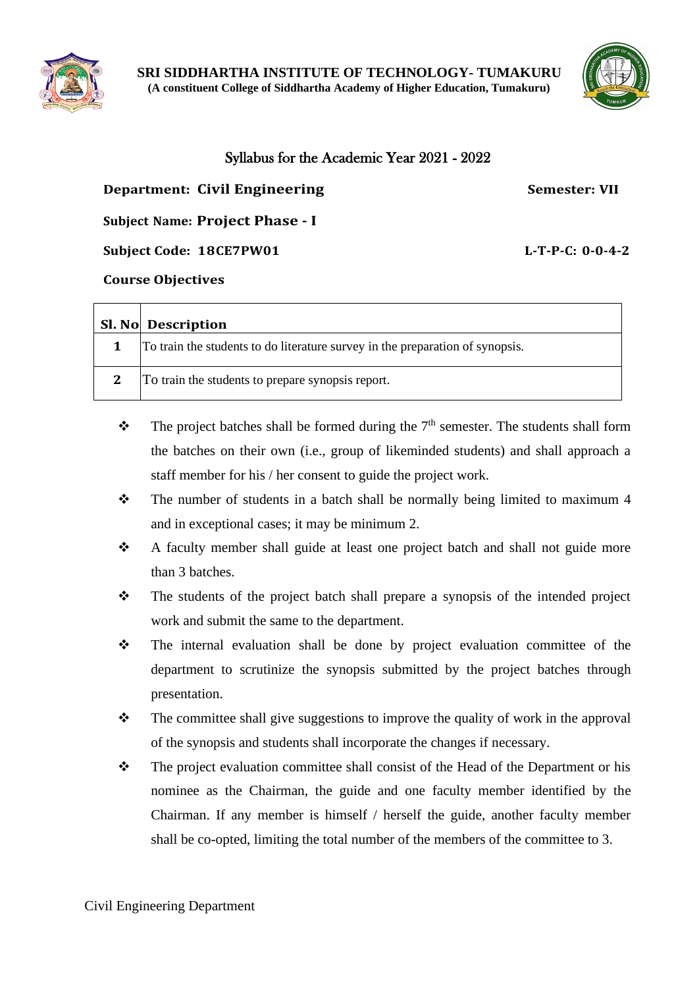



## Syllabus for the Academic Year 2021 - 2022

## **Department: Civil Engineering Semester: VII**

**Subject Name: Project Phase - I**

**Subject Code: 18CE7PW01 L-T-P-C: 0-0-4-2**

#### **Course Objectives**

| <b>Sl. No</b> Description                                                     |
|-------------------------------------------------------------------------------|
| To train the students to do literature survey in the preparation of synopsis. |
| To train the students to prepare synopsis report.                             |

- $\mathbf{\hat{P}}$  The project batches shall be formed during the  $7<sup>th</sup>$  semester. The students shall form the batches on their own (i.e., group of likeminded students) and shall approach a staff member for his / her consent to guide the project work.
- ❖ The number of students in a batch shall be normally being limited to maximum 4 and in exceptional cases; it may be minimum 2.
- ❖ A faculty member shall guide at least one project batch and shall not guide more than 3 batches.
- ❖ The students of the project batch shall prepare a synopsis of the intended project work and submit the same to the department.
- ❖ The internal evaluation shall be done by project evaluation committee of the department to scrutinize the synopsis submitted by the project batches through presentation.
- $\bullet$  The committee shall give suggestions to improve the quality of work in the approval of the synopsis and students shall incorporate the changes if necessary.
- ❖ The project evaluation committee shall consist of the Head of the Department or his nominee as the Chairman, the guide and one faculty member identified by the Chairman. If any member is himself / herself the guide, another faculty member shall be co-opted, limiting the total number of the members of the committee to 3.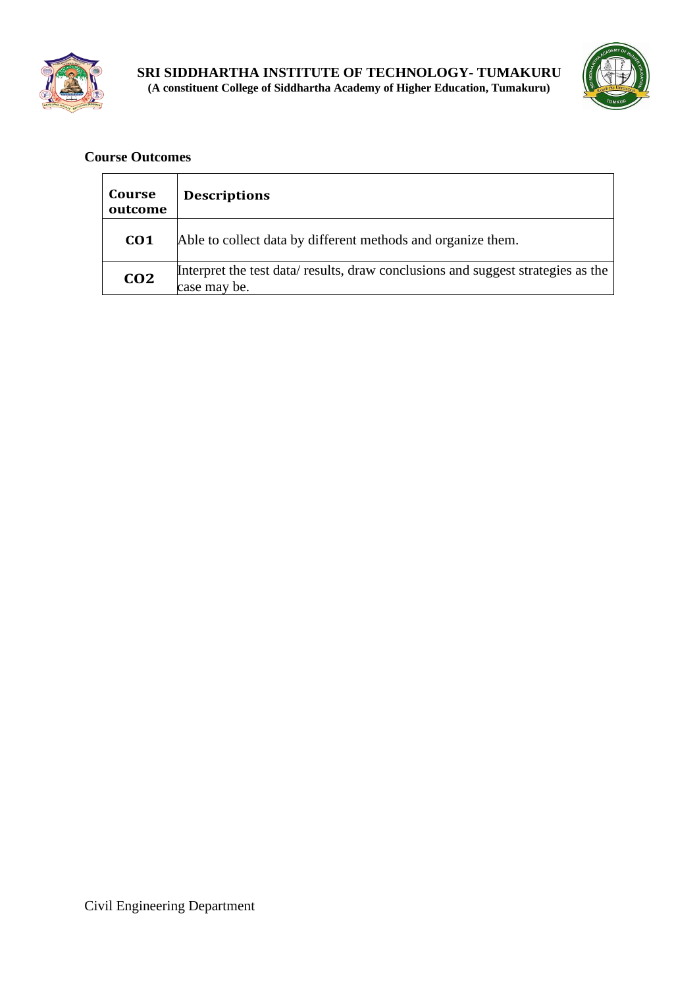



| Course<br>outcome | <b>Descriptions</b>                                                                             |
|-------------------|-------------------------------------------------------------------------------------------------|
| CO <sub>1</sub>   | Able to collect data by different methods and organize them.                                    |
| CO <sub>2</sub>   | Interpret the test data/results, draw conclusions and suggest strategies as the<br>case may be. |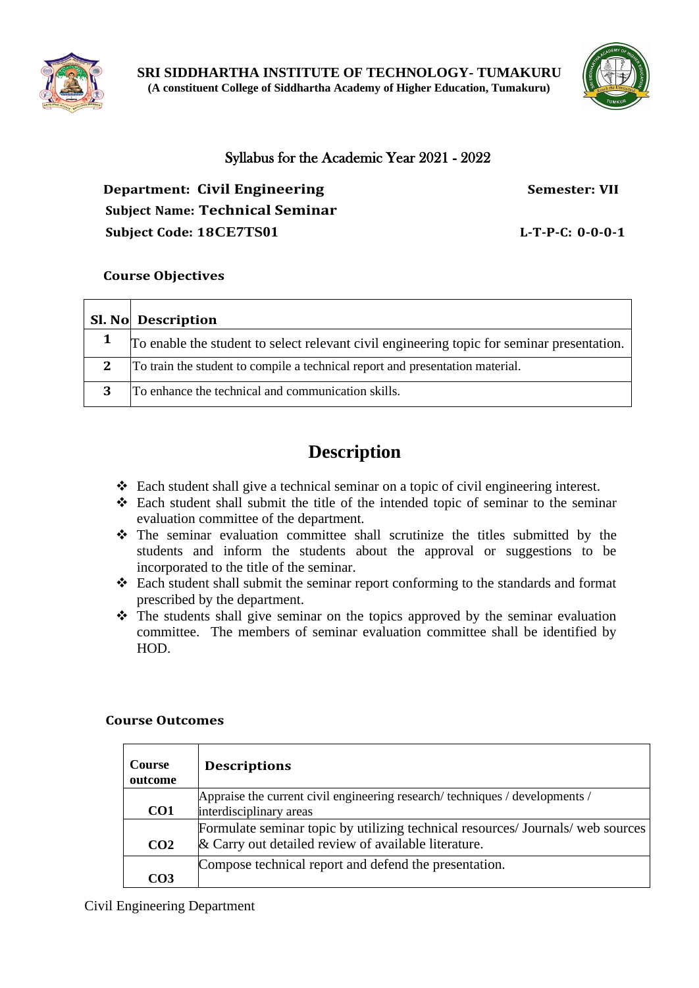



## Syllabus for the Academic Year 2021 - 2022

**Department: Civil Engineering Semester: VII Subject Name: Technical Seminar Subject Code: 18CE7TS01 L-T-P-C: 0-0-0-1**

## **Course Objectives**

|   | <b>Sl. No Description</b>                                                                  |
|---|--------------------------------------------------------------------------------------------|
|   | To enable the student to select relevant civil engineering topic for seminar presentation. |
| 2 | To train the student to compile a technical report and presentation material.              |
| 3 | To enhance the technical and communication skills.                                         |

# **Description**

- ❖ Each student shall give a technical seminar on a topic of civil engineering interest.
- ❖ Each student shall submit the title of the intended topic of seminar to the seminar evaluation committee of the department.
- ❖ The seminar evaluation committee shall scrutinize the titles submitted by the students and inform the students about the approval or suggestions to be incorporated to the title of the seminar.
- ❖ Each student shall submit the seminar report conforming to the standards and format prescribed by the department.
- ❖ The students shall give seminar on the topics approved by the seminar evaluation committee. The members of seminar evaluation committee shall be identified by HOD.

#### **Course Outcomes**

| <b>Course</b><br>outcome | <b>Descriptions</b>                                                                                                                     |
|--------------------------|-----------------------------------------------------------------------------------------------------------------------------------------|
| CO <sub>1</sub>          | Appraise the current civil engineering research/techniques / developments /<br>interdisciplinary areas                                  |
| CO <sub>2</sub>          | Formulate seminar topic by utilizing technical resources/ Journals/ web sources<br>& Carry out detailed review of available literature. |
| CO3                      | Compose technical report and defend the presentation.                                                                                   |

Civil Engineering Department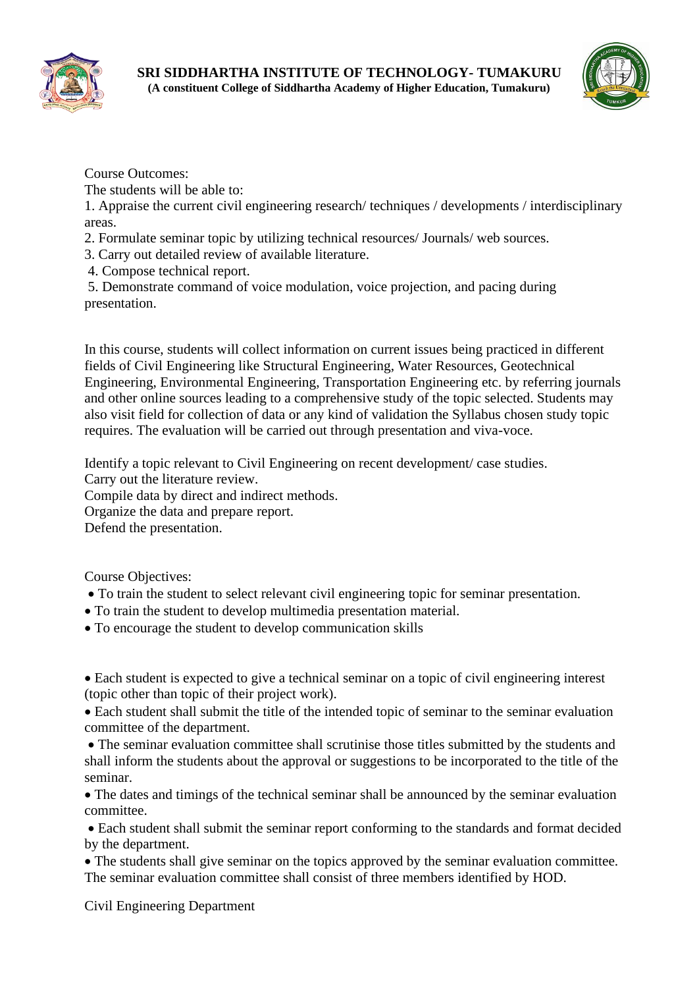



The students will be able to:

1. Appraise the current civil engineering research/ techniques / developments / interdisciplinary areas.

- 2. Formulate seminar topic by utilizing technical resources/ Journals/ web sources.
- 3. Carry out detailed review of available literature.
- 4. Compose technical report.

5. Demonstrate command of voice modulation, voice projection, and pacing during presentation.

In this course, students will collect information on current issues being practiced in different fields of Civil Engineering like Structural Engineering, Water Resources, Geotechnical Engineering, Environmental Engineering, Transportation Engineering etc. by referring journals and other online sources leading to a comprehensive study of the topic selected. Students may also visit field for collection of data or any kind of validation the Syllabus chosen study topic requires. The evaluation will be carried out through presentation and viva-voce.

Identify a topic relevant to Civil Engineering on recent development/ case studies.

Carry out the literature review.

Compile data by direct and indirect methods.

Organize the data and prepare report.

Defend the presentation.

Course Objectives:

- To train the student to select relevant civil engineering topic for seminar presentation.
- To train the student to develop multimedia presentation material.
- To encourage the student to develop communication skills

• Each student is expected to give a technical seminar on a topic of civil engineering interest (topic other than topic of their project work).

• Each student shall submit the title of the intended topic of seminar to the seminar evaluation committee of the department.

• The seminar evaluation committee shall scrutinise those titles submitted by the students and shall inform the students about the approval or suggestions to be incorporated to the title of the seminar.

• The dates and timings of the technical seminar shall be announced by the seminar evaluation committee.

• Each student shall submit the seminar report conforming to the standards and format decided by the department.

• The students shall give seminar on the topics approved by the seminar evaluation committee. The seminar evaluation committee shall consist of three members identified by HOD.

Civil Engineering Department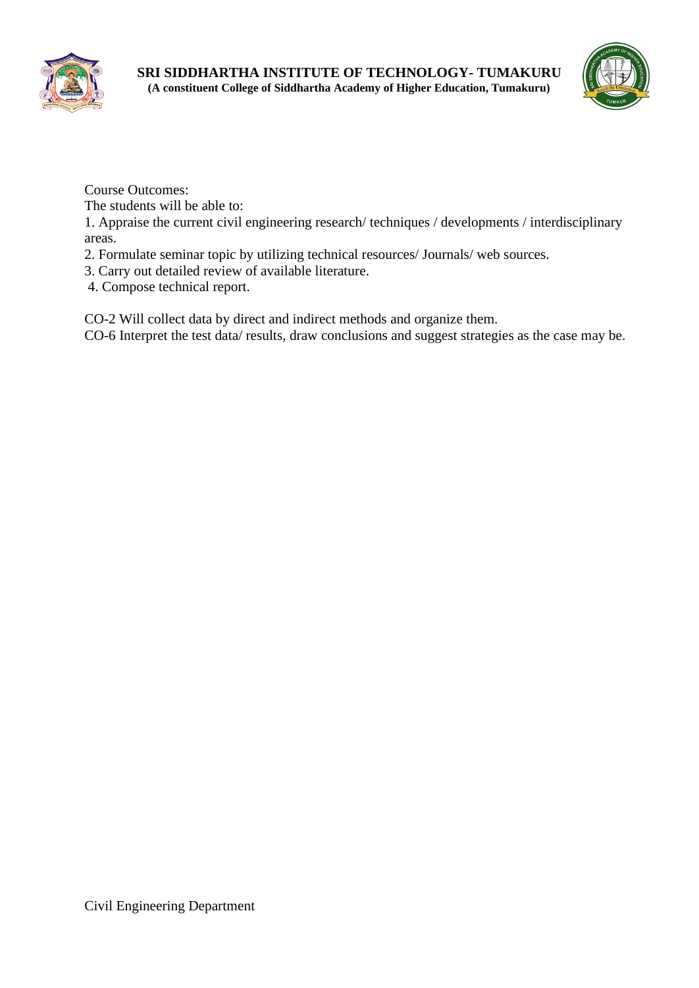



The students will be able to:

1. Appraise the current civil engineering research/ techniques / developments / interdisciplinary areas.

- 2. Formulate seminar topic by utilizing technical resources/ Journals/ web sources.
- 3. Carry out detailed review of available literature.
- 4. Compose technical report.

CO-2 Will collect data by direct and indirect methods and organize them.

CO-6 Interpret the test data/ results, draw conclusions and suggest strategies as the case may be.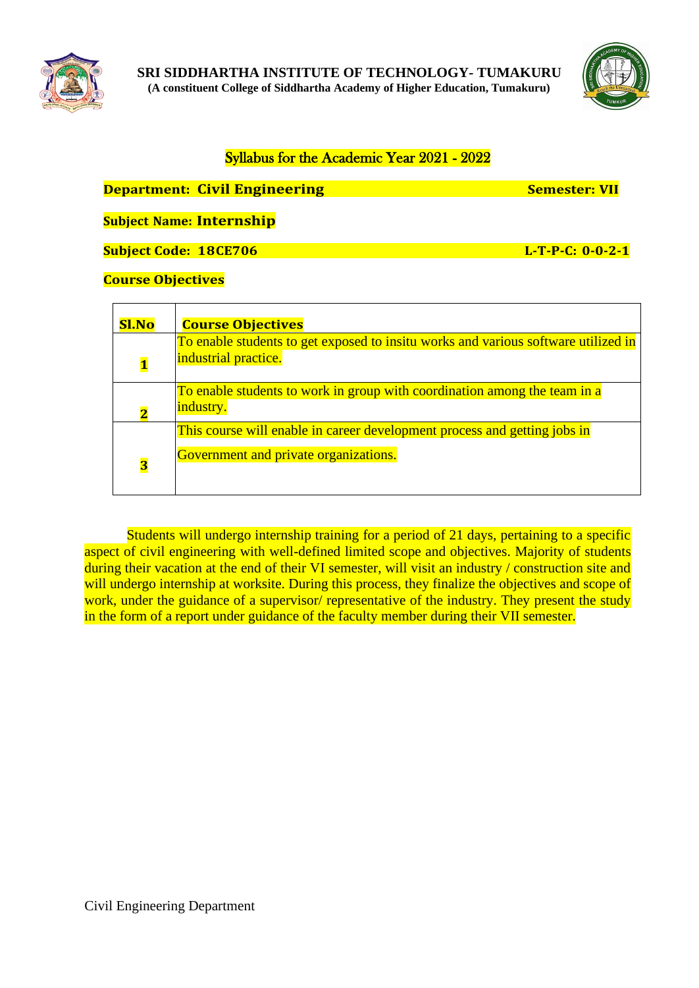



## Syllabus for the Academic Year 2021 - 2022

## **Department: Civil Engineering Semester: Semester: VII**

**Subject Name: Internship**

**Subject Code: 18CE706 L-T-P-C: 0-0-2-1**

## **Course Objectives**

| <b>Sl.No</b>            | <b>Course Objectives</b>                                                                                           |
|-------------------------|--------------------------------------------------------------------------------------------------------------------|
| $\overline{\mathbf{1}}$ | To enable students to get exposed to insitu works and various software utilized in<br>industrial practice.         |
| $\overline{2}$          | To enable students to work in group with coordination among the team in a<br>industry.                             |
| $\overline{\mathbf{3}}$ | This course will enable in career development process and getting jobs in<br>Government and private organizations. |

Students will undergo internship training for a period of 21 days, pertaining to a specific aspect of civil engineering with well-defined limited scope and objectives. Majority of students during their vacation at the end of their VI semester, will visit an industry / construction site and will undergo internship at worksite. During this process, they finalize the objectives and scope of work, under the guidance of a supervisor/ representative of the industry. They present the study in the form of a report under guidance of the faculty member during their VII semester.



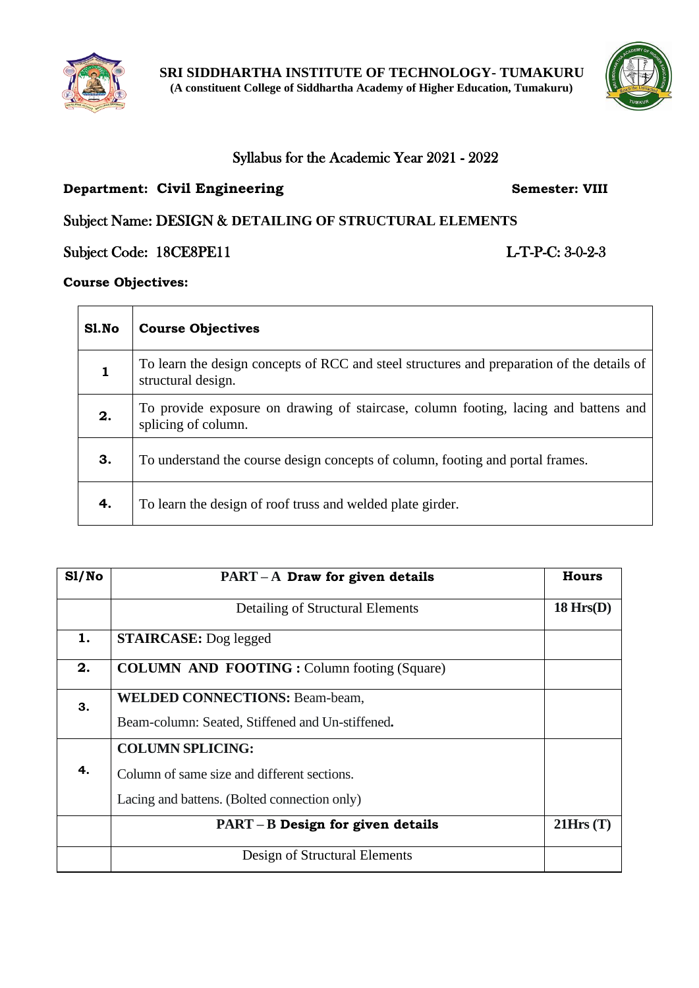

## Syllabus for the Academic Year 2021 - 2022

## **Department: Civil Engineering Semester: VIII**

## Subject Name: DESIGN & **DETAILING OF STRUCTURAL ELEMENTS**

Subject Code: 18CE8PE11 L-T-P-C: 3-0-2-3

**Course Objectives:**

 $\overline{a}$ 

| Sl.No | <b>Course Objectives</b>                                                                                         |
|-------|------------------------------------------------------------------------------------------------------------------|
|       | To learn the design concepts of RCC and steel structures and preparation of the details of<br>structural design. |
| 2.    | To provide exposure on drawing of staircase, column footing, lacing and battens and<br>splicing of column.       |
| 3.    | To understand the course design concepts of column, footing and portal frames.                                   |
| 4.    | To learn the design of roof truss and welded plate girder.                                                       |

| SI/No | $PART-A$ Draw for given details                    | <b>Hours</b>   |
|-------|----------------------------------------------------|----------------|
|       | Detailing of Structural Elements                   | $18$ Hrs $(D)$ |
| 1.    | <b>STAIRCASE:</b> Dog legged                       |                |
| 2.    | <b>COLUMN AND FOOTING: Column footing (Square)</b> |                |
| 3.    | <b>WELDED CONNECTIONS: Beam-beam,</b>              |                |
|       | Beam-column: Seated, Stiffened and Un-stiffened.   |                |
|       | <b>COLUMN SPLICING:</b>                            |                |
| 4.    | Column of same size and different sections.        |                |
|       | Lacing and battens. (Bolted connection only)       |                |
|       | $PART-B$ Design for given details                  | 21Hrs(T)       |
|       | Design of Structural Elements                      |                |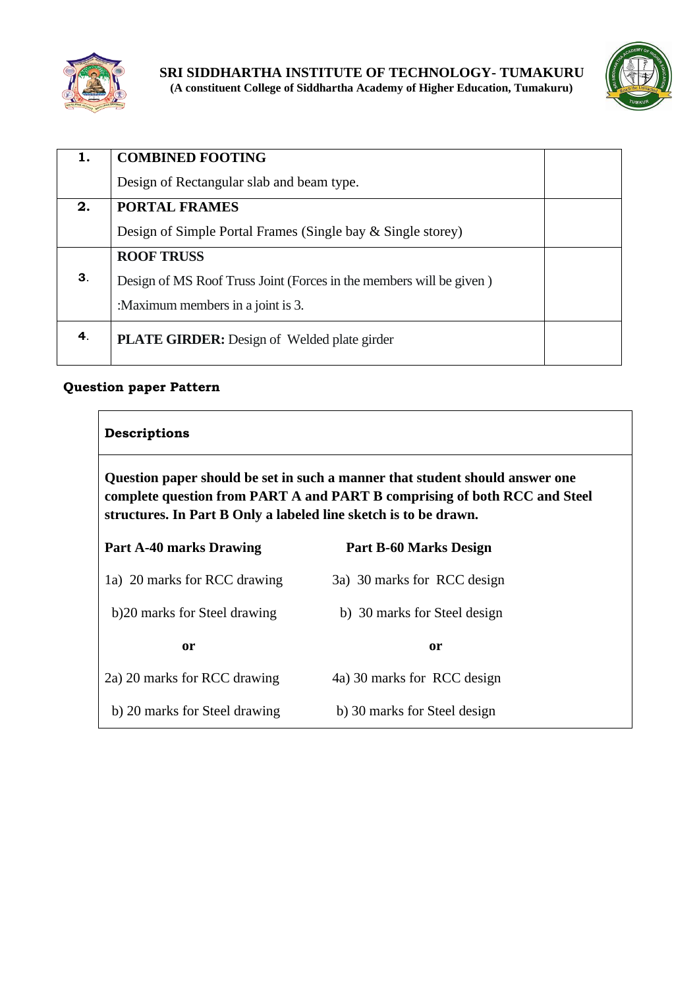



| 1.             | <b>COMBINED FOOTING</b>                                             |  |
|----------------|---------------------------------------------------------------------|--|
|                | Design of Rectangular slab and beam type.                           |  |
| 2.             | <b>PORTAL FRAMES</b>                                                |  |
|                | Design of Simple Portal Frames (Single bay & Single storey)         |  |
|                | <b>ROOF TRUSS</b>                                                   |  |
| 3 <sub>1</sub> | Design of MS Roof Truss Joint (Forces in the members will be given) |  |
|                | :Maximum members in a joint is 3.                                   |  |
| 4.             | <b>PLATE GIRDER:</b> Design of Welded plate girder                  |  |
|                |                                                                     |  |

## **Question paper Pattern**

## **Descriptions**

**Question paper should be set in such a manner that student should answer one complete question from PART A and PART B comprising of both RCC and Steel structures. In Part B Only a labeled line sketch is to be drawn.**

| <b>Part A-40 marks Drawing</b> | <b>Part B-60 Marks Design</b> |
|--------------------------------|-------------------------------|
| 1a) 20 marks for RCC drawing   | 3a) 30 marks for RCC design   |
| b) 20 marks for Steel drawing  | b) 30 marks for Steel design  |
|                                |                               |
| 0r                             | <sub>or</sub>                 |
| 2a) 20 marks for RCC drawing   | 4a) 30 marks for RCC design   |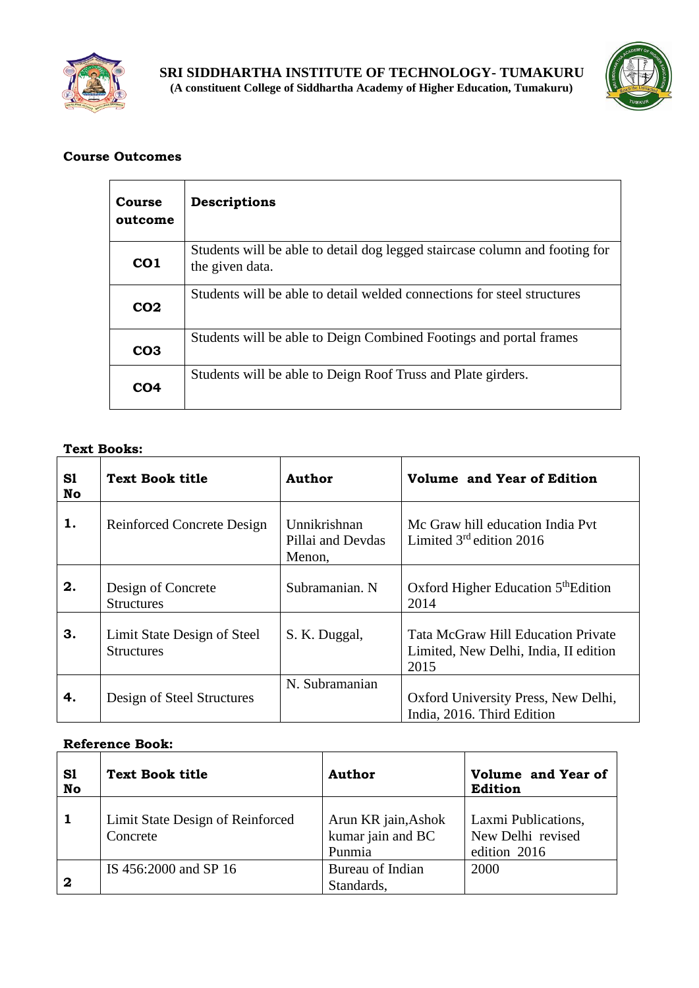



| Course<br>outcome | Descriptions                                                                                   |
|-------------------|------------------------------------------------------------------------------------------------|
| CO <sub>1</sub>   | Students will be able to detail dog legged staircase column and footing for<br>the given data. |
| CO <sub>2</sub>   | Students will be able to detail welded connections for steel structures                        |
| CO <sub>3</sub>   | Students will be able to Deign Combined Footings and portal frames                             |
| CO4               | Students will be able to Deign Roof Truss and Plate girders.                                   |

#### **Text Books:**

| S1<br><b>No</b> | <b>Text Book title</b>                           | <b>Author</b>                               | <b>Volume and Year of Edition</b>                                                          |
|-----------------|--------------------------------------------------|---------------------------------------------|--------------------------------------------------------------------------------------------|
| 1.              | <b>Reinforced Concrete Design</b>                | Unnikrishnan<br>Pillai and Devdas<br>Menon, | Mc Graw hill education India Pyt<br>Limited $3rd$ edition 2016                             |
| 2.              | Design of Concrete<br><b>Structures</b>          | Subramanian. N                              | Oxford Higher Education 5 <sup>th</sup> Edition<br>2014                                    |
| 3.              | Limit State Design of Steel<br><b>Structures</b> | S. K. Duggal,                               | <b>Tata McGraw Hill Education Private</b><br>Limited, New Delhi, India, II edition<br>2015 |
| 4.              | Design of Steel Structures                       | N. Subramanian                              | Oxford University Press, New Delhi,<br>India, 2016. Third Edition                          |

| S1<br>No    | <b>Text Book title</b>                       | <b>Author</b>                                      | Volume and Year of<br>Edition                            |
|-------------|----------------------------------------------|----------------------------------------------------|----------------------------------------------------------|
|             | Limit State Design of Reinforced<br>Concrete | Arun KR jain, Ashok<br>kumar jain and BC<br>Punmia | Laxmi Publications,<br>New Delhi revised<br>edition 2016 |
| $\mathbf 2$ | IS 456:2000 and SP 16                        | Bureau of Indian<br>Standards,                     | 2000                                                     |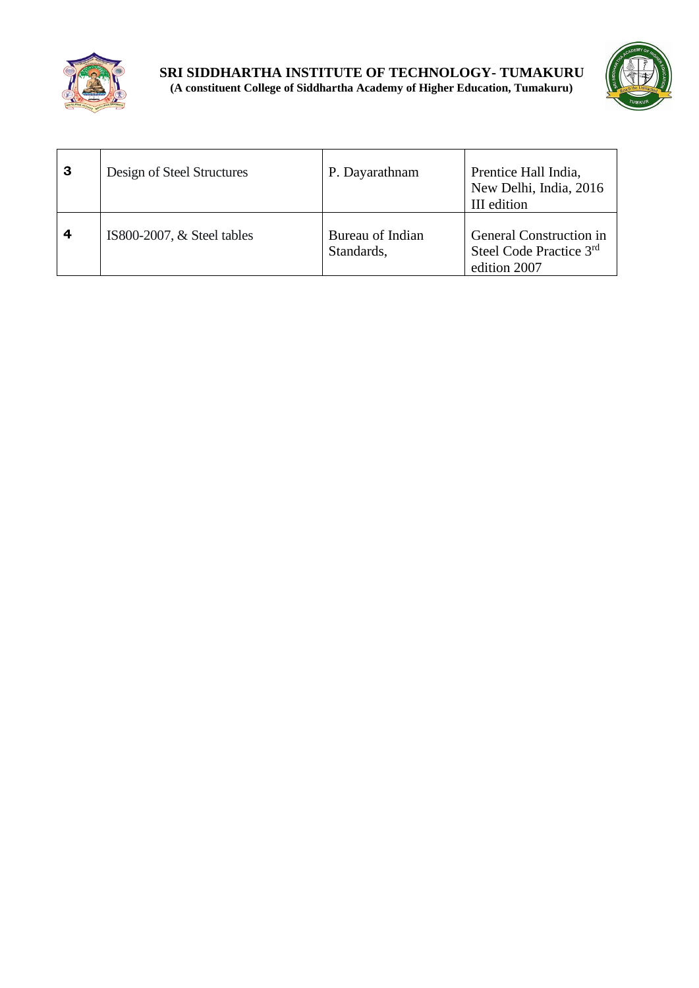



| 3 | Design of Steel Structures   | P. Dayarathnam                 | Prentice Hall India,<br>New Delhi, India, 2016<br>III edition      |
|---|------------------------------|--------------------------------|--------------------------------------------------------------------|
| 4 | IS800-2007, $&$ Steel tables | Bureau of Indian<br>Standards, | General Construction in<br>Steel Code Practice 3rd<br>edition 2007 |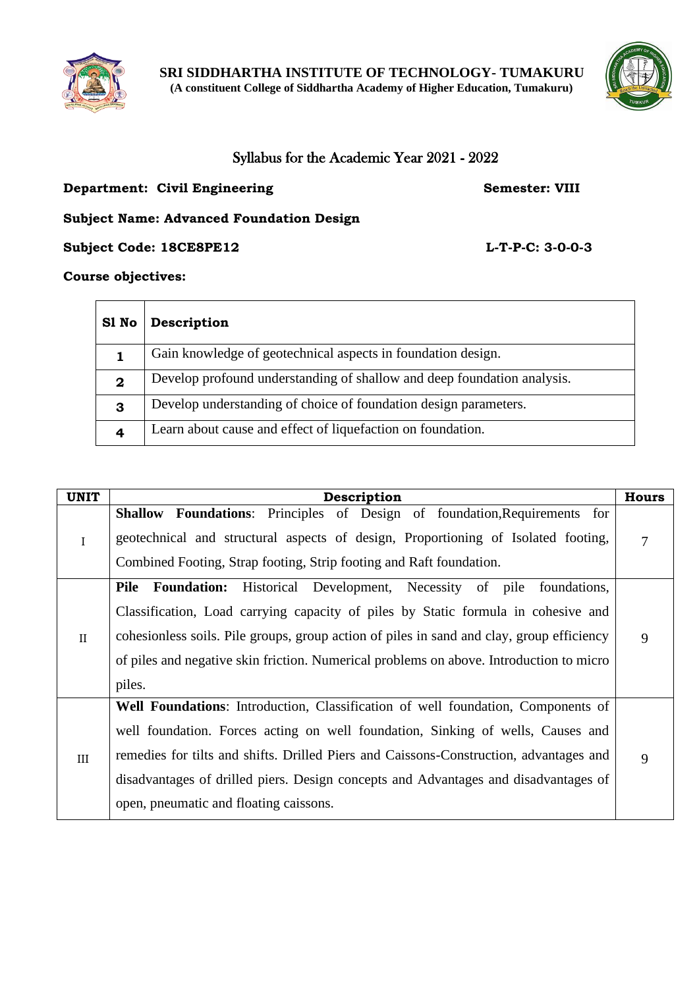



## Syllabus for the Academic Year 2021 - 2022

#### **Department: Civil Engineering Semester: VIII**

## **Subject Name: Advanced Foundation Design**

**Subject Code: 18CE8PE12 L-T-P-C: 3-0-0-3**

**Course objectives:**

 $\overline{\phantom{0}}$ 

 $\blacksquare$ 

| S1 No       | Description                                                             |
|-------------|-------------------------------------------------------------------------|
|             | Gain knowledge of geotechnical aspects in foundation design.            |
| $\mathbf 2$ | Develop profound understanding of shallow and deep foundation analysis. |
| 3           | Develop understanding of choice of foundation design parameters.        |
| 4           | Learn about cause and effect of liquefaction on foundation.             |

| <b>UNIT</b>  | Description                                                                                                                                                                                                                                                                                                                                                                                    | <b>Hours</b> |
|--------------|------------------------------------------------------------------------------------------------------------------------------------------------------------------------------------------------------------------------------------------------------------------------------------------------------------------------------------------------------------------------------------------------|--------------|
| $\rm I$      | Shallow Foundations: Principles of Design of foundation, Requirements for<br>geotechnical and structural aspects of design, Proportioning of Isolated footing,<br>Combined Footing, Strap footing, Strip footing and Raft foundation.                                                                                                                                                          | 7            |
| $\mathbf{I}$ | Historical Development, Necessity of pile<br><b>Pile</b> Foundation:<br>foundations,<br>Classification, Load carrying capacity of piles by Static formula in cohesive and<br>cohesionless soils. Pile groups, group action of piles in sand and clay, group efficiency<br>of piles and negative skin friction. Numerical problems on above. Introduction to micro<br>piles.                    | 9            |
| III          | Well Foundations: Introduction, Classification of well foundation, Components of<br>well foundation. Forces acting on well foundation, Sinking of wells, Causes and<br>remedies for tilts and shifts. Drilled Piers and Caissons-Construction, advantages and<br>disadvantages of drilled piers. Design concepts and Advantages and disadvantages of<br>open, pneumatic and floating caissons. |              |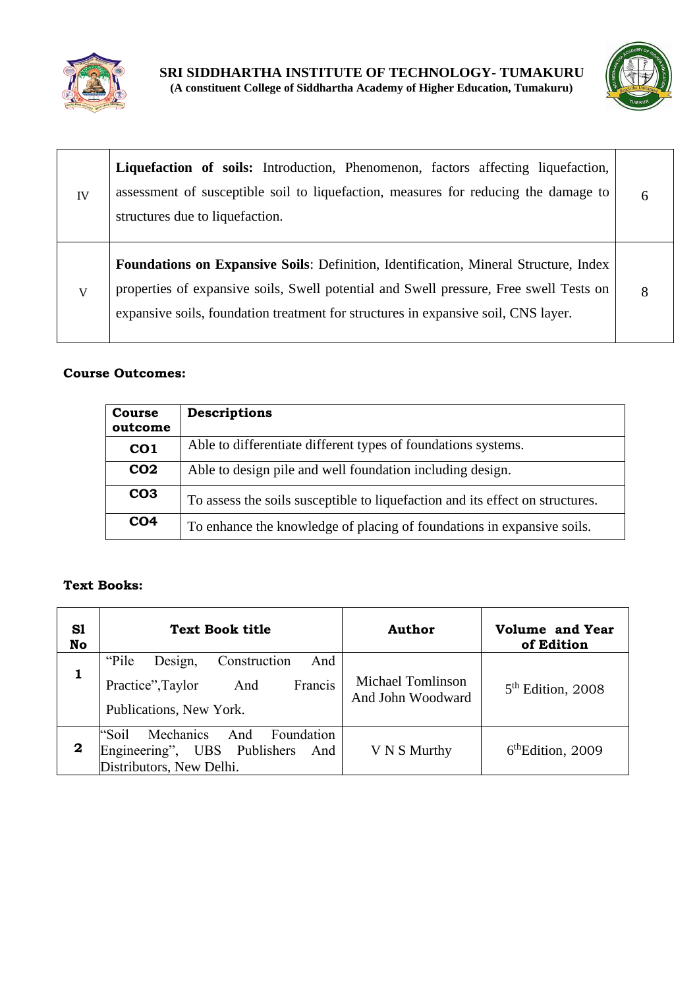



| IV | <b>Liquefaction of soils:</b> Introduction, Phenomenon, factors affecting liquefaction,<br>assessment of susceptible soil to liquefaction, measures for reducing the damage to<br>structures due to liquefaction.                                                           | 6 |
|----|-----------------------------------------------------------------------------------------------------------------------------------------------------------------------------------------------------------------------------------------------------------------------------|---|
| V  | <b>Foundations on Expansive Soils:</b> Definition, Identification, Mineral Structure, Index<br>properties of expansive soils, Swell potential and Swell pressure, Free swell Tests on<br>expansive soils, foundation treatment for structures in expansive soil, CNS layer. | 8 |

| <b>Course</b><br>outcome | <b>Descriptions</b>                                                           |
|--------------------------|-------------------------------------------------------------------------------|
| CO <sub>1</sub>          | Able to differentiate different types of foundations systems.                 |
| CO <sub>2</sub>          | Able to design pile and well foundation including design.                     |
| CO <sub>3</sub>          | To assess the soils susceptible to liquefaction and its effect on structures. |
| CO <sub>4</sub>          | To enhance the knowledge of placing of foundations in expansive soils.        |

## **Text Books:**

| S1<br>No | <b>Text Book title</b>                                                                                     | Author                                        | Volume and Year<br>of Edition |
|----------|------------------------------------------------------------------------------------------------------------|-----------------------------------------------|-------------------------------|
|          | "Pile"<br>Construction<br>Design,<br>And<br>Francis<br>Practice", Taylor<br>And<br>Publications, New York. | <b>Michael Tomlinson</b><br>And John Woodward | $5th$ Edition, 2008           |
| 2        | Mechanics<br>"Soil<br>And Foundation<br>Engineering", UBS Publishers And<br>Distributors, New Delhi.       | V N S Murthy                                  | $6th$ Edition, 2009           |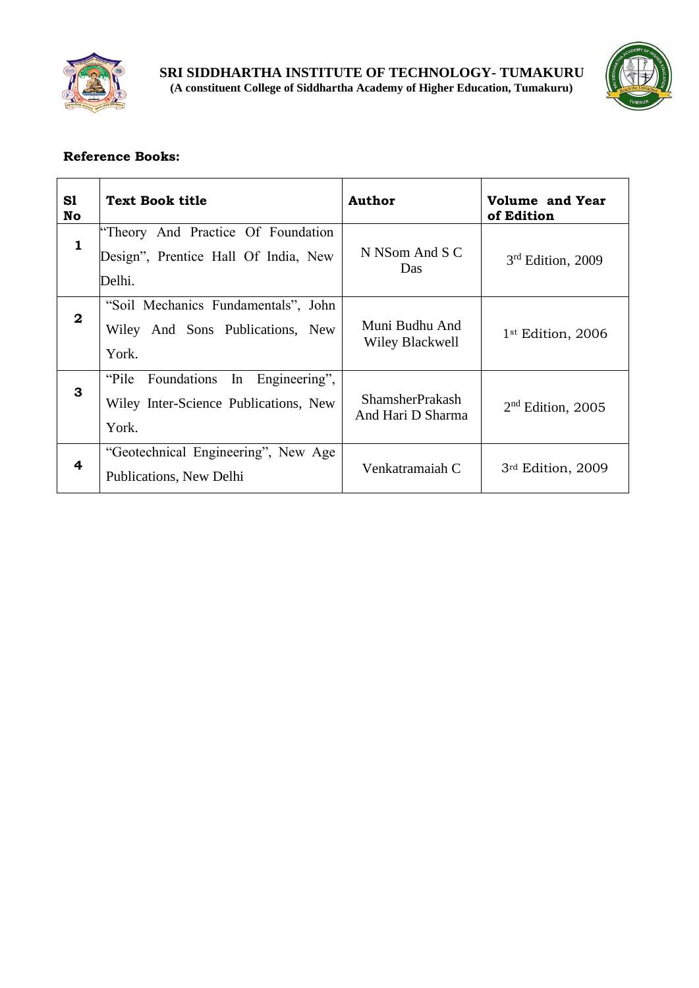



| S1<br>No     | <b>Text Book title</b>                                                                      | <b>Author</b>                               | <b>Volume and Year</b><br>of Edition |
|--------------|---------------------------------------------------------------------------------------------|---------------------------------------------|--------------------------------------|
| $\mathbf{1}$ | "Theory And Practice Of Foundation<br>Design", Prentice Hall Of India, New<br>Delhi.        | N NSom And S C<br>Das                       | $3rd$ Edition, 2009                  |
| $\mathbf{2}$ | "Soil Mechanics Fundamentals", John<br>Wiley And Sons Publications, New<br>York.            | Muni Budhu And<br>Wiley Blackwell           | 1 <sup>st</sup> Edition, 2006        |
| 3            | "Pile Foundations"<br>In<br>Engineering",<br>Wiley Inter-Science Publications, New<br>York. | <b>ShamsherPrakash</b><br>And Hari D Sharma | $2nd$ Edition, 2005                  |
| 4            | "Geotechnical Engineering", New Age<br>Publications, New Delhi                              | Venkatramaiah C                             | 3rd Edition, 2009                    |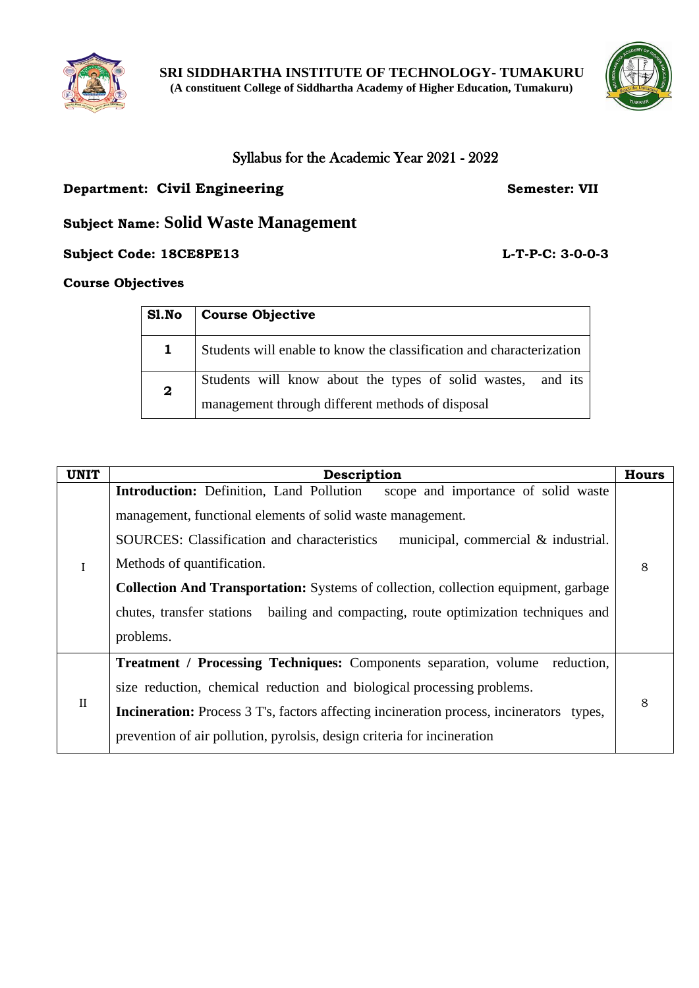



## Syllabus for the Academic Year 2021 - 2022

## **Department: Civil Engineering Semester: VII**

## **Subject Name: Solid Waste Management**

**Subject Code: 18CE8PE13 L-T-P-C: 3-0-0-3**

## **Course Objectives**

| S1.No        | <b>Course Objective</b>                                                                                         |
|--------------|-----------------------------------------------------------------------------------------------------------------|
| $\mathbf 1$  | Students will enable to know the classification and characterization                                            |
| $\mathbf{2}$ | Students will know about the types of solid wastes, and its<br>management through different methods of disposal |

| <b>UNIT</b>  | Description                                                                                                                                                                                                                                                                                                                                                                                                                                                                       | <b>Hours</b> |
|--------------|-----------------------------------------------------------------------------------------------------------------------------------------------------------------------------------------------------------------------------------------------------------------------------------------------------------------------------------------------------------------------------------------------------------------------------------------------------------------------------------|--------------|
| $\mathbf I$  | <b>Introduction:</b> Definition, Land Pollution<br>scope and importance of solid waste<br>management, functional elements of solid waste management.<br><b>SOURCES:</b> Classification and characteristics<br>municipal, commercial & industrial.<br>Methods of quantification.<br><b>Collection And Transportation:</b> Systems of collection, collection equipment, garbage<br>chutes, transfer stations bailing and compacting, route optimization techniques and<br>problems. | 8            |
| $\mathbf{I}$ | <b>Treatment / Processing Techniques:</b> Components separation, volume<br>reduction,<br>size reduction, chemical reduction and biological processing problems.<br><b>Incineration:</b> Process 3 T's, factors affecting incineration process, incinerators<br>types.<br>prevention of air pollution, pyrolsis, design criteria for incineration                                                                                                                                  | 8            |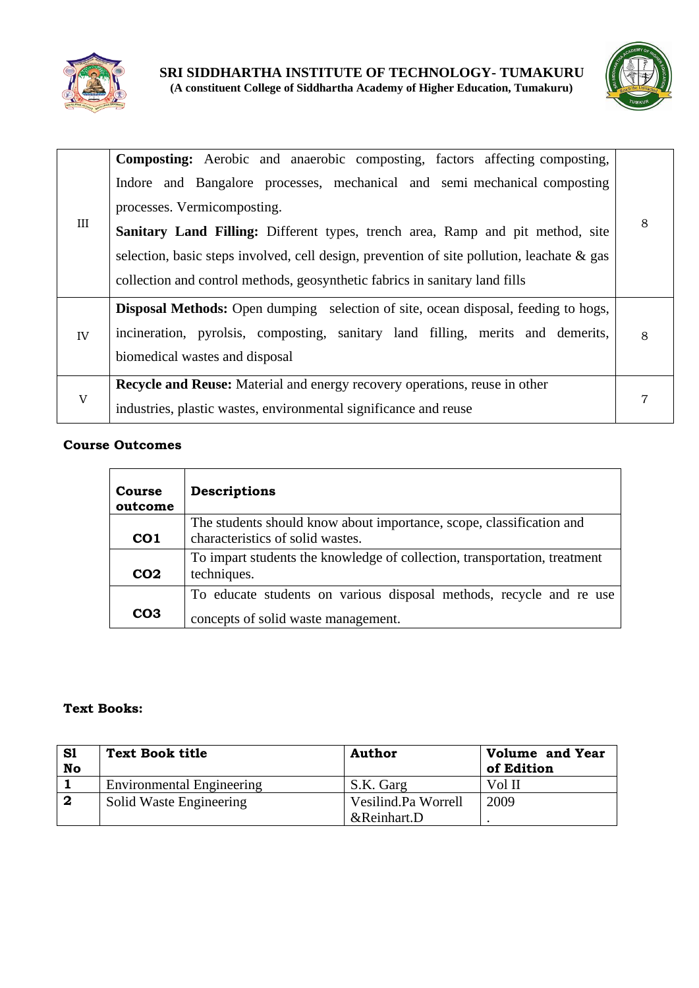



| III | <b>Composting:</b> Aerobic and anaerobic composting, factors affecting composting,<br>Indore and Bangalore processes, mechanical and semi-mechanical composting<br>processes. Vermicomposting.<br>Sanitary Land Filling: Different types, trench area, Ramp and pit method, site<br>selection, basic steps involved, cell design, prevention of site pollution, leachate $\&$ gas<br>collection and control methods, geosynthetic fabrics in sanitary land fills | 8 |
|-----|------------------------------------------------------------------------------------------------------------------------------------------------------------------------------------------------------------------------------------------------------------------------------------------------------------------------------------------------------------------------------------------------------------------------------------------------------------------|---|
| IV  | <b>Disposal Methods:</b> Open dumping selection of site, ocean disposal, feeding to hogs,<br>incineration, pyrolsis, composting, sanitary land filling, merits and demerits,<br>biomedical wastes and disposal                                                                                                                                                                                                                                                   | 8 |
| V   | <b>Recycle and Reuse:</b> Material and energy recovery operations, reuse in other<br>industries, plastic wastes, environmental significance and reuse                                                                                                                                                                                                                                                                                                            |   |

| <b>Course</b><br>outcome | Descriptions                                                                                             |
|--------------------------|----------------------------------------------------------------------------------------------------------|
| CO <sub>1</sub>          | The students should know about importance, scope, classification and<br>characteristics of solid wastes. |
| CO <sub>2</sub>          | To impart students the knowledge of collection, transportation, treatment<br>techniques.                 |
|                          | To educate students on various disposal methods, recycle and re use                                      |
| CO <sub>3</sub>          | concepts of solid waste management.                                                                      |

#### **Text Books:**

| S1<br>No | <b>Text Book title</b>           | <b>Author</b>       | <b>Volume and Year</b><br>of Edition |
|----------|----------------------------------|---------------------|--------------------------------------|
|          | <b>Environmental Engineering</b> | S.K. Garg           | Vol II                               |
| 2        | Solid Waste Engineering          | Vesilind.Pa Worrell | 2009                                 |
|          |                                  | &Reinhart.D         |                                      |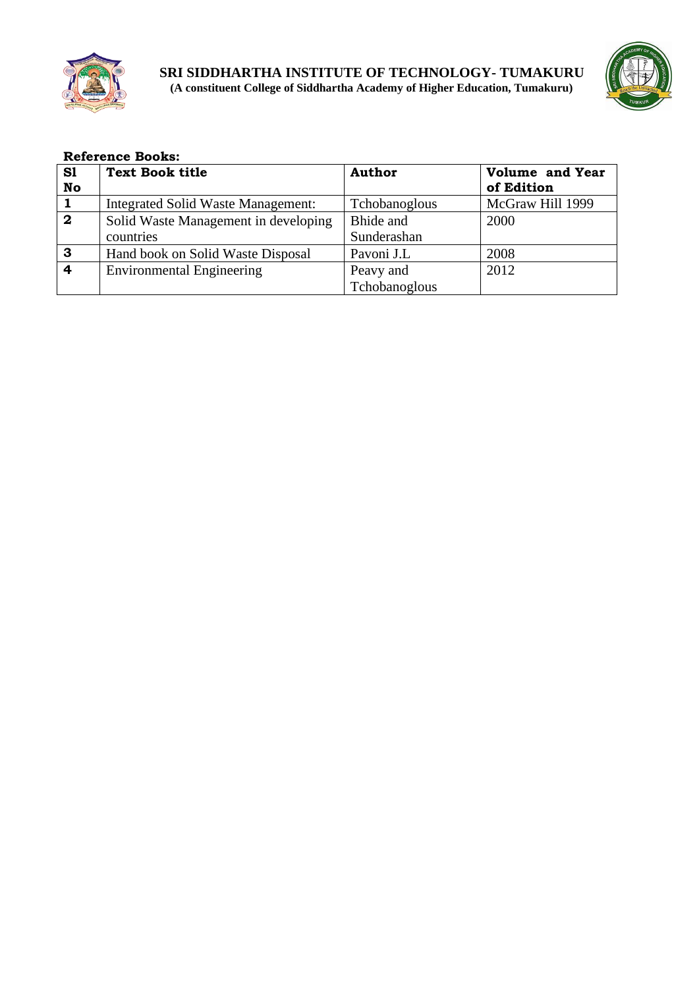



|                | <b>Reference Books:</b>              |               |                        |  |  |
|----------------|--------------------------------------|---------------|------------------------|--|--|
| S1             | <b>Text Book title</b>               | <b>Author</b> | <b>Volume and Year</b> |  |  |
| No             |                                      |               | of Edition             |  |  |
| $\mathbf{1}$   | Integrated Solid Waste Management:   | Tchobanoglous | McGraw Hill 1999       |  |  |
| $\overline{2}$ | Solid Waste Management in developing | Bhide and     | 2000                   |  |  |
|                | countries                            | Sunderashan   |                        |  |  |
| 3              | Hand book on Solid Waste Disposal    | Pavoni J.L    | 2008                   |  |  |
| 4              | <b>Environmental Engineering</b>     | Peavy and     | 2012                   |  |  |
|                |                                      | Tchobanoglous |                        |  |  |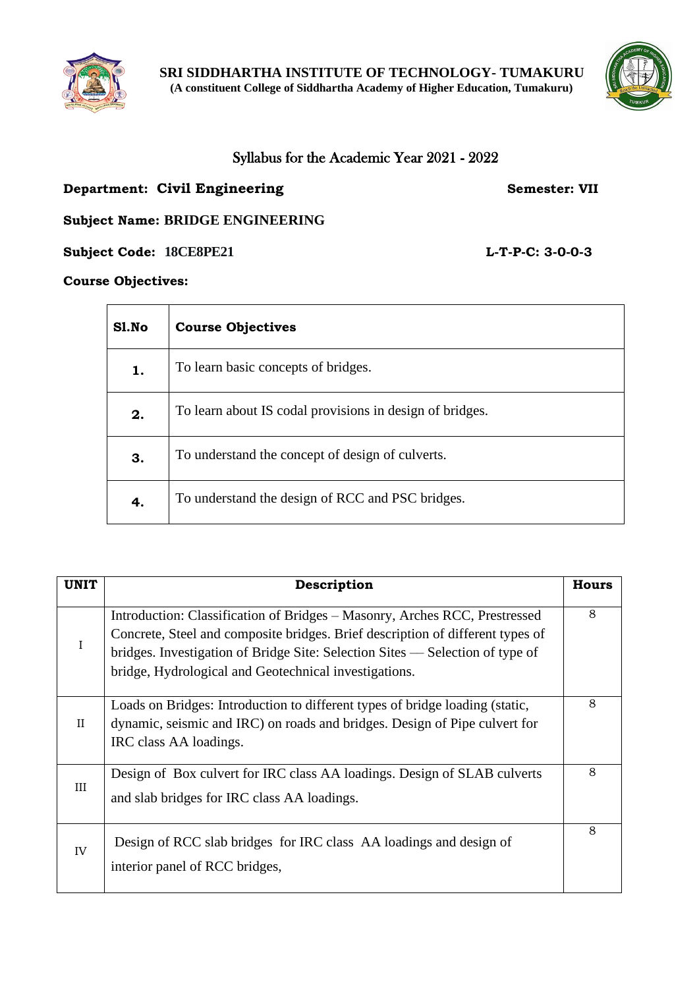



## Syllabus for the Academic Year 2021 - 2022

## **Department: Civil Engineering Semester: VII**

**Subject Name: BRIDGE ENGINEERING**

**Subject Code: 18CE8PE21 L-T-P-C: 3-0-0-3**

#### **Course Objectives:**

| Sl.No | <b>Course Objectives</b>                                 |
|-------|----------------------------------------------------------|
| 1.    | To learn basic concepts of bridges.                      |
| 2.    | To learn about IS codal provisions in design of bridges. |
| 3.    | To understand the concept of design of culverts.         |
| 4.    | To understand the design of RCC and PSC bridges.         |

| <b>UNIT</b> | Description                                                                                                                                                                                                                                                                                            | <b>Hours</b> |
|-------------|--------------------------------------------------------------------------------------------------------------------------------------------------------------------------------------------------------------------------------------------------------------------------------------------------------|--------------|
| $\mathbf I$ | Introduction: Classification of Bridges – Masonry, Arches RCC, Prestressed<br>Concrete, Steel and composite bridges. Brief description of different types of<br>bridges. Investigation of Bridge Site: Selection Sites — Selection of type of<br>bridge, Hydrological and Geotechnical investigations. | 8            |
| $_{\rm II}$ | Loads on Bridges: Introduction to different types of bridge loading (static,<br>dynamic, seismic and IRC) on roads and bridges. Design of Pipe culvert for<br>IRC class AA loadings.                                                                                                                   | 8            |
| III         | Design of Box culvert for IRC class AA loadings. Design of SLAB culverts<br>and slab bridges for IRC class AA loadings.                                                                                                                                                                                | 8            |
| IV          | Design of RCC slab bridges for IRC class AA loadings and design of<br>interior panel of RCC bridges,                                                                                                                                                                                                   | 8            |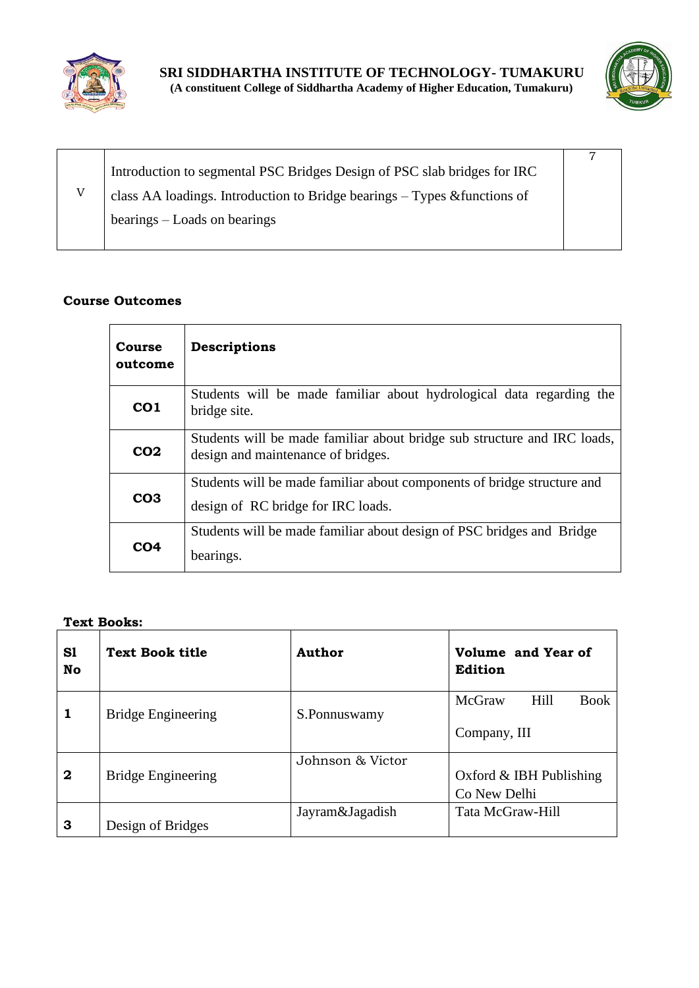



| Introduction to segmental PSC Bridges Design of PSC slab bridges for IRC  |  |
|---------------------------------------------------------------------------|--|
| class AA loadings. Introduction to Bridge bearings – Types & functions of |  |
| bearings – Loads on bearings                                              |  |

| <b>Course</b><br>outcome | Descriptions                                                                                                   |
|--------------------------|----------------------------------------------------------------------------------------------------------------|
| CO <sub>1</sub>          | Students will be made familiar about hydrological data regarding the<br>bridge site.                           |
| CO <sub>2</sub>          | Students will be made familiar about bridge sub structure and IRC loads,<br>design and maintenance of bridges. |
| CO <sub>3</sub>          | Students will be made familiar about components of bridge structure and<br>design of RC bridge for IRC loads.  |
| CO4                      | Students will be made familiar about design of PSC bridges and Bridge<br>bearings.                             |

#### **Text Books:**

| S1<br>No     | <b>Text Book title</b>    | Author           | Volume and Year of<br>Edition                 |  |
|--------------|---------------------------|------------------|-----------------------------------------------|--|
| 1            | <b>Bridge Engineering</b> | S.Ponnuswamy     | McGraw<br>Hill<br><b>Book</b><br>Company, III |  |
| $\mathbf{2}$ | <b>Bridge Engineering</b> | Johnson & Victor | Oxford $&$ IBH Publishing<br>Co New Delhi     |  |
| 3            | Design of Bridges         | Jayram&Jagadish  | Tata McGraw-Hill                              |  |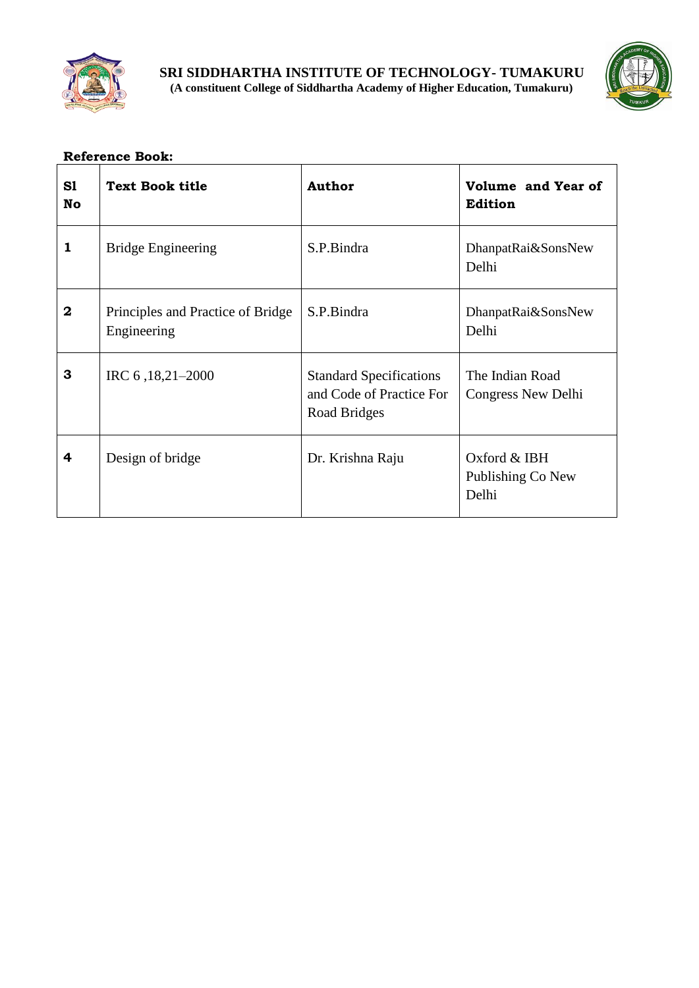



| S1<br>No     | <b>Text Book title</b>                           | <b>Author</b>                                                              | Volume and Year of<br><b>Edition</b>         |
|--------------|--------------------------------------------------|----------------------------------------------------------------------------|----------------------------------------------|
| $\mathbf{1}$ | <b>Bridge Engineering</b>                        | S.P.Bindra                                                                 | DhanpatRai&SonsNew<br>Delhi                  |
| $\bf{2}$     | Principles and Practice of Bridge<br>Engineering | S.P.Bindra                                                                 | DhanpatRai&SonsNew<br>Delhi                  |
| 3            | IRC 6, 18, 21 – 2000                             | <b>Standard Specifications</b><br>and Code of Practice For<br>Road Bridges | The Indian Road<br>Congress New Delhi        |
| 4            | Design of bridge                                 | Dr. Krishna Raju                                                           | Oxford $&$ IBH<br>Publishing Co New<br>Delhi |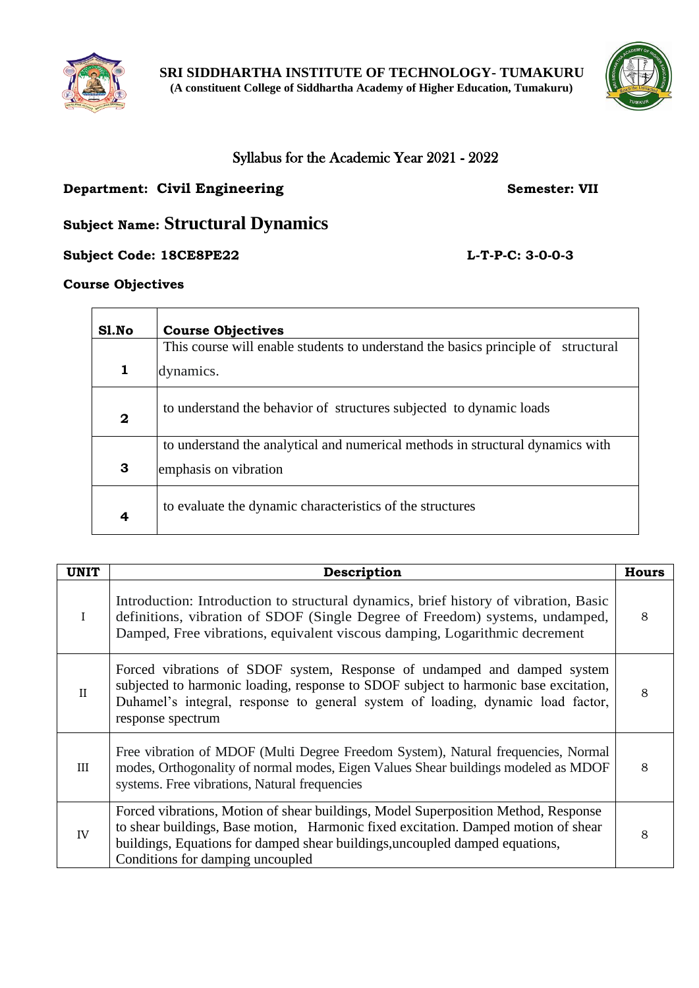



## Syllabus for the Academic Year 2021 - 2022

## **Department: Civil Engineering Semester: VII**

## **Subject Name: Structural Dynamics**

## **Subject Code: 18CE8PE22 L-T-P-C: 3-0-0-3**

### **Course Objectives**

| Sl.No        | <b>Course Objectives</b>                                                          |
|--------------|-----------------------------------------------------------------------------------|
|              | This course will enable students to understand the basics principle of structural |
| $\mathbf{1}$ | dynamics.                                                                         |
| $\mathbf 2$  | to understand the behavior of structures subjected to dynamic loads               |
|              | to understand the analytical and numerical methods in structural dynamics with    |
| 3            | emphasis on vibration                                                             |
| 4            | to evaluate the dynamic characteristics of the structures                         |

| <b>UNIT</b> | Description                                                                                                                                                                                                                                                                                  | <b>Hours</b> |
|-------------|----------------------------------------------------------------------------------------------------------------------------------------------------------------------------------------------------------------------------------------------------------------------------------------------|--------------|
| $\bf{I}$    | Introduction: Introduction to structural dynamics, brief history of vibration, Basic<br>definitions, vibration of SDOF (Single Degree of Freedom) systems, undamped,<br>Damped, Free vibrations, equivalent viscous damping, Logarithmic decrement                                           | 8            |
| $\rm II$    | Forced vibrations of SDOF system, Response of undamped and damped system<br>subjected to harmonic loading, response to SDOF subject to harmonic base excitation,<br>Duhamel's integral, response to general system of loading, dynamic load factor,<br>response spectrum                     | 8            |
| Ш           | Free vibration of MDOF (Multi Degree Freedom System), Natural frequencies, Normal<br>modes, Orthogonality of normal modes, Eigen Values Shear buildings modeled as MDOF<br>systems. Free vibrations, Natural frequencies                                                                     | 8            |
| IV          | Forced vibrations, Motion of shear buildings, Model Superposition Method, Response<br>to shear buildings, Base motion, Harmonic fixed excitation. Damped motion of shear<br>buildings, Equations for damped shear buildings, uncoupled damped equations,<br>Conditions for damping uncoupled | 8            |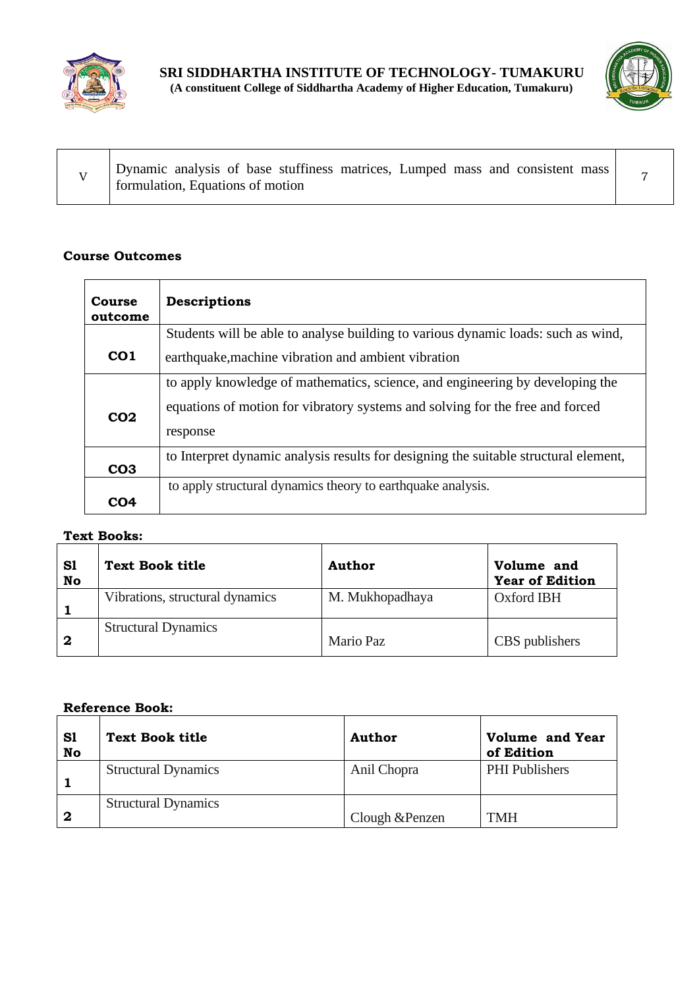

 $\mathbf{r}$ 



| Dynamic analysis of base stuffiness matrices, Lumped mass and consistent mass<br>formulation, Equations of motion |  |
|-------------------------------------------------------------------------------------------------------------------|--|
|-------------------------------------------------------------------------------------------------------------------|--|

## **Course Outcomes**

| Course<br>outcome | <b>Descriptions</b>                                                                  |
|-------------------|--------------------------------------------------------------------------------------|
|                   | Students will be able to analyse building to various dynamic loads: such as wind,    |
| CO <sub>1</sub>   | earthquake, machine vibration and ambient vibration                                  |
|                   | to apply knowledge of mathematics, science, and engineering by developing the        |
|                   | equations of motion for vibratory systems and solving for the free and forced        |
| CO <sub>2</sub>   | response                                                                             |
| CO <sub>3</sub>   | to Interpret dynamic analysis results for designing the suitable structural element, |
|                   | to apply structural dynamics theory to earthquake analysis.                          |
| CO4               |                                                                                      |

## **Text Books:**

| S1<br>No | Text Book title                 | Author          | Volume and<br><b>Year of Edition</b> |
|----------|---------------------------------|-----------------|--------------------------------------|
|          | Vibrations, structural dynamics | M. Mukhopadhaya | Oxford IBH                           |
| -2       | <b>Structural Dynamics</b>      | Mario Paz       | CBS publishers                       |

| S1<br>No | <b>Text Book title</b>     | Author          | Volume and Year<br>of Edition |
|----------|----------------------------|-----------------|-------------------------------|
|          | <b>Structural Dynamics</b> | Anil Chopra     | <b>PHI</b> Publishers         |
| 2        | <b>Structural Dynamics</b> | Clough & Penzen | <b>TMH</b>                    |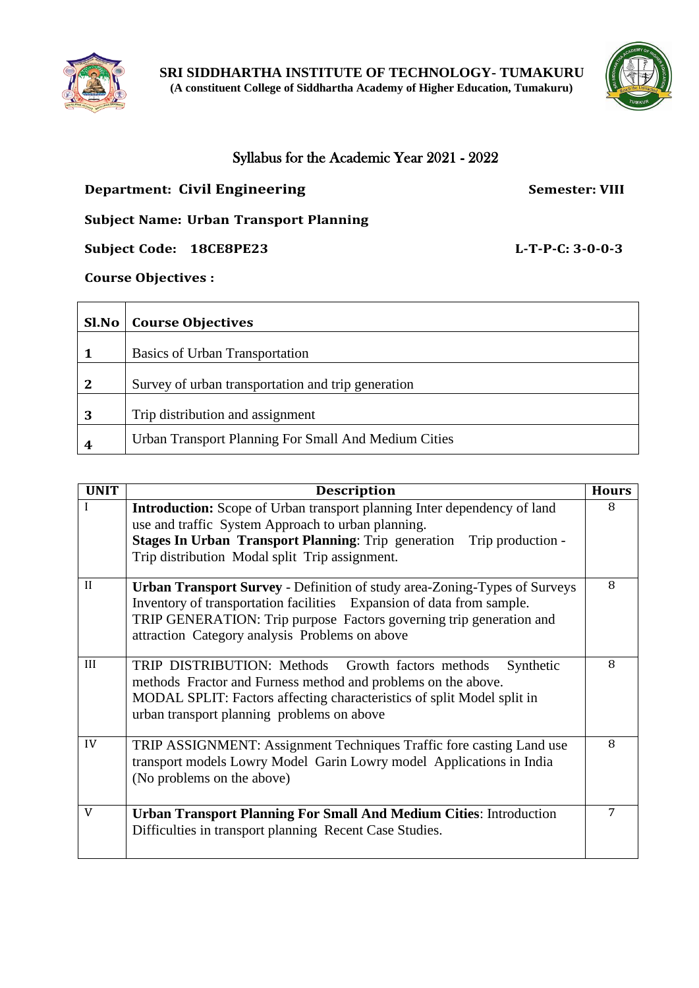



## Syllabus for the Academic Year 2021 - 2022

## **Department: Civil Engineering <b>Semester: VIII** Semester: VIII

## **Subject Name: Urban Transport Planning**

## **Subject Code: 18CE8PE23 L-T-P-C: 3-0-0-3**

## **Course Objectives :**

| Sl.No        | <b>Course Objectives</b>                             |
|--------------|------------------------------------------------------|
|              | Basics of Urban Transportation                       |
| $\mathbf{2}$ | Survey of urban transportation and trip generation   |
| 3            | Trip distribution and assignment                     |
| 4            | Urban Transport Planning For Small And Medium Cities |

| <b>UNIT</b>  | <b>Description</b>                                                                                                                                                                                                                                                                 | <b>Hours</b> |
|--------------|------------------------------------------------------------------------------------------------------------------------------------------------------------------------------------------------------------------------------------------------------------------------------------|--------------|
| I            | <b>Introduction:</b> Scope of Urban transport planning Inter dependency of land<br>use and traffic System Approach to urban planning.<br>Stages In Urban Transport Planning: Trip generation Trip production -<br>Trip distribution Modal split Trip assignment.                   | 8            |
| $\mathbf{I}$ | <b>Urban Transport Survey - Definition of study area-Zoning-Types of Surveys</b><br>Inventory of transportation facilities Expansion of data from sample.<br>TRIP GENERATION: Trip purpose Factors governing trip generation and<br>attraction Category analysis Problems on above | 8            |
| III          | TRIP DISTRIBUTION: Methods Growth factors methods<br>Synthetic<br>methods Fractor and Furness method and problems on the above.<br>MODAL SPLIT: Factors affecting characteristics of split Model split in<br>urban transport planning problems on above                            | 8            |
| IV           | TRIP ASSIGNMENT: Assignment Techniques Traffic fore casting Land use<br>transport models Lowry Model Garin Lowry model Applications in India<br>(No problems on the above)                                                                                                         | 8            |
| V            | <b>Urban Transport Planning For Small And Medium Cities: Introduction</b><br>Difficulties in transport planning Recent Case Studies.                                                                                                                                               | 7            |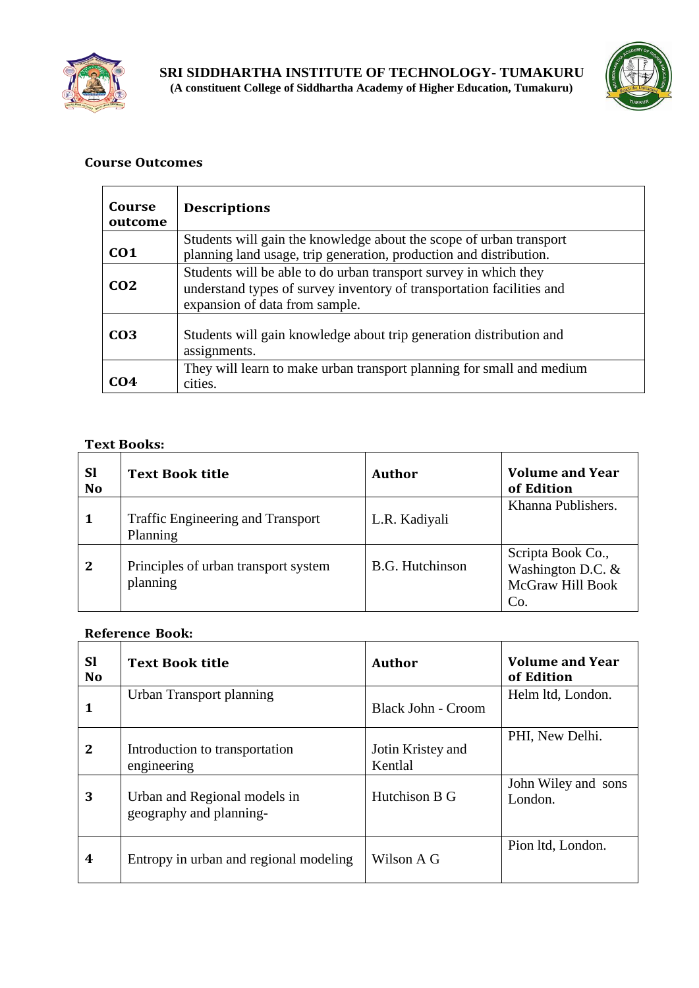



| Course<br>outcome | <b>Descriptions</b>                                                                                                                                                         |
|-------------------|-----------------------------------------------------------------------------------------------------------------------------------------------------------------------------|
| CO <sub>1</sub>   | Students will gain the knowledge about the scope of urban transport<br>planning land usage, trip generation, production and distribution.                                   |
| CO <sub>2</sub>   | Students will be able to do urban transport survey in which they<br>understand types of survey inventory of transportation facilities and<br>expansion of data from sample. |
| CO <sub>3</sub>   | Students will gain knowledge about trip generation distribution and<br>assignments.                                                                                         |
| CO4               | They will learn to make urban transport planning for small and medium<br>cities.                                                                                            |

## **Text Books:**

| <b>Sl</b><br><b>No</b> | <b>Text Book title</b>                               | Author                 | <b>Volume and Year</b><br>of Edition                             |
|------------------------|------------------------------------------------------|------------------------|------------------------------------------------------------------|
| 1                      | <b>Traffic Engineering and Transport</b><br>Planning | L.R. Kadiyali          | Khanna Publishers.                                               |
| $\mathbf{2}$           | Principles of urban transport system<br>planning     | <b>B.G. Hutchinson</b> | Scripta Book Co.,<br>Washington D.C. &<br>McGraw Hill Book<br>Co |

| Sl<br><b>No</b> | <b>Text Book title</b>                                  | Author                       | <b>Volume and Year</b><br>of Edition |
|-----------------|---------------------------------------------------------|------------------------------|--------------------------------------|
| 1               | Urban Transport planning                                | <b>Black John - Croom</b>    | Helm ltd, London.                    |
| $\mathbf{2}$    | Introduction to transportation<br>engineering           | Jotin Kristey and<br>Kentlal | PHI, New Delhi.                      |
| 3               | Urban and Regional models in<br>geography and planning- | Hutchison B G                | John Wiley and sons<br>London.       |
| 4               | Entropy in urban and regional modeling                  | Wilson A G                   | Pion Itd, London.                    |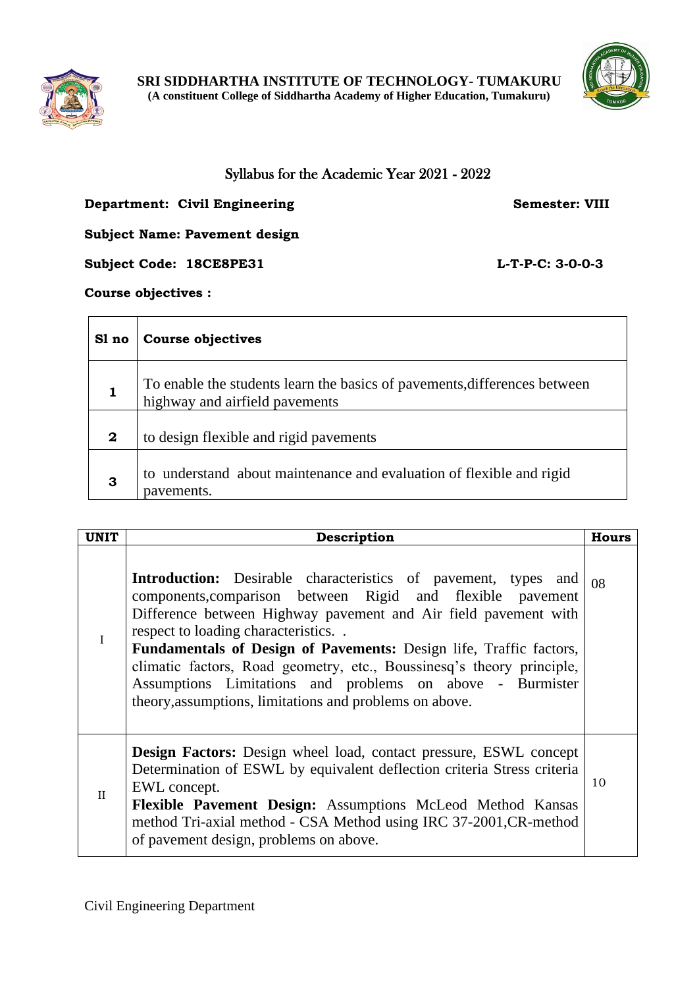



## Syllabus for the Academic Year 2021 - 2022

## **Department: Civil Engineering Semester: VIII**

**Subject Name: Pavement design**

**Subject Code: 18CE8PE31 L-T-P-C: 3-0-0-3** 

## **Course objectives :**

| Sl no            | <b>Course objectives</b>                                                                                    |
|------------------|-------------------------------------------------------------------------------------------------------------|
|                  | To enable the students learn the basics of pavements, differences between<br>highway and airfield pavements |
| $\boldsymbol{2}$ | to design flexible and rigid pavements                                                                      |
| 3                | to understand about maintenance and evaluation of flexible and rigid<br>pavements.                          |

| <b>UNIT</b>  | Description                                                                                                                                                                                                                                                                                                                                                                                                                                                                                                         | <b>Hours</b> |
|--------------|---------------------------------------------------------------------------------------------------------------------------------------------------------------------------------------------------------------------------------------------------------------------------------------------------------------------------------------------------------------------------------------------------------------------------------------------------------------------------------------------------------------------|--------------|
| I            | Introduction: Desirable characteristics of pavement, types and<br>components, comparison between Rigid and flexible pavement<br>Difference between Highway pavement and Air field pavement with<br>respect to loading characteristics<br><b>Fundamentals of Design of Pavements:</b> Design life, Traffic factors,<br>climatic factors, Road geometry, etc., Boussinesq's theory principle,<br>Assumptions Limitations and problems on above - Burmister<br>theory, assumptions, limitations and problems on above. | 08           |
| $\mathbf{H}$ | <b>Design Factors:</b> Design wheel load, contact pressure, ESWL concept<br>Determination of ESWL by equivalent deflection criteria Stress criteria<br>EWL concept.<br>Flexible Pavement Design: Assumptions McLeod Method Kansas<br>method Tri-axial method - CSA Method using IRC 37-2001, CR-method<br>of pavement design, problems on above.                                                                                                                                                                    | 10           |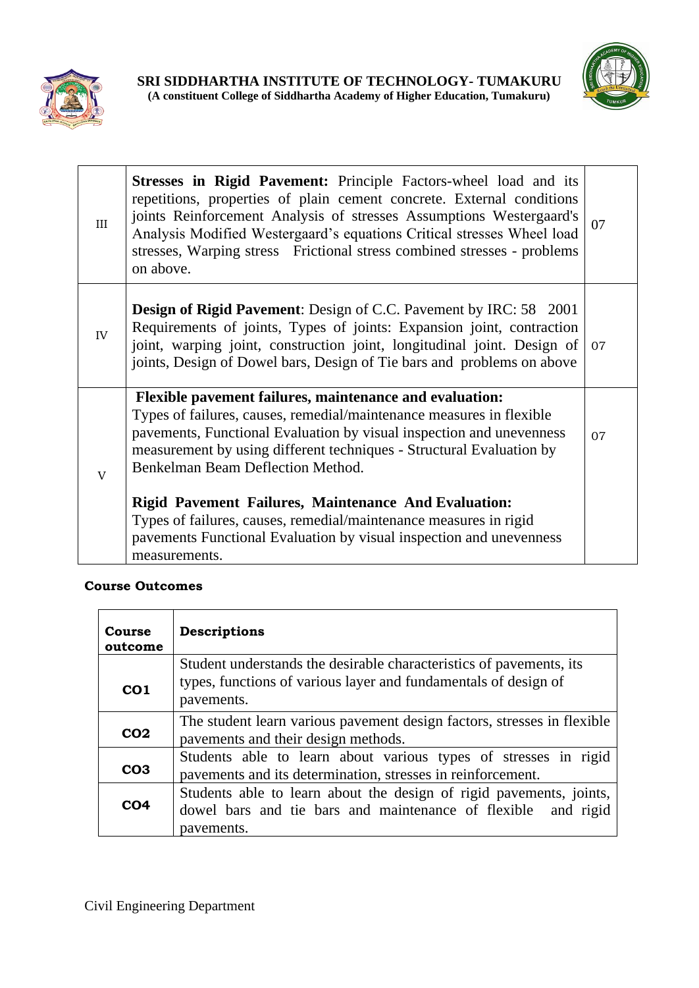



| III          | <b>Stresses in Rigid Pavement:</b> Principle Factors-wheel load and its<br>repetitions, properties of plain cement concrete. External conditions<br>joints Reinforcement Analysis of stresses Assumptions Westergaard's<br>Analysis Modified Westergaard's equations Critical stresses Wheel load<br>stresses, Warping stress Frictional stress combined stresses - problems<br>on above.                                                                       | 07 |
|--------------|-----------------------------------------------------------------------------------------------------------------------------------------------------------------------------------------------------------------------------------------------------------------------------------------------------------------------------------------------------------------------------------------------------------------------------------------------------------------|----|
| IV           | <b>Design of Rigid Pavement:</b> Design of C.C. Pavement by IRC: 58 2001<br>Requirements of joints, Types of joints: Expansion joint, contraction<br>joint, warping joint, construction joint, longitudinal joint. Design of<br>joints, Design of Dowel bars, Design of Tie bars and problems on above                                                                                                                                                          | 07 |
| $\mathbf{V}$ | <b>Flexible pavement failures, maintenance and evaluation:</b><br>Types of failures, causes, remedial/maintenance measures in flexible<br>pavements, Functional Evaluation by visual inspection and unevenness<br>measurement by using different techniques - Structural Evaluation by<br>Benkelman Beam Deflection Method.<br><b>Rigid Pavement Failures, Maintenance And Evaluation:</b><br>Types of failures, causes, remedial/maintenance measures in rigid | 07 |
|              | pavements Functional Evaluation by visual inspection and unevenness<br>measurements.                                                                                                                                                                                                                                                                                                                                                                            |    |

| <b>Course</b><br>outcome | Descriptions                                                                                                                                         |
|--------------------------|------------------------------------------------------------------------------------------------------------------------------------------------------|
| CO <sub>1</sub>          | Student understands the desirable characteristics of pavements, its<br>types, functions of various layer and fundamentals of design of<br>pavements. |
| CO <sub>2</sub>          | The student learn various pavement design factors, stresses in flexible<br>pavements and their design methods.                                       |
| CO <sub>3</sub>          | Students able to learn about various types of stresses in rigid<br>pavements and its determination, stresses in reinforcement.                       |
| CO <sub>4</sub>          | Students able to learn about the design of rigid pavements, joints,<br>dowel bars and tie bars and maintenance of flexible and rigid<br>payements.   |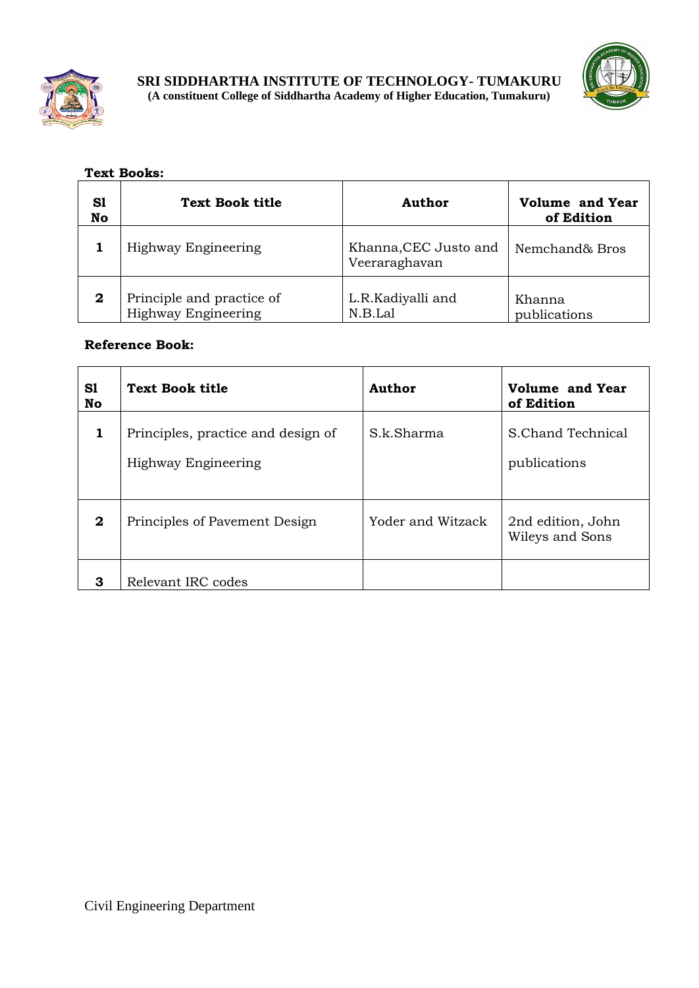



## **Text Books:**

| S1<br>No    | <b>Text Book title</b>                           | Author                                 | <b>Volume and Year</b><br>of Edition |
|-------------|--------------------------------------------------|----------------------------------------|--------------------------------------|
|             | Highway Engineering                              | Khanna, CEC Justo and<br>Veeraraghavan | Nemchand& Bros                       |
| $\mathbf 2$ | Principle and practice of<br>Highway Engineering | L.R.Kadiyalli and<br>N.B.Lal           | Khanna<br>publications               |

| S1<br>No | <b>Text Book title</b>                                    | Author            | <b>Volume and Year</b><br>of Edition |
|----------|-----------------------------------------------------------|-------------------|--------------------------------------|
| 1        | Principles, practice and design of<br>Highway Engineering | S.k.Sharma        | S.Chand Technical<br>publications    |
| 2        | Principles of Pavement Design                             | Yoder and Witzack | 2nd edition, John<br>Wileys and Sons |
| 3        | Relevant IRC codes                                        |                   |                                      |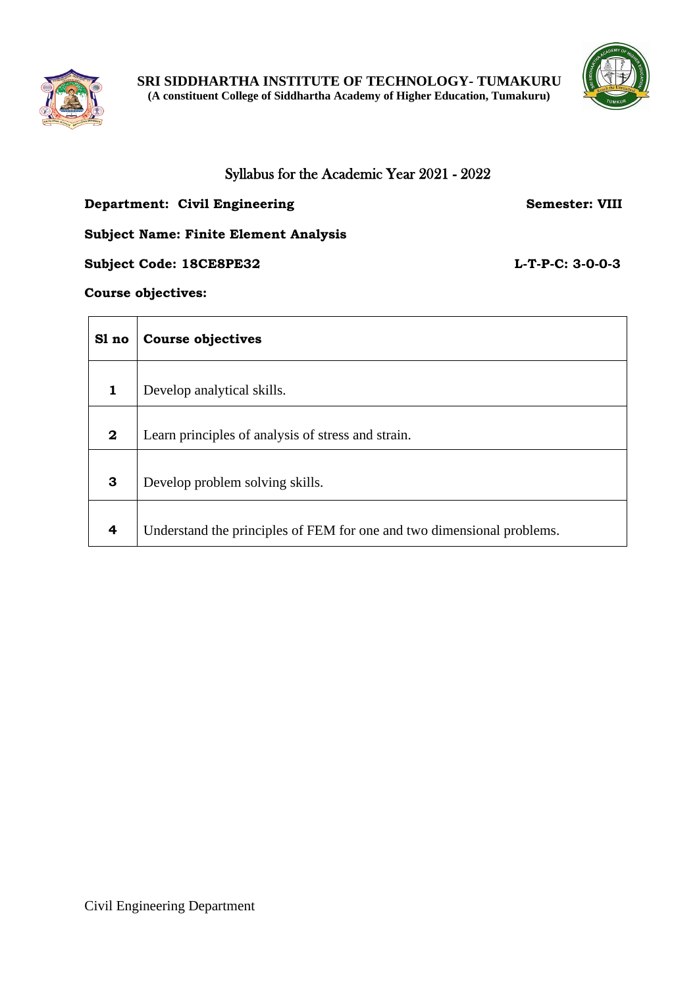



## Syllabus for the Academic Year 2021 - 2022

## **Department: Civil Engineering Semester: VIII**

#### **Subject Name: Finite Element Analysis**

## **Subject Code: 18CE8PE32 L-T-P-C: 3-0-0-3**

#### **Course objectives:**

| Sl no                   | <b>Course objectives</b>                                               |
|-------------------------|------------------------------------------------------------------------|
| 1                       | Develop analytical skills.                                             |
| $\mathbf{2}$            | Learn principles of analysis of stress and strain.                     |
| 3                       | Develop problem solving skills.                                        |
| $\overline{\mathbf{r}}$ | Understand the principles of FEM for one and two dimensional problems. |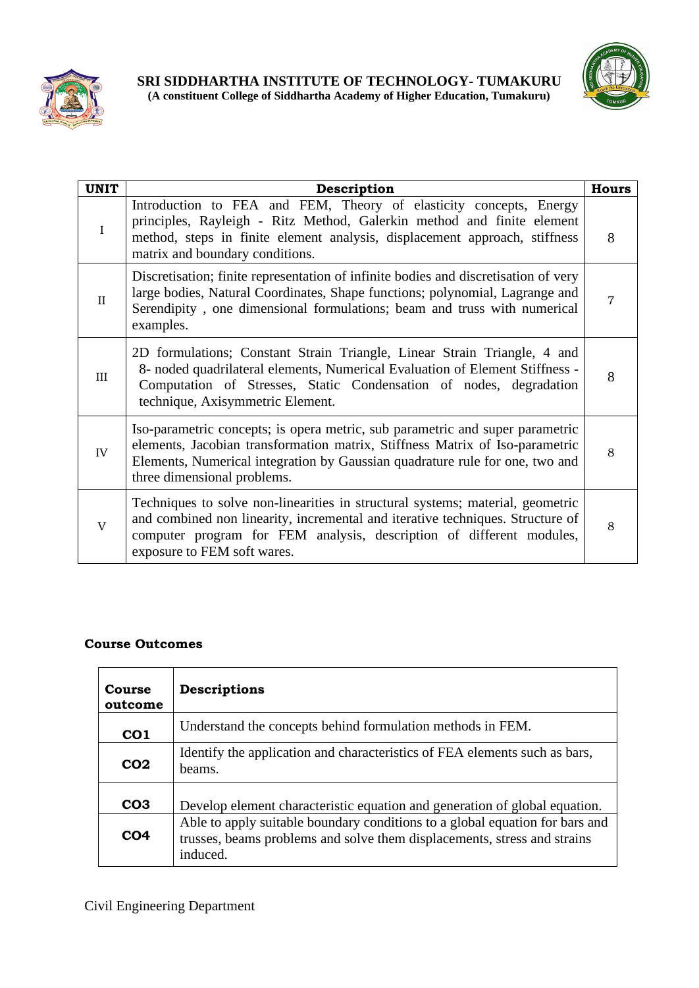



| <b>UNIT</b>  | Description                                                                                                                                                                                                                                                                  | <b>Hours</b> |
|--------------|------------------------------------------------------------------------------------------------------------------------------------------------------------------------------------------------------------------------------------------------------------------------------|--------------|
| $\mathbf{I}$ | Introduction to FEA and FEM, Theory of elasticity concepts, Energy<br>principles, Rayleigh - Ritz Method, Galerkin method and finite element<br>method, steps in finite element analysis, displacement approach, stiffness<br>matrix and boundary conditions.                | 8            |
| $\mathbf{H}$ | Discretisation; finite representation of infinite bodies and discretisation of very<br>large bodies, Natural Coordinates, Shape functions; polynomial, Lagrange and<br>Serendipity, one dimensional formulations; beam and truss with numerical<br>examples.                 |              |
| Ш            | 2D formulations; Constant Strain Triangle, Linear Strain Triangle, 4 and<br>8- noded quadrilateral elements, Numerical Evaluation of Element Stiffness -<br>Computation of Stresses, Static Condensation of nodes, degradation<br>technique, Axisymmetric Element.           | 8            |
| IV           | Iso-parametric concepts; is opera metric, sub parametric and super parametric<br>elements, Jacobian transformation matrix, Stiffness Matrix of Iso-parametric<br>Elements, Numerical integration by Gaussian quadrature rule for one, two and<br>three dimensional problems. | 8            |
| $\mathbf{V}$ | Techniques to solve non-linearities in structural systems; material, geometric<br>and combined non linearity, incremental and iterative techniques. Structure of<br>computer program for FEM analysis, description of different modules,<br>exposure to FEM soft wares.      | 8            |

| <b>Course</b><br>outcome | Descriptions                                                                                                                                                         |
|--------------------------|----------------------------------------------------------------------------------------------------------------------------------------------------------------------|
| CO <sub>1</sub>          | Understand the concepts behind formulation methods in FEM.                                                                                                           |
| CO <sub>2</sub>          | Identify the application and characteristics of FEA elements such as bars,<br>beams.                                                                                 |
| CO <sub>3</sub>          | Develop element characteristic equation and generation of global equation.                                                                                           |
| CO <sub>4</sub>          | Able to apply suitable boundary conditions to a global equation for bars and<br>trusses, beams problems and solve them displacements, stress and strains<br>induced. |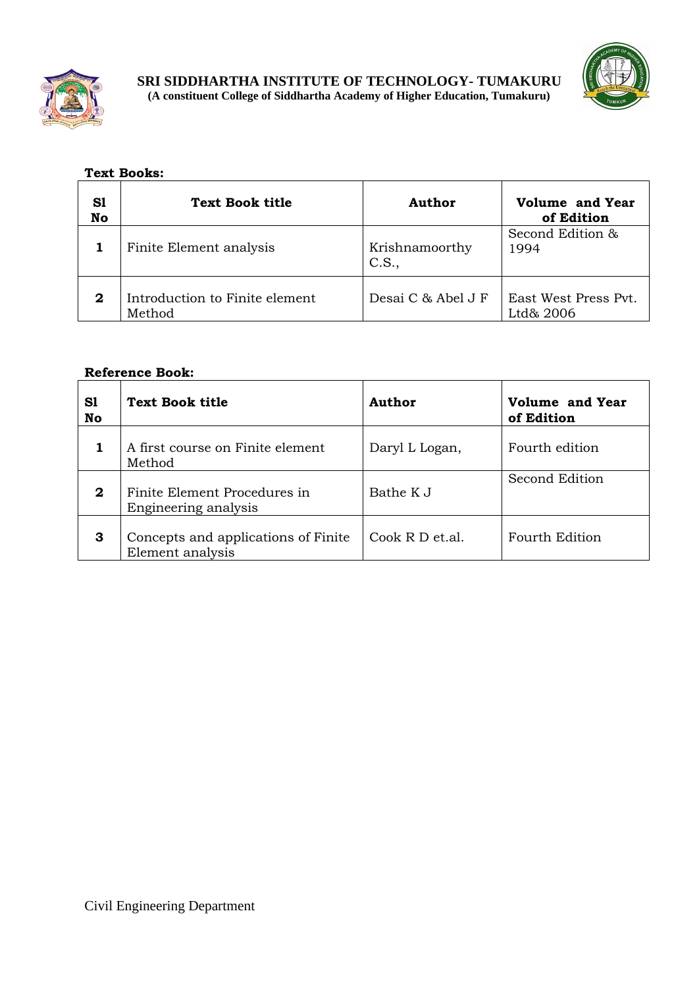



## **Text Books:**

| S1<br><b>No</b> | <b>Text Book title</b>                   | Author                  | <b>Volume and Year</b><br>of Edition |
|-----------------|------------------------------------------|-------------------------|--------------------------------------|
|                 | Finite Element analysis                  | Krishnamoorthy<br>C.S., | Second Edition &<br>1994             |
| 2               | Introduction to Finite element<br>Method | Desai C & Abel J F      | East West Press Pvt.<br>Ltd& 2006    |

| S1<br>No | <b>Text Book title</b>                                  | <b>Author</b>   | Volume and Year<br>of Edition |
|----------|---------------------------------------------------------|-----------------|-------------------------------|
|          | A first course on Finite element<br>Method              | Daryl L Logan,  | Fourth edition                |
| 2        | Finite Element Procedures in<br>Engineering analysis    | Bathe K J       | Second Edition                |
| 3        | Concepts and applications of Finite<br>Element analysis | Cook R D et.al. | Fourth Edition                |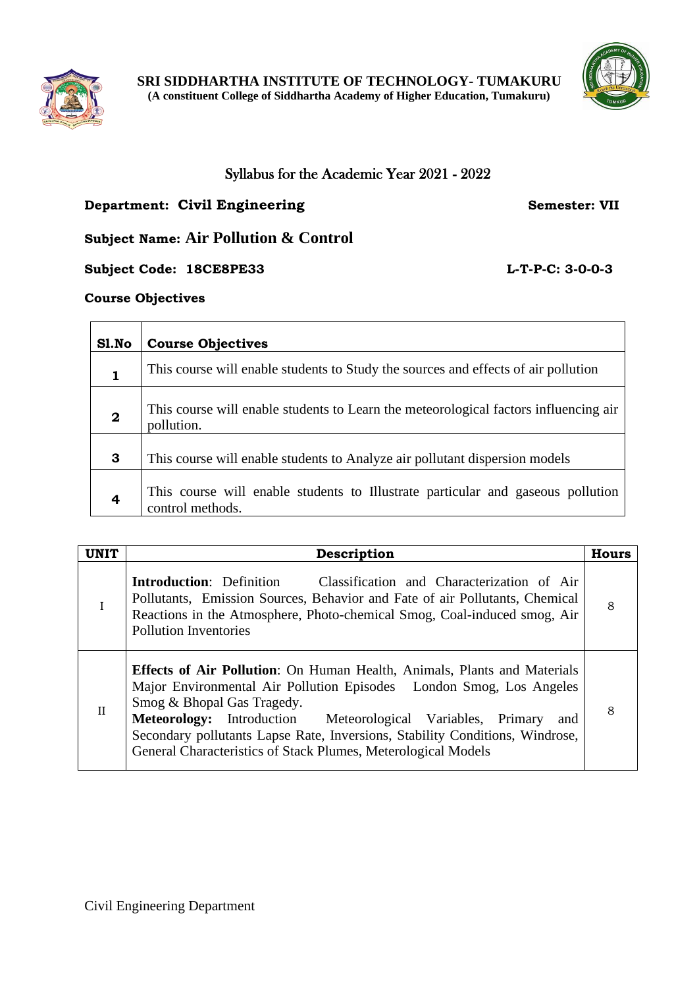



## Syllabus for the Academic Year 2021 - 2022

## **Department: Civil Engineering Semester: VII**

**Subject Name: Air Pollution & Control**

**Subject Code: 18CE8PE33 L-T-P-C: 3-0-0-3**

#### **Course Objectives**

| Sl.No            | <b>Course Objectives</b>                                                                            |
|------------------|-----------------------------------------------------------------------------------------------------|
| 1                | This course will enable students to Study the sources and effects of air pollution                  |
| $\boldsymbol{2}$ | This course will enable students to Learn the meteorological factors influencing air<br>pollution.  |
| 3                | This course will enable students to Analyze air pollutant dispersion models                         |
| 4                | This course will enable students to Illustrate particular and gaseous pollution<br>control methods. |

| <b>UNIT</b>  | Description                                                                                                                                                                                                                                                                                                                                                                                                 | <b>Hours</b> |
|--------------|-------------------------------------------------------------------------------------------------------------------------------------------------------------------------------------------------------------------------------------------------------------------------------------------------------------------------------------------------------------------------------------------------------------|--------------|
|              | Classification and Characterization of Air<br><b>Introduction:</b> Definition<br>Pollutants, Emission Sources, Behavior and Fate of air Pollutants, Chemical<br>Reactions in the Atmosphere, Photo-chemical Smog, Coal-induced smog, Air<br><b>Pollution Inventories</b>                                                                                                                                    | 8            |
| $\mathbf{I}$ | <b>Effects of Air Pollution:</b> On Human Health, Animals, Plants and Materials<br>Major Environmental Air Pollution Episodes London Smog, Los Angeles<br>Smog & Bhopal Gas Tragedy.<br>Meteorology: Introduction Meteorological Variables, Primary<br>and<br>Secondary pollutants Lapse Rate, Inversions, Stability Conditions, Windrose,<br>General Characteristics of Stack Plumes, Meterological Models | 8            |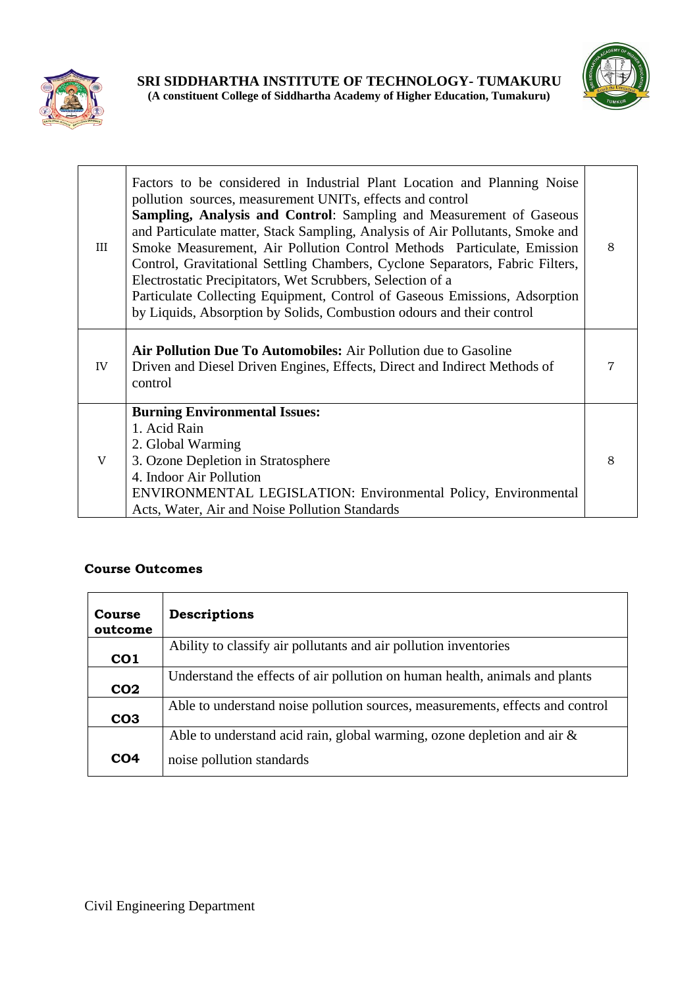



| III | Factors to be considered in Industrial Plant Location and Planning Noise<br>pollution sources, measurement UNITs, effects and control<br><b>Sampling, Analysis and Control:</b> Sampling and Measurement of Gaseous<br>and Particulate matter, Stack Sampling, Analysis of Air Pollutants, Smoke and<br>Smoke Measurement, Air Pollution Control Methods Particulate, Emission<br>Control, Gravitational Settling Chambers, Cyclone Separators, Fabric Filters,<br>Electrostatic Precipitators, Wet Scrubbers, Selection of a<br>Particulate Collecting Equipment, Control of Gaseous Emissions, Adsorption<br>by Liquids, Absorption by Solids, Combustion odours and their control | 8 |
|-----|--------------------------------------------------------------------------------------------------------------------------------------------------------------------------------------------------------------------------------------------------------------------------------------------------------------------------------------------------------------------------------------------------------------------------------------------------------------------------------------------------------------------------------------------------------------------------------------------------------------------------------------------------------------------------------------|---|
| IV  | Air Pollution Due To Automobiles: Air Pollution due to Gasoline<br>Driven and Diesel Driven Engines, Effects, Direct and Indirect Methods of<br>control                                                                                                                                                                                                                                                                                                                                                                                                                                                                                                                              | 7 |
| V   | <b>Burning Environmental Issues:</b><br>1. Acid Rain<br>2. Global Warming<br>3. Ozone Depletion in Stratosphere<br>4. Indoor Air Pollution<br><b>ENVIRONMENTAL LEGISLATION: Environmental Policy, Environmental</b><br>Acts, Water, Air and Noise Pollution Standards                                                                                                                                                                                                                                                                                                                                                                                                                | 8 |

| Course<br>outcome | Descriptions                                                                  |
|-------------------|-------------------------------------------------------------------------------|
| CO <sub>1</sub>   | Ability to classify air pollutants and air pollution inventories              |
| CO <sub>2</sub>   | Understand the effects of air pollution on human health, animals and plants   |
| CO <sub>3</sub>   | Able to understand noise pollution sources, measurements, effects and control |
|                   | Able to understand acid rain, global warming, ozone depletion and air $\&$    |
| CO <sub>4</sub>   | noise pollution standards                                                     |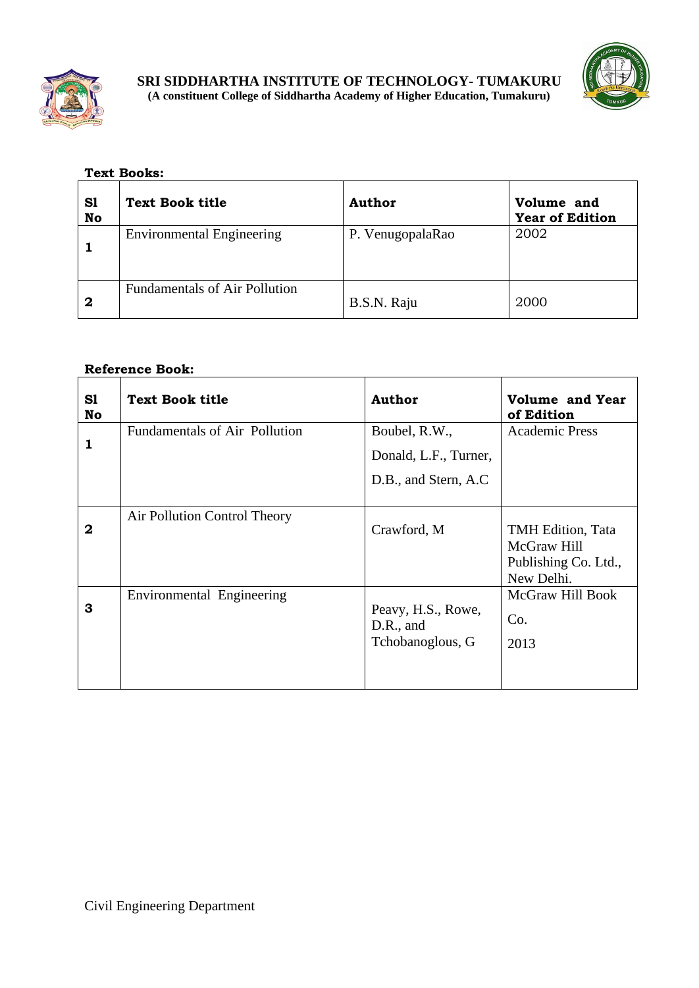



## **Text Books:**

| S1<br>No    | <b>Text Book title</b>               | <b>Author</b>    | Volume and<br><b>Year of Edition</b> |
|-------------|--------------------------------------|------------------|--------------------------------------|
|             | <b>Environmental Engineering</b>     | P. VenugopalaRao | 2002                                 |
| $\mathbf 2$ | <b>Fundamentals of Air Pollution</b> | B.S.N. Raju      | 2000                                 |

| S1<br>No | <b>Text Book title</b>        | <b>Author</b>                                                   | Volume and Year<br>of Edition                                          |
|----------|-------------------------------|-----------------------------------------------------------------|------------------------------------------------------------------------|
| 1        | Fundamentals of Air Pollution | Boubel, R.W.,<br>Donald, L.F., Turner,<br>D.B., and Stern, A.C. | <b>Academic Press</b>                                                  |
|          |                               |                                                                 |                                                                        |
| 2        | Air Pollution Control Theory  | Crawford, M                                                     | TMH Edition, Tata<br>McGraw Hill<br>Publishing Co. Ltd.,<br>New Delhi. |
| 3        | Environmental Engineering     | Peavy, H.S., Rowe,<br>$D.R.,$ and<br>Tchobanoglous, G           | McGraw Hill Book<br>Co.<br>2013                                        |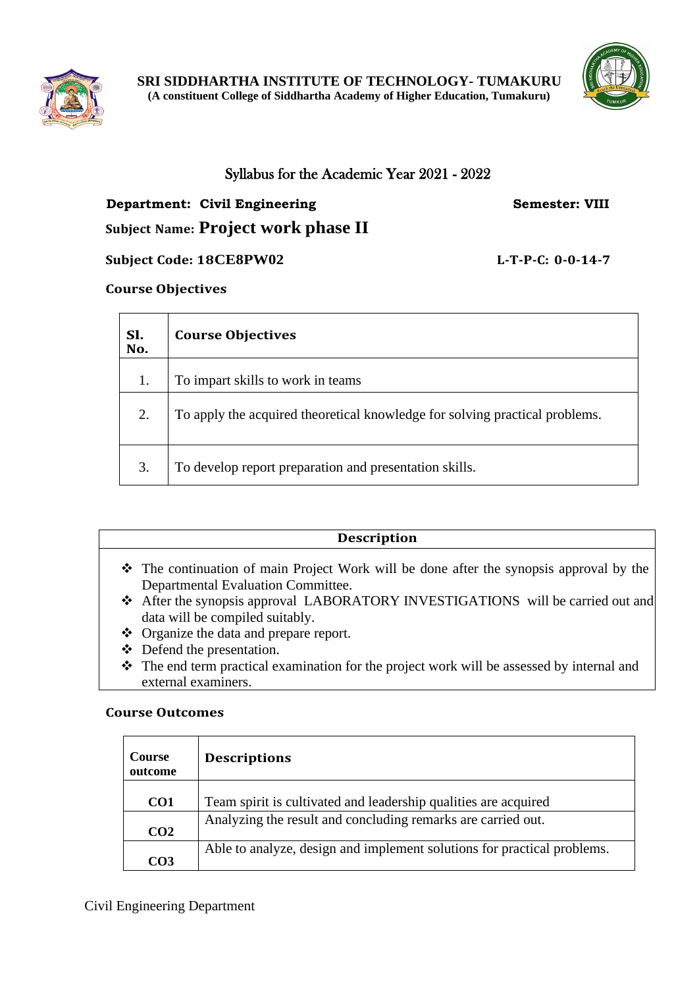



## Syllabus for the Academic Year 2021 - 2022

# **Department: Civil Engineering Semester: VIII Subject Name: Project work phase II**

## **Subject Code: 18CE8PW02 L-T-P-C: 0-0-14-7**

## **Course Objectives**

| Sl.<br>No. | <b>Course Objectives</b>                                                    |
|------------|-----------------------------------------------------------------------------|
| 1.         | To impart skills to work in teams                                           |
| 2.         | To apply the acquired theoretical knowledge for solving practical problems. |
| 3.         | To develop report preparation and presentation skills.                      |

## **Description**

- ❖ The continuation of main Project Work will be done after the synopsis approval by the Departmental Evaluation Committee.
- ❖ After the synopsis approval LABORATORY INVESTIGATIONS will be carried out and data will be compiled suitably.
- ❖ Organize the data and prepare report.
- ❖ Defend the presentation.
- ❖ The end term practical examination for the project work will be assessed by internal and external examiners.

## **Course Outcomes**

| <b>Course</b><br>outcome | <b>Descriptions</b>                                                     |
|--------------------------|-------------------------------------------------------------------------|
| CO <sub>1</sub>          | Team spirit is cultivated and leadership qualities are acquired         |
| CO <sub>2</sub>          | Analyzing the result and concluding remarks are carried out.            |
| CO <sub>3</sub>          | Able to analyze, design and implement solutions for practical problems. |